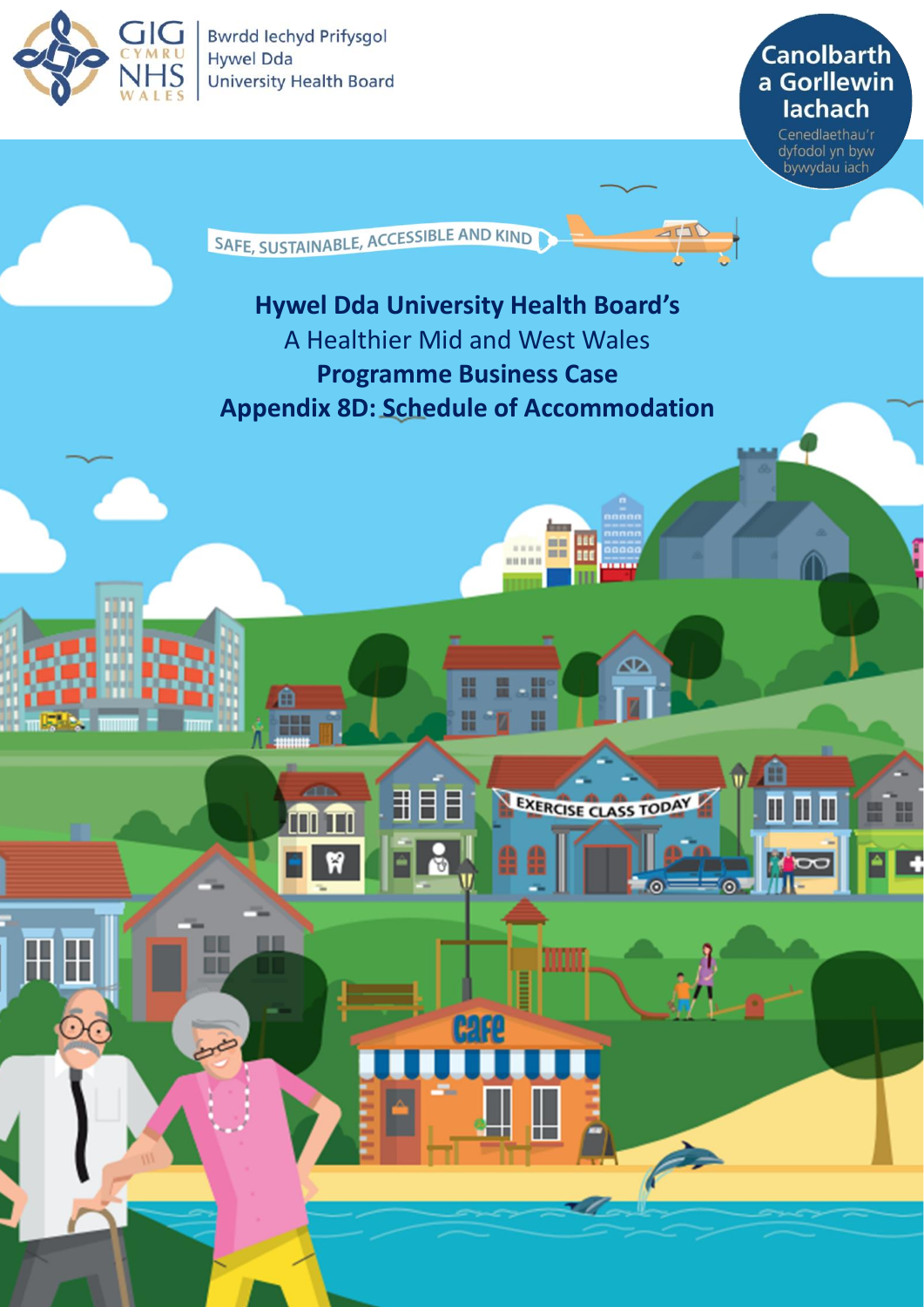

⊞

**Bwrdd lechyd Prifysgol Hywel Dda University Health Board** 

**Canolbarth** a Gorllewin **lachach** 

Cenedlaethau'r dyfodol yn byw<br>bywydau iach

⋔

11 | | | | |

G

H

SAFE, SUSTAINABLE, ACCESSIBLE AND KIND

# **Hywel Dda University Health Board's** A Healthier Mid and West Wales **Programme Business Case Appendix 8D: Schedule of Accommodation**

H

丮

Ħ

ĦĦ

 $111111$ Ξī

☎

EXERCISE CLASS TODAY

 $1111111$ 

l

1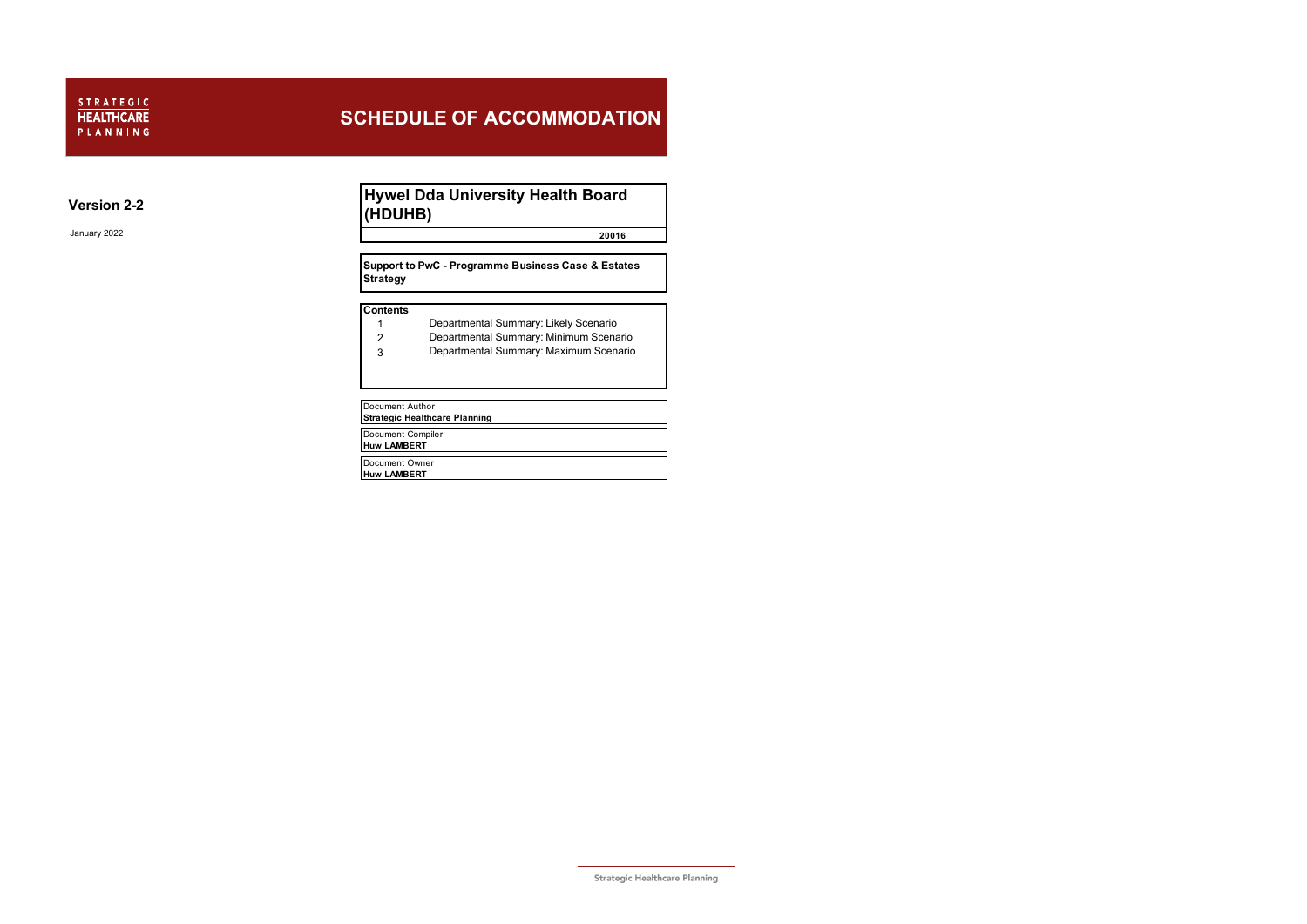### **Version 2-2**

January 2022 **20016**

- 1 Departmental Summary: Likely Scenario
- 2 Departmental Summary: Minimum Scenario
- 3 Departmental Summary: Maximum Scenario
- Document Author

**Strategic Healthcare Planning**

Document Compiler **Huw LAMBERT**

Document Owner **Huw LAMBERT**

#### **Contents**

### **Hywel Dda University Health Board (HDUHB)**

**Support to PwC - Programme Business Case & Estates Strategy**

## **SCHEDULE OF ACCOMMODATION**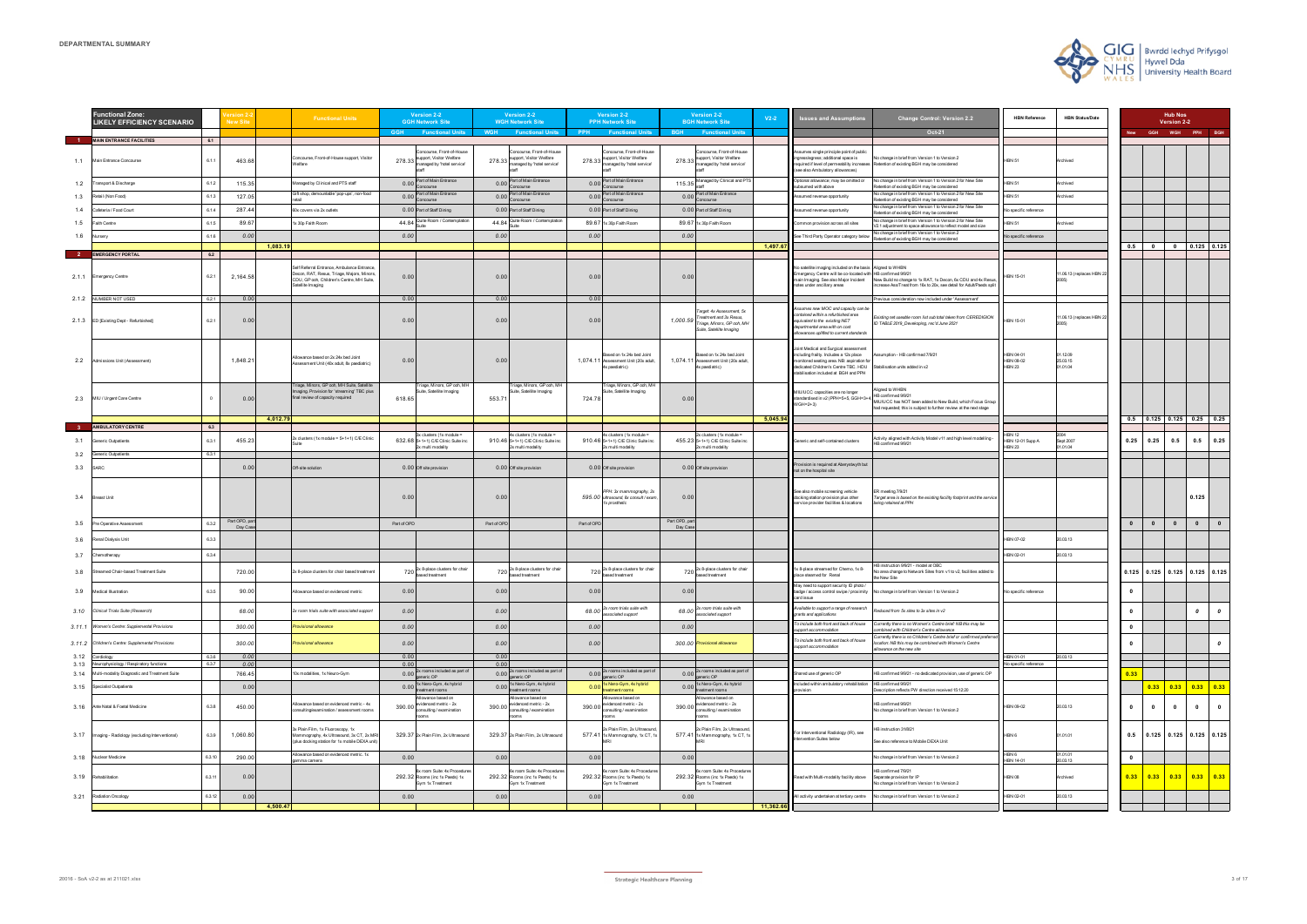|              | <b>Functional Zone:</b><br><b>LIKELY EFFICIENCY SCENARIO</b> |              | <b>New Site</b>        |          | <b>Functional Units</b>                                                                                                                                 |              | <b>Version 2-2</b><br><b>GGH Network Site</b>                                      |              | <b>Version 2-2</b><br><b>WGH Network Site</b>                                     |             | Version 2-2<br><b>PPH Network Site</b>                                                     |                           | Version 2-2<br><b>BGH Network Site</b>                                                                         | $V2-2$    | <b>Issues and Assumptions</b>                                                                                                                                                                                   | <b>Change Control: Version 2.2</b>                                                                                                                                        | <b>HBN Reference</b>                           | <b>HBN Status/Date</b>          |                         |                          | <b>Hub Nos</b><br>Version 2-2         |                                                                                            |                       |
|--------------|--------------------------------------------------------------|--------------|------------------------|----------|---------------------------------------------------------------------------------------------------------------------------------------------------------|--------------|------------------------------------------------------------------------------------|--------------|-----------------------------------------------------------------------------------|-------------|--------------------------------------------------------------------------------------------|---------------------------|----------------------------------------------------------------------------------------------------------------|-----------|-----------------------------------------------------------------------------------------------------------------------------------------------------------------------------------------------------------------|---------------------------------------------------------------------------------------------------------------------------------------------------------------------------|------------------------------------------------|---------------------------------|-------------------------|--------------------------|---------------------------------------|--------------------------------------------------------------------------------------------|-----------------------|
|              | <b>MAIN ENTRANCE FACILITIES</b>                              | 6.1          |                        |          |                                                                                                                                                         | <b>GGH</b>   | <b>Functional Units</b>                                                            | <b>WGH</b>   | <b>Functional Units</b>                                                           | <b>PPH</b>  | <b>Functional Units</b>                                                                    | <b>BGH</b>                | <b>Functional Units</b>                                                                                        |           |                                                                                                                                                                                                                 | Oct-21                                                                                                                                                                    |                                                |                                 |                         | <b>GGH</b>               | WGH PPH BGH                           |                                                                                            |                       |
| 1.1          | Main Entrance Concourse                                      | 6.1.1        | 463.68                 |          | Concourse, Front-of-House support, Visitor<br>elfare                                                                                                    | 278.33       | ncourse, Front-of-House<br>support, Visitor Welfare<br>managed by 'hotel service'  | 278.33       | oncourse, Front-of-House<br>support, Visitor Welfare<br>managed by 'hotel service |             | Concourse, Front-of-House<br>278.33 support, Visitor Welfare<br>managed by 'hotel service' |                           | Concourse, Front-of-House<br>278.33 support, Visitor Welfare<br>managed by 'hotel service'                     |           | Assumes single principle point of public<br>ngress/egress; additional space is<br>equired if level of permeability increases<br>(see also Ambulatory allowances)                                                | Vo change in brief from Version 1 to Version 2<br>Retention of existing BGH may be considered                                                                             | <b>IBN 51</b>                                  | Archived                        |                         |                          |                                       |                                                                                            |                       |
| 1.2          | ransport & Discharge                                         | 6.1.2        | 115.35                 |          | lanaged by Clinical and PTS staff                                                                                                                       | 0.00         | Part of Main Entrance                                                              | 0.00         | Part of Main Entrance                                                             |             | 0.00 Part of Main Entrance<br>CONCOR IFO                                                   |                           | 115.35 Managed by Clinical and PTS                                                                             |           | Optional allowance; may be omitted or<br>ubsumed with above                                                                                                                                                     | No change in brief from Version 1 to Version 2 for New Site<br>etention of existing BGH may be considered                                                                 | <b>IBN 51</b>                                  | chived                          |                         |                          |                                       |                                                                                            |                       |
| 1.3          | Retail (Non Food)                                            | 6.1          | 127.05                 |          | Sift shop, demountable 'pop-ups', non-food                                                                                                              | 0.00         | Part of Main Entrance                                                              | 0.00         | Part of Main Entrance                                                             |             | 0.00 Part of Main Entrance<br>oncours                                                      |                           | 0.00 Part of Main Entrance<br>concours                                                                         |           | ssumed revenue opportunity                                                                                                                                                                                      | lo change in brief from Version 1 to Version 2 for New Site                                                                                                               | <b>BN 51</b>                                   | chived                          |                         |                          |                                       |                                                                                            |                       |
| 1.4          | Cafeteria / Food Court                                       | 6.1.4        | 287.44                 |          | 60x covers via 2x outlets                                                                                                                               |              | 0.00 Part of Staff Dining                                                          |              | 0.00 Part of Staff Dining                                                         |             | 0.00 Part of Staff Dining                                                                  |                           | 0.00 Part of Staff Dining                                                                                      |           | Assumed revenue opportunity                                                                                                                                                                                     | etention of existing BGH may be considered<br>lo change in brief from Version 1 to Version 2 for New Site                                                                 | o specific reference                           |                                 |                         |                          |                                       |                                                                                            |                       |
| 1.5          | aith Centre                                                  | 6.1          | 89.67                  |          | 1x 30p Faith Room                                                                                                                                       | 44.84        | uite Room / Contemplatio                                                           | 44.84        | Quite Room / Contemplation                                                        |             | 89.67 1x 30p Faith Room                                                                    |                           | 89.67 1x 30p Faith Room                                                                                        |           | Common provision across all sites                                                                                                                                                                               | etention of existing BGH may be considered<br>lo change in brief from Version 1 to Version 2 for New Site                                                                 | BN 51                                          | chived                          |                         |                          |                                       |                                                                                            |                       |
| 1.6          | <b>Jursery</b>                                               | 6.1.6        | 0.00                   |          |                                                                                                                                                         | 0.00         |                                                                                    | 0.00         |                                                                                   | 0.00        |                                                                                            | 0.00                      |                                                                                                                |           | See Third Party Operator category below                                                                                                                                                                         | 2.1 adjustment to space allowance to reflect model and size<br>Vo change in brief from Version 1 to Version 2                                                             | lo specific reference                          |                                 |                         |                          |                                       |                                                                                            |                       |
|              |                                                              |              |                        | 1,083.19 |                                                                                                                                                         |              |                                                                                    |              |                                                                                   |             |                                                                                            |                           |                                                                                                                | 1,497.6   |                                                                                                                                                                                                                 | Retention of existing BGH may be considered                                                                                                                               |                                                |                                 | 0.5                     | $\overline{\phantom{a}}$ | $\bullet$                             | $0.125$ 0.125                                                                              |                       |
|              | <b>EMERGENCY PORTAL</b>                                      | 6.2          |                        |          |                                                                                                                                                         |              |                                                                                    |              |                                                                                   |             |                                                                                            |                           |                                                                                                                |           |                                                                                                                                                                                                                 |                                                                                                                                                                           |                                                |                                 |                         |                          |                                       |                                                                                            |                       |
|              | 2.1.1 Emergency Centre                                       | 6.2.1        | 2,164.5                |          | elf Referral Entrance, Ambulance Entrance,<br>econ, RAT, Resus, Triage, Majors, Minors,<br>DU, GP ooh, Children's Centre, MH Suite,<br>atellite Imaging | 0.00         |                                                                                    | 0.00         |                                                                                   | 0.00        |                                                                                            | 0.00                      |                                                                                                                |           | Vo satellite imaging included on the basis Aligned to WHBN<br>mergency Centre will be co-located with HB confirmed 9/9/21<br>nain Imaging. See also Major Incident<br>otes under ancillary areas                | New Build no change to 1x RAT, 1x Decon, 6x CDU and 4x Resus<br>crease Ass/Treat from 16x to 20x, see detail for Adult/Paeds spli                                         | IBN 15-01                                      | 1.06.13 (replaces HBN 2         |                         |                          |                                       |                                                                                            |                       |
| 2.1.2        | NUMBER NOT USED                                              | 6.2.1        | 0.00                   |          |                                                                                                                                                         | 0.00         |                                                                                    | 0.00         |                                                                                   | 0.00        |                                                                                            |                           |                                                                                                                |           |                                                                                                                                                                                                                 | revious consideration now included under 'Assessment'                                                                                                                     |                                                |                                 |                         |                          |                                       |                                                                                            |                       |
|              | 2.1.3 ED [Existing Dept - Refurbished]                       | 6.2.1        | 0.00                   |          |                                                                                                                                                         | 0.00         |                                                                                    | 0.00         |                                                                                   | 0.00        |                                                                                            | 1,000.59                  | Target: 4x Assessment, 5x<br>Treatment and 3x Resus,<br>Triage, Minors, GP ooh, MH<br>Suite, Satellite Imaging |           | Assumes new MOC and capacity can be<br>contained within a refurbished area<br>equivalent to the existing NET<br>departmental area with on cost<br>allowances uplifted to current standards                      | xisting net useable room list sub total taken from CEREDIGION<br>D TABLE 2019_Devekoping, rec'd June 2021                                                                 | <b>IBN 15-01</b>                               | 11.06.13 (replaces HBN 2        |                         |                          |                                       |                                                                                            |                       |
| 2.2          | Admissions Unit (Assessment)                                 |              | 1,848.21               |          | Ilowance based on 2x 24x bed Joint<br>sessment Unit (40x adult, 8x paediatric)                                                                          | 0.00         |                                                                                    | 0.00         |                                                                                   |             | lased on 1x 24x bed Joint<br>1,074.11 Assessment Unit (20x adult,<br>4x paediatric)        |                           | Based on 1x 24x bed Joint<br>1,074.11 Assessment Unit (20x adult,<br>x paediatric)                             |           | Joint Medical and Surgical assessment<br>including frailty. Includes a 12x place<br>monitored seating area. NB: aspiration for<br>dedicated Children's Centre TBC. HDU<br>stabilisation included at BGH and PPH | ssumption - HB confirmed 7/9/21<br>Stabilisation units added in v2                                                                                                        | IBN 04-01<br><b>IBN 08-02</b><br><b>IBN 23</b> | 1.12.09<br>25.03.15<br>01.01.04 |                         |                          |                                       |                                                                                            |                       |
| 2.3          | MIU / Urgent Care Centre                                     |              | 0.00                   |          | riage, Minors, GP ooh, MH Suite, Satellite<br>maging. Provision for 'streaming' TBC plus<br>final review of capacity required                           | 618.65       | Friage, Minors, GP ooh, MF<br>Suite, Satellite Imaging                             | 553.7        | riage, Minors, GP ooh, MH<br>Suite, Satellite Imaging                             | 724.78      | 'riage, Minors, GP ooh, MH<br>Suite, Satellite Imaging                                     | 0.00                      |                                                                                                                |           | MIU/UCC capacities are no longer<br>standardised in v2 (PPH=5+5, GGH=3+4,<br>$NGH=2+3$                                                                                                                          | ligned to WHBN<br>IB confirmed 9/9/21<br>MIU/UCC has NOT been added to New Build, which Focus Group<br>had requested; this is subject to further review at the next stage |                                                |                                 |                         |                          |                                       |                                                                                            |                       |
|              | <b>AMBULATORY CENTRE</b>                                     | 6.3          |                        | 4,012.79 |                                                                                                                                                         |              |                                                                                    |              |                                                                                   |             |                                                                                            |                           |                                                                                                                | 5,045.9   |                                                                                                                                                                                                                 |                                                                                                                                                                           |                                                |                                 |                         |                          | $0.5$ 0.125 0.125 0.25 0.25           |                                                                                            |                       |
| 3.1          | Generic Outpatients                                          | 6.3.1        | 455.2                  |          | x clusters (1x module = 5+1+1) C/E Clinic                                                                                                               | 632.6        | $3x$ clusters (1x module =<br>5+1+1) C/E Clinic Suite ind                          | 910.4        | 4x clusters (1x module =<br>5+1+1) C/E Clinic Suite ind                           |             | 4x clusters (1x module =<br>910.46 5+1+1) C/E Clinic Suite inc                             |                           | 2x clusters (1x module =<br>455.23 5+1+1) C/E Clinic Suite inc                                                 |           | Generic and self-contained clusters                                                                                                                                                                             | Activity aligned with Activity Model v11 and high level modelling -                                                                                                       | <b>IBN 12</b><br>IBN 12-01 Supp A              | Sept 2007                       | 0.25                    | 0.25                     | 0.5                                   | 0.5                                                                                        | 0.25                  |
| 3.2          | Seneric Outpatients                                          | 6.3.1        |                        |          |                                                                                                                                                         |              | 2x multi modality                                                                  |              | x multi modality                                                                  |             | 2x multi modality                                                                          |                           | 2x multi modality                                                                                              |           |                                                                                                                                                                                                                 | B confirmed 9/9/21                                                                                                                                                        | <b>IBN 23</b>                                  | 1.01.04                         |                         |                          |                                       |                                                                                            |                       |
| 3.3          | SARC                                                         |              | 0.00                   |          | Off-site solution                                                                                                                                       |              | 0.00 Off site provision                                                            |              | 0.00 Off site provision                                                           |             | 0.00 Off site provision                                                                    |                           | 0.00 Off site provision                                                                                        |           | Provision is required at Aberystwyth but<br>not on the hospital site                                                                                                                                            |                                                                                                                                                                           |                                                |                                 |                         |                          |                                       |                                                                                            |                       |
| 3.4          | 3reast Uni                                                   |              |                        |          |                                                                                                                                                         | 0.00         |                                                                                    | 0.00         |                                                                                   |             | PPH: 3x mammography, 2x<br>595.00 ultrasound, 8x consult / exam,<br>1x prosthetic          | 0.00                      |                                                                                                                |           | See also mobile screening vehicle<br>docking station provision plus other<br>service provider facilities & locations                                                                                            | 2 meeting 7/9/21<br>Farget area is based on the existing facility footprint and the servic<br>eing retained at PPH                                                        |                                                |                                 |                         |                          |                                       | 0.125                                                                                      |                       |
| 3.5          | Pre Operative Assessment                                     | 6.3.2        | Part OPD, p<br>Day Cas |          |                                                                                                                                                         | Part of OPD  |                                                                                    | Part of OPI  |                                                                                   | Part of OPD |                                                                                            | Part OPD, par<br>Day Case |                                                                                                                |           |                                                                                                                                                                                                                 |                                                                                                                                                                           |                                                |                                 | $\mathbf{0}$            | $\bullet$                | $\mathbf{0}$                          | $\mathbf{0}$                                                                               | $\mathbf{0}$          |
| 3.6          | Renal Dialysis Unit                                          | 6.3.3        |                        |          |                                                                                                                                                         |              |                                                                                    |              |                                                                                   |             |                                                                                            |                           |                                                                                                                |           |                                                                                                                                                                                                                 |                                                                                                                                                                           | <b>IBN 07-02</b>                               | 20.03.13                        |                         |                          |                                       |                                                                                            |                       |
|              |                                                              | 6.3.4        |                        |          |                                                                                                                                                         |              |                                                                                    |              |                                                                                   |             |                                                                                            |                           |                                                                                                                |           |                                                                                                                                                                                                                 |                                                                                                                                                                           |                                                |                                 |                         |                          |                                       |                                                                                            |                       |
| 3.7          | Chemotherapy                                                 |              |                        |          |                                                                                                                                                         |              |                                                                                    |              |                                                                                   |             |                                                                                            |                           |                                                                                                                |           |                                                                                                                                                                                                                 | 3 instruction 9/9/21 - model at OBC                                                                                                                                       | <b>IBN 02-01</b>                               | 20.03.13                        |                         |                          |                                       |                                                                                            |                       |
| 3.8          | treamed Chair-based Treatment Suite                          |              | 720.00                 |          | 2x 8-place clusters for chair based treatment                                                                                                           | 72           | 2x 8-place clusters for chair<br>sed treatment                                     | 72           | 2x 8-place clusters for chair<br>sed treatment                                    |             | 720 2x 8-place clusters for chair<br>ased treatment                                        |                           | 720 2x 8-place clusters for chair<br>ased treatment                                                            |           | x 8-place streamed for Chemo, 1x 8-<br>lace steamed for Renal<br>May need to support security ID photo /                                                                                                        | area change to Network Sites from v1 to v2, facilities added to<br>he New Site                                                                                            |                                                |                                 | 0.125                   |                          | $0.125$ 0.125 0.125 0.125             |                                                                                            |                       |
| 3.9          | Medical Illustration                                         | 6.3.5        | 90.00                  |          | Allowance based on evidenced metric                                                                                                                     | 0.00         |                                                                                    | 0.00         |                                                                                   | 0.00        |                                                                                            | 0.00                      |                                                                                                                |           | card issue                                                                                                                                                                                                      | badge / access control swipe / proximity No change in brief from Version 1 to Version 2                                                                                   | Vo specific reference                          |                                 | $\bullet$               |                          |                                       |                                                                                            |                       |
| 3.10         | Clinical Trials Suite (Research)                             |              | 68.00                  |          | 2x room trials suite with associated support                                                                                                            | 0.00         |                                                                                    | 0.00         |                                                                                   |             | 68.00 <sup>2x room trials suite with</sup><br>associated support                           |                           | 68.00 <sup>2x room trials suite with</sup><br>associated support                                               |           | vailable to support a range of research<br>grants and applications                                                                                                                                              | educed from 5x sites to 3x sites in v2                                                                                                                                    |                                                |                                 | $\overline{\mathbf{0}}$ |                          |                                       | $\boldsymbol{o}$                                                                           | $\boldsymbol{o}$      |
|              | 3.11.1 Women's Centre: Supplemental Provisions               |              | 300.00                 |          | ovisional allowance                                                                                                                                     | 0.00         |                                                                                    | 0.00         |                                                                                   | 0.00        |                                                                                            | 0.00                      |                                                                                                                |           | To include both front and back of house<br>support accommodation                                                                                                                                                | Currently there is no Women's Centre brief: NB this may be<br>ombined with Children's Centre allowance                                                                    |                                                |                                 | $\overline{\mathbf{0}}$ |                          |                                       |                                                                                            |                       |
|              | 3.11.2 Children's Centre: Supplemental Provisions            |              | 300.00                 |          | ovisional allowance                                                                                                                                     | 0.00         |                                                                                    | 0.00         |                                                                                   | 0.00        |                                                                                            |                           | 300.00 Provisional allowance                                                                                   |           | To include both front and back of house<br>support accommodation                                                                                                                                                | Currently there is no Children's Centre brief or confirmed preferre<br>ocation: NB this may be combined with Women's Centre<br>lowance on the new site                    |                                                |                                 | $\bf{0}$                |                          |                                       |                                                                                            | $\boldsymbol{\theta}$ |
| 3.12         | Cardiology<br>Neurophysiology / Respiratory functions        | 636<br>6.3.7 | 00<br>0.00             |          |                                                                                                                                                         | 0.01<br>0.00 |                                                                                    | 0.00<br>0.00 |                                                                                   |             |                                                                                            |                           |                                                                                                                |           |                                                                                                                                                                                                                 |                                                                                                                                                                           | <b>IBN 01-01</b><br>o specific reference       | 20.03.13                        |                         |                          |                                       |                                                                                            |                       |
| 3.13<br>3.14 | Multi-modality Diagnostic and Treatment Suite                |              | 766.45                 |          | 0x modalities, 1x Neuro-Gym                                                                                                                             | 0.00         | 2x rooms included as part o                                                        | 0.00         | 2x rooms included as part of                                                      |             | $0.00$ <sup>2x rooms included as part of</sup>                                             |                           | $0.00\frac{2x \text{ rooms included as part of}}{}$                                                            |           | hared use of generic OP                                                                                                                                                                                         | IB confirmed 9/9/21 - no dedicated provision, use of generic OP                                                                                                           |                                                |                                 | 0.33                    |                          |                                       |                                                                                            |                       |
| 3.15         | Specialist Outpatients                                       |              | 0.00                   |          |                                                                                                                                                         | 0.00         | neric OP<br>1x Nero-Gym, 4x hybrid                                                 | 0.00         | neric OP<br>1x Nero-Gym, 4x hybrid                                                | 0.00        | generic OP<br>Ix Nero-Gym, 4x hybrid                                                       | 0.00                      | generic OP<br>1x Nero-Gym, 4x hybrid                                                                           |           | ncluded within ambulatory rehabilitation                                                                                                                                                                        | HB confirmed 9/9/21                                                                                                                                                       |                                                |                                 |                         |                          | $0.33$ $0.33$                         | $\begin{array}{ c c c c c c c c } \hline \textbf{0.33} & \textbf{0.33} \hline \end{array}$ |                       |
|              |                                                              | 6.3.8        |                        |          | lowance based on evidenced metric - 4x                                                                                                                  |              | atment rooms<br>Ilowance based on<br>390.00 evidenced metric - 2x                  |              | atment rooms<br>Vlowance based on<br>390.00 evidenced metric - 2x                 |             | treatment rooms<br>Allowance based on                                                      |                           | treatment rooms<br>Ilowance based on                                                                           |           | avision                                                                                                                                                                                                         | escription reflects PW direction received 15:12:20<br>HB confirmed 9/9/21                                                                                                 | IBN 09-02                                      | 20.03.13                        |                         |                          |                                       |                                                                                            |                       |
| 3.16         | Ante Natal & Foetal Medicine                                 |              | 450.00                 |          | onsulting/examination / assessment rooms                                                                                                                |              | consulting / examination<br>ooms:                                                  |              | consulting / examination<br>coms.                                                 |             | 390.00 evidenced metric - 2x<br>consulting / examination<br>coms:                          |                           | 390.00 evidenced metric - 2x<br>consulting / examination<br>rooms                                              |           |                                                                                                                                                                                                                 | No change in brief from Version 1 to Version 2                                                                                                                            |                                                |                                 | $\overline{\mathbf{0}}$ | $\mathbf{0}$             | $\mathbf{0}$                          | $\mathbf{0}$                                                                               | $\bf{0}$              |
|              | 3.17 Imaging - Radiology (excluding Interventional)          | 6.3.9        | 1,060.80               |          | 3x Plain Film, 1x Fluoroscopy, 1x<br>Mammography, 4x Ultrasound, 3x CT, 2x MF<br>(plus docking station for 1x mobile DEXA unit                          |              | 329.37 2x Plain Film, 2x Ultrasound                                                |              | 329.37 2x Plain Film, 2x Ultrasound                                               |             | 2x Plain Film, 2x Ultrasound<br>577.41 1x Mammography, 1x CT, 1x                           |                           | 2x Plain Film, 2x Ultrasound<br>577.41 1x Mammography, 1x CT, 1x                                               |           | For Interventional Radiology (IR), see<br>Intervention Suites below                                                                                                                                             | B instruction 31/8/21<br>See also reference to Mobile DEXA Unit                                                                                                           | IBN 6                                          | 01.01.01                        |                         |                          | $0.5$ $0.125$ $0.125$ $0.125$ $0.125$ |                                                                                            |                       |
|              | 3.18 Nuclear Medicine                                        | 6.3.10       | 290.00                 |          | Illowance based on evidenced metric. 1x<br>amma camera                                                                                                  | 0.00         |                                                                                    | 0.00         |                                                                                   | 0.00        |                                                                                            | 0.00                      |                                                                                                                |           |                                                                                                                                                                                                                 | lo change in brief from Version 1 to Version 2                                                                                                                            | HBN 6<br><b>IBN 14-01</b>                      | 1.01.01<br>20.03.13             | $\overline{\mathbf{0}}$ |                          |                                       |                                                                                            |                       |
| 3.19         | Rehabilitation                                               | 6.3.11       | 0.00                   |          |                                                                                                                                                         |              | 3x room Suite: 4x Procedures<br>292.32 Rooms (inc 1x Paeds) 1x<br>Gym 1x Treatment |              | x room Suite: 4x Procedure<br>292.32 Rooms (inc 1x Paeds) 1x<br>Gym 1x Treatment  |             | x room Suite: 4x Procedures<br>292.32 Rooms (inc 1x Paeds) 1x<br>Gym 1x Treatment          |                           | x room Suite: 4x Procedures<br>292.32 Rooms (inc 1x Paeds) 1x<br>Gym 1x Treatment                              |           | Read with Multi-modality facility above                                                                                                                                                                         | IB confirmed 7/9/21<br>Separate provision for IP<br>lo change in brief from Version 1 to Version 2                                                                        | <b>IBN 08</b>                                  | Archived                        |                         |                          |                                       |                                                                                            |                       |
| 3.21         | Radiation Oncology                                           | 6.3.12       | 0.00                   |          |                                                                                                                                                         | 0.00         |                                                                                    | 0.00         |                                                                                   | 0.00        |                                                                                            | 0.00                      |                                                                                                                |           | All activity undertaken at tertiary centre                                                                                                                                                                      | No change in brief from Version 1 to Version 2                                                                                                                            | <b>IBN 02-01</b>                               | 20.03.13                        |                         |                          |                                       |                                                                                            |                       |
|              |                                                              |              |                        | 4,500.47 |                                                                                                                                                         |              |                                                                                    |              |                                                                                   |             |                                                                                            |                           |                                                                                                                | 11,362.66 |                                                                                                                                                                                                                 |                                                                                                                                                                           |                                                |                                 |                         |                          |                                       |                                                                                            |                       |



| GGH<br><b>WGH</b><br>New<br>PPH<br>Archived<br>Archived<br>Archived<br>Archived<br>0.5<br>0<br>0.125<br>0<br>11.06.13 (replaces HBN 22<br>2005)<br>11.06.13 (replaces HBN 22<br>2005)<br>01.12.09<br>25.03.15<br>01.01.04<br>0.5<br>0.125<br>0.125<br>0.25<br>2004<br>Sept 2007<br>0.25<br>0.25<br>0.5<br>0.5<br>01.01.04<br>0.125<br>$\pmb{0}$<br>$\pmb{0}$<br>$\pmb{0}$<br>$\pmb{0}$<br>20.03.13<br>HBN 02-01<br>20.03.13<br>0.125<br>0.125<br>0.125<br>0.125<br>0<br>0<br>0<br>0<br>0<br><b>HBN 01-01</b><br>20.03.13<br>0.33<br>0.33<br>0.33<br>0.33<br>20.03.13<br>0<br>0<br>0<br>0<br>01.01.01<br>0.5<br>0.125<br>0.125<br>0.125<br>01.01.01<br>0<br>20.03.13<br>0.33<br>0.33<br>0.33<br>0.33<br>Archived<br>20.03.13 | <b>HBN Reference</b>                               | <b>HBN Status/Date</b> |
|-----------------------------------------------------------------------------------------------------------------------------------------------------------------------------------------------------------------------------------------------------------------------------------------------------------------------------------------------------------------------------------------------------------------------------------------------------------------------------------------------------------------------------------------------------------------------------------------------------------------------------------------------------------------------------------------------------------------------------|----------------------------------------------------|------------------------|
|                                                                                                                                                                                                                                                                                                                                                                                                                                                                                                                                                                                                                                                                                                                             |                                                    |                        |
|                                                                                                                                                                                                                                                                                                                                                                                                                                                                                                                                                                                                                                                                                                                             |                                                    |                        |
|                                                                                                                                                                                                                                                                                                                                                                                                                                                                                                                                                                                                                                                                                                                             | <b>HBN 51</b>                                      |                        |
|                                                                                                                                                                                                                                                                                                                                                                                                                                                                                                                                                                                                                                                                                                                             | <b>HBN 51</b>                                      |                        |
|                                                                                                                                                                                                                                                                                                                                                                                                                                                                                                                                                                                                                                                                                                                             | <b>HBN 51</b>                                      |                        |
|                                                                                                                                                                                                                                                                                                                                                                                                                                                                                                                                                                                                                                                                                                                             | No specific reference                              |                        |
|                                                                                                                                                                                                                                                                                                                                                                                                                                                                                                                                                                                                                                                                                                                             | <b>HBN 51</b>                                      |                        |
|                                                                                                                                                                                                                                                                                                                                                                                                                                                                                                                                                                                                                                                                                                                             | No specific reference                              |                        |
|                                                                                                                                                                                                                                                                                                                                                                                                                                                                                                                                                                                                                                                                                                                             |                                                    |                        |
|                                                                                                                                                                                                                                                                                                                                                                                                                                                                                                                                                                                                                                                                                                                             | HBN 15-01                                          |                        |
|                                                                                                                                                                                                                                                                                                                                                                                                                                                                                                                                                                                                                                                                                                                             | <b>HBN 15-01</b>                                   |                        |
|                                                                                                                                                                                                                                                                                                                                                                                                                                                                                                                                                                                                                                                                                                                             | HBN 04-01<br>HBN 08-02<br><b>HBN 23</b>            |                        |
|                                                                                                                                                                                                                                                                                                                                                                                                                                                                                                                                                                                                                                                                                                                             |                                                    |                        |
|                                                                                                                                                                                                                                                                                                                                                                                                                                                                                                                                                                                                                                                                                                                             |                                                    |                        |
|                                                                                                                                                                                                                                                                                                                                                                                                                                                                                                                                                                                                                                                                                                                             | <b>HBN 12</b><br>HBN 12-01 Supp A<br><b>HBN 23</b> |                        |
|                                                                                                                                                                                                                                                                                                                                                                                                                                                                                                                                                                                                                                                                                                                             |                                                    |                        |
|                                                                                                                                                                                                                                                                                                                                                                                                                                                                                                                                                                                                                                                                                                                             |                                                    |                        |
|                                                                                                                                                                                                                                                                                                                                                                                                                                                                                                                                                                                                                                                                                                                             |                                                    |                        |
|                                                                                                                                                                                                                                                                                                                                                                                                                                                                                                                                                                                                                                                                                                                             | HBN 07-02                                          |                        |
|                                                                                                                                                                                                                                                                                                                                                                                                                                                                                                                                                                                                                                                                                                                             |                                                    |                        |
|                                                                                                                                                                                                                                                                                                                                                                                                                                                                                                                                                                                                                                                                                                                             |                                                    |                        |
|                                                                                                                                                                                                                                                                                                                                                                                                                                                                                                                                                                                                                                                                                                                             | No specific reference                              |                        |
|                                                                                                                                                                                                                                                                                                                                                                                                                                                                                                                                                                                                                                                                                                                             |                                                    |                        |
|                                                                                                                                                                                                                                                                                                                                                                                                                                                                                                                                                                                                                                                                                                                             |                                                    |                        |
|                                                                                                                                                                                                                                                                                                                                                                                                                                                                                                                                                                                                                                                                                                                             |                                                    |                        |
|                                                                                                                                                                                                                                                                                                                                                                                                                                                                                                                                                                                                                                                                                                                             |                                                    |                        |
|                                                                                                                                                                                                                                                                                                                                                                                                                                                                                                                                                                                                                                                                                                                             | No specific reference                              |                        |
|                                                                                                                                                                                                                                                                                                                                                                                                                                                                                                                                                                                                                                                                                                                             |                                                    |                        |
|                                                                                                                                                                                                                                                                                                                                                                                                                                                                                                                                                                                                                                                                                                                             |                                                    |                        |
|                                                                                                                                                                                                                                                                                                                                                                                                                                                                                                                                                                                                                                                                                                                             | HBN 09-02                                          |                        |
|                                                                                                                                                                                                                                                                                                                                                                                                                                                                                                                                                                                                                                                                                                                             | HBN 6                                              |                        |
|                                                                                                                                                                                                                                                                                                                                                                                                                                                                                                                                                                                                                                                                                                                             | HBN 6<br>HBN 14-01                                 |                        |
|                                                                                                                                                                                                                                                                                                                                                                                                                                                                                                                                                                                                                                                                                                                             | <b>HBN 08</b>                                      |                        |
|                                                                                                                                                                                                                                                                                                                                                                                                                                                                                                                                                                                                                                                                                                                             | HBN 02-01                                          |                        |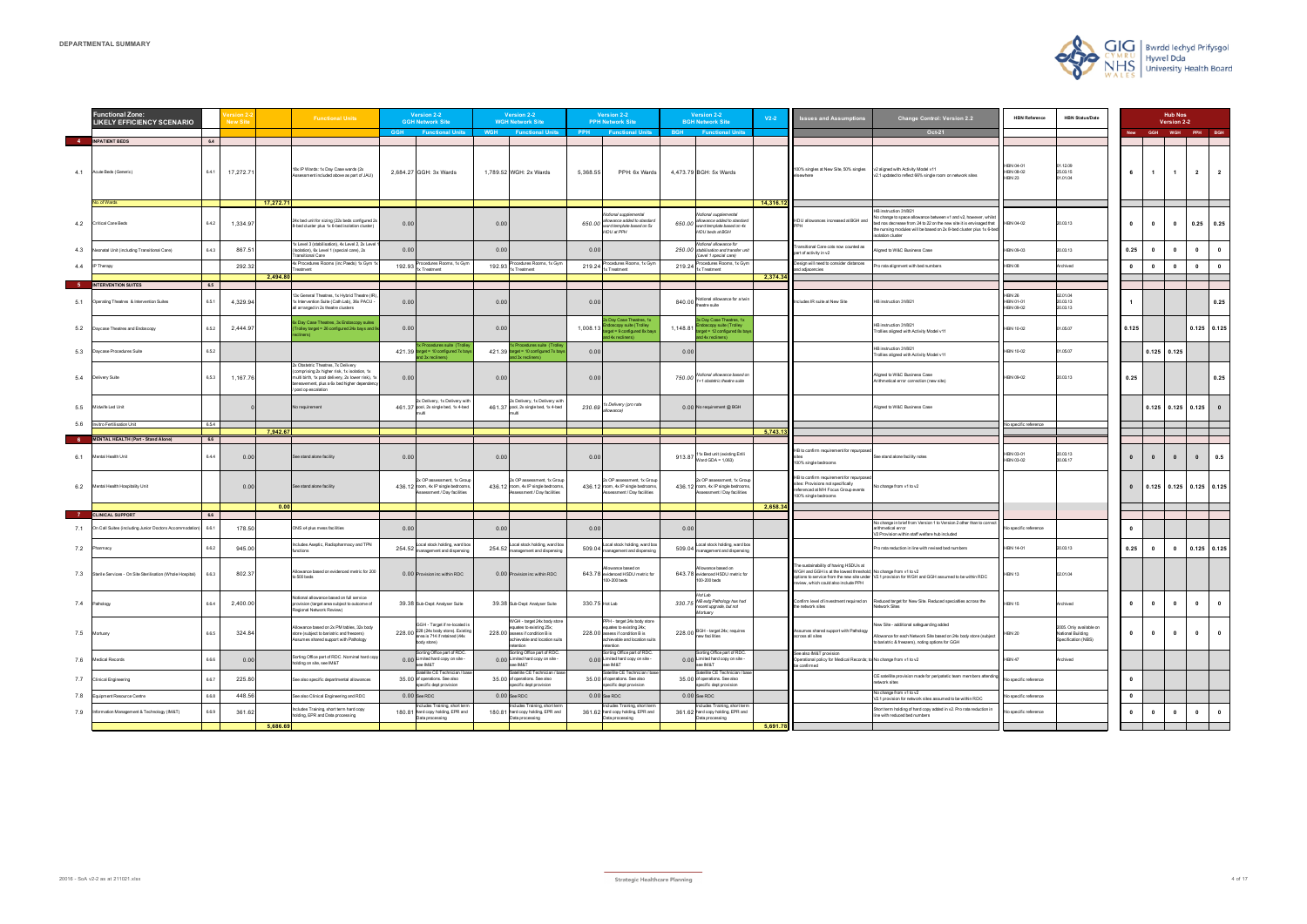| <b>HBN Reference</b>                    | <b>HBN Status/Date</b>                                              | <b>Hub Nos</b><br>Version 2-2 |           |            |           |                         |  |  |
|-----------------------------------------|---------------------------------------------------------------------|-------------------------------|-----------|------------|-----------|-------------------------|--|--|
|                                         |                                                                     | New                           | GGH       | <b>WGH</b> | PPH       | <b>BGH</b>              |  |  |
|                                         |                                                                     |                               |           |            |           |                         |  |  |
| HBN 04-01<br>HBN 08-02<br><b>HBN 23</b> | 01.12.09<br>25.03.15<br>01.01.04                                    | 6                             | 1         | 1          | 2         | $\overline{\mathbf{2}}$ |  |  |
|                                         |                                                                     |                               |           |            |           |                         |  |  |
| HBN 04-02                               | 20.03.13                                                            | 0                             | 0         | 0          | 0.25      | 0.25                    |  |  |
| HBN 09-03                               | 20.03.13                                                            | 0.25                          | 0         | 0          | 0         | 0                       |  |  |
| <b>HBN 08</b>                           | Archived                                                            | $\pmb{0}$                     | 0         | 0          | 0         | 0                       |  |  |
|                                         |                                                                     |                               |           |            |           |                         |  |  |
|                                         |                                                                     |                               |           |            |           |                         |  |  |
| <b>HBN 26</b><br>HBN 01-01<br>HBN 09-02 | 02.01.04<br>20.03.13<br>20.03.13                                    | 1                             |           |            |           | 0.25                    |  |  |
| <b>HBN 10-02</b>                        | 01.05.07                                                            | 0.125                         |           |            | 0.125     | 0.125                   |  |  |
| HBN 10-02                               | 01.05.07                                                            |                               | 0.125     | 0.125      |           |                         |  |  |
| HBN 09-02                               | 20.03.13                                                            | 0.25                          |           |            |           | 0.25                    |  |  |
|                                         |                                                                     |                               | 0.125     | 0.125      | 0.125     | $\pmb{0}$               |  |  |
| No specific reference                   |                                                                     |                               |           |            |           |                         |  |  |
|                                         |                                                                     |                               |           |            |           |                         |  |  |
|                                         |                                                                     |                               |           |            |           |                         |  |  |
| HBN 03-01<br>HBN 03-02                  | 20.03.13<br>30.06.17                                                | $\pmb{0}$                     | $\pmb{0}$ | $\pmb{0}$  | $\pmb{0}$ | 0.5                     |  |  |
|                                         |                                                                     | $\pmb{0}$                     | 0.125     | 0.125      | 0.125     | 0.125                   |  |  |
|                                         |                                                                     |                               |           |            |           |                         |  |  |
|                                         |                                                                     |                               |           |            |           |                         |  |  |
| No specific reference                   |                                                                     | 0                             |           |            |           |                         |  |  |
| HBN 14-01                               | 20.03.13                                                            | 0.25                          | 0         | 0          | 0.125     | 0.125                   |  |  |
| HBN 13                                  | 02.01.04                                                            |                               |           |            |           |                         |  |  |
| <b>HBN 15</b>                           | Archived                                                            | 0                             | 0         | $\pmb{0}$  | 0         | $\pmb{0}$               |  |  |
| <b>HBN 20</b>                           | 2005. Only available on<br>National Building<br>Specification (NBS) | 0                             | 0         | $\pmb{0}$  | 0         | 0                       |  |  |
| HBN 47                                  | Archived                                                            |                               |           |            |           |                         |  |  |
| No specific reference                   |                                                                     | 0                             |           |            |           |                         |  |  |
| No specific reference                   |                                                                     | 0                             |           |            |           |                         |  |  |
| No specific reference                   |                                                                     | 0                             | 0         | 0          | 0         | 0                       |  |  |
|                                         |                                                                     |                               |           |            |           |                         |  |  |

|      | <b>Functional Zone:</b><br><b>LIKELY EFFICIENCY SCENARIO</b> |              | <b>New Site</b> |           | <b>Functional Units</b>                                                                                                                                                                                      | Version 2-2<br><b>GGH Network Site</b>                                                                                |        | Version 2-2<br><b>WGH Network Site</b>                                                                                                   |                | Version 2-2<br><b>PPH Network Site</b>                                                                                                   | <b>Version 2-2</b><br><b>BGH Network Site</b>                                                                     | $V2-2$    | <b>Issues and Assumptions</b>                                                                                                                    | <b>Change Control: Version 2.2</b>                                                                                                                                                                                                                                    | <b>HBN Reference</b>                    | <b>HBN Status/Date</b>                                              |              |                | <b>Hub Nos</b><br>Version 2-2 |                         |                         |
|------|--------------------------------------------------------------|--------------|-----------------|-----------|--------------------------------------------------------------------------------------------------------------------------------------------------------------------------------------------------------------|-----------------------------------------------------------------------------------------------------------------------|--------|------------------------------------------------------------------------------------------------------------------------------------------|----------------|------------------------------------------------------------------------------------------------------------------------------------------|-------------------------------------------------------------------------------------------------------------------|-----------|--------------------------------------------------------------------------------------------------------------------------------------------------|-----------------------------------------------------------------------------------------------------------------------------------------------------------------------------------------------------------------------------------------------------------------------|-----------------------------------------|---------------------------------------------------------------------|--------------|----------------|-------------------------------|-------------------------|-------------------------|
|      |                                                              |              |                 |           |                                                                                                                                                                                                              | <b>GGH</b><br><b>Functional Units</b>                                                                                 |        | <b>WGH</b> Functional Units                                                                                                              |                | <b>PPH</b> Functional Units                                                                                                              | <b>BGH</b> Functional Units                                                                                       |           |                                                                                                                                                  | Oct-21                                                                                                                                                                                                                                                                |                                         |                                                                     |              |                | GGH WGH PPH BGH               |                         |                         |
| 4.1  | 4 INPATIENT BEDS<br>Acute Beds (Generic)                     | 6.4<br>6.4.1 | 17,272.7        |           | 18x IP Wards: 1x Day Case wards (2x<br>sessment included above as part of JAU)                                                                                                                               | 2,684.27 GGH: 3x Wards                                                                                                |        | 1,789.52 WGH: 2x Wards                                                                                                                   | 5,368.55       | PPH: 6x Wards                                                                                                                            | 4,473.79 BGH: 5x Wards                                                                                            |           | 100% singles at New Site, 50% singles                                                                                                            | v2 aligned with Activity Model v11<br>2.1 updated to reflect 66% single room on network sites                                                                                                                                                                         | HBN 04-01<br>HBN 08-02<br><b>HBN 23</b> | 01.12.09<br>25.03.15<br>01.01.04                                    | 6            | $\overline{1}$ | $\mathbf{1}$                  | $\overline{2}$          | $\overline{\mathbf{2}}$ |
|      | No. of Wards                                                 |              |                 | 17,272.71 |                                                                                                                                                                                                              |                                                                                                                       |        |                                                                                                                                          |                |                                                                                                                                          |                                                                                                                   | 14,316.12 |                                                                                                                                                  |                                                                                                                                                                                                                                                                       |                                         |                                                                     |              |                |                               |                         |                         |
|      | 4.2 Critical Care Beds                                       | 6.4.2        | 1,334.9         |           | 24x bed unit for sizing (22x beds configured 2:<br>8-bed cluster plus 1x 6-bed isolation cluster)                                                                                                            | 0.00                                                                                                                  | 0.00   |                                                                                                                                          | 650.00         | Notional supplemental<br>allowance added to standard<br>ward template based on 5x<br>HDU at PPH                                          | Notional supplemental<br>allowance added to standard<br>650.00<br>ward template based on 4x<br>HDU beds at BGH    |           | HDU allowances increased at BGH and                                                                                                              | HB instruction 31/8/21<br>lo change to space allowance between v1 and v2, however, whilst<br>bed nos decrease from 24 to 22 on the new site it is envisaged that HBN 04-02<br>the nursing modules will be based on 2x 8-bed cluster plus 1x 6-bed<br>solation cluster |                                         | 20.03.13                                                            | $\mathbf{0}$ | $\mathbf{0}$   | $\mathbf{0}$                  |                         | $0.25$ 0.25             |
| 4.3  | Neonatal Unit (including Transitional Care)                  | 6.4.3        | 867.5           |           | 1x Level 3 (stabilisation), 4x Level 2, 2x Leve<br>(Isolation), 6x Level 1 (special care), 2x<br>ransitional Care                                                                                            | 0.00                                                                                                                  | 0.00   |                                                                                                                                          | 0.00           |                                                                                                                                          | Notional allowance for<br>stabilisation and transfer unit<br>250.00<br>Level 1 special care)                      |           | Transitional Care cots now counted as<br>part of activity in v2                                                                                  | igned to W&C Business Case                                                                                                                                                                                                                                            | HBN 09-03                               | 20.03.13                                                            | 0.25         | $\mathbf{0}$   | $\mathbf{0}$                  | $\mathbf{0}$            | $\mathbf{0}$            |
|      | 4.4 IP Therapy                                               |              | 292.32          | 2,494.80  | 4x Procedures Rooms (inc Paeds) 1x Gym 1<br>reatment                                                                                                                                                         | Procedures Rooms, 1x Gym<br>192.93<br>x Treatment                                                                     | 192.93 | Procedures Rooms, 1x Gym<br>1x Treatment                                                                                                 |                | 219.24 Procedures Rooms, 1x Gyn                                                                                                          | Procedures Rooms, 1x Gyn<br>219.24<br>x Treatment                                                                 | 2,374.34  | Design will need to consider distances<br>and adjacencies                                                                                        | ro rata alignment with bed numbers                                                                                                                                                                                                                                    | <b>HBN 08</b>                           | Archived                                                            | $\mathbf{0}$ | $\mathbf{0}$   | $\mathbf{0}$                  | $\mathbf{0}$            | $\bullet$               |
|      | INTERVENTION SUITES                                          | 6.5          |                 |           |                                                                                                                                                                                                              |                                                                                                                       |        |                                                                                                                                          |                |                                                                                                                                          |                                                                                                                   |           |                                                                                                                                                  |                                                                                                                                                                                                                                                                       |                                         |                                                                     |              |                |                               |                         |                         |
|      | 5.1 Operating Theatres & Intervention Suites                 | 6.5.1        | 4,329.94        |           | 13x General Theatres, 1x Hybrid Theatre (IR<br>1x Intervention Suite (Cath Lab), 36x PACU -<br>all arranged in 2x theatre clusters                                                                           | 0.00                                                                                                                  | 0.00   |                                                                                                                                          | 0.00           |                                                                                                                                          | Notional allowance for a twir<br>840.00<br>heatre suite                                                           |           | Includes IR suite at New Site                                                                                                                    | HB instruction 31/8/21                                                                                                                                                                                                                                                | <b>HBN 26</b><br>HBN 01-01<br>HBN 09-02 | 02.01.04<br>20.03.13<br>20.03.13                                    |              |                |                               |                         | 0.25                    |
| 5.2  | Daycase Theatres and Endoscopy                               | 6.5.2        | 2,444.97        |           | 6x Day Case Theatres, 3x Endoscopy suites<br>Trolley target = 26 configured 24x bays and 9                                                                                                                   | 0.00                                                                                                                  | 0.00   |                                                                                                                                          | 1,008.13       | x Day Case Theatres, 1x<br>doscopy suite (Trolley<br>arget = 9 configured 8x bays<br>and 4x recliners)                                   | x Day Case Theatres, 1x<br>doscopy suite (Trolley<br>1,148.81<br>arget = 12 configured 8x bay<br>nd 4x recliners) |           |                                                                                                                                                  | HB instruction 31/8/21<br>Trollies aligned with Activity Model v11                                                                                                                                                                                                    | HBN 10-02                               | 01.05.07                                                            | 0.125        |                |                               |                         | $0.125$ $0.125$         |
| 5.3  | Daycase Procedures Suite                                     | 6.5.2        |                 |           |                                                                                                                                                                                                              | Procedures suite (Trolle<br>421.39 target = 10 configured 7x bays<br>and 3x recliners)                                |        | Procedures suite (Trolle<br>421.39 target = 10 configured 7x bays<br>and 3x recliners)                                                   | 0.00           |                                                                                                                                          | 0.00                                                                                                              |           |                                                                                                                                                  | HB instruction 31/8/21<br>Frollies aligned with Activity Model v11                                                                                                                                                                                                    | HBN 10-02                               | 01.05.07                                                            |              |                | $0.125$ 0.125                 |                         |                         |
|      | 5.4 Delivery Suite                                           | 6,5.3        | 1,167.76        |           | 2x Obstetric Theatres, 7x Delivery<br>(comprising 2x higher risk, 1x isolation, 1x<br>multi birth, 1x pool delivery, 2x lower risk), 1x<br>bereavement, plus a 6x bed higher dependenc<br>post op escalation | 0.00                                                                                                                  | 0.00   |                                                                                                                                          | 0.00           |                                                                                                                                          | Notional allowance based or<br>750.00<br>1+1 obstetric theatre suite                                              |           |                                                                                                                                                  | Aligned to W&C Business Case<br>Arithmetical error correction (new site)                                                                                                                                                                                              | HBN 09-02                               | 20.03.13                                                            | 0.25         |                |                               |                         | 0.25                    |
| 5.5  | Midwife Led Unit                                             |              |                 |           | No requirement                                                                                                                                                                                               | 2x Delivery, 1x Delivery with<br>461.37 pool, 2x single bed, 1x 4-bed                                                 |        | 2x Delivery, 1x Delivery with<br>461.37 pool, 2x single bed, 1x 4-bed                                                                    |                | 230.69 <sup>1x Delivery</sup> (pro rata<br>allowance)                                                                                    | 0.00 No requirement @ BGH                                                                                         |           |                                                                                                                                                  | Aligned to W&C Business Case                                                                                                                                                                                                                                          |                                         |                                                                     |              |                | $0.125$ 0.125 0.125           |                         |                         |
| -5.6 | nvitro Fertilisation Unit                                    | 6.5.4        |                 | 7,942.67  |                                                                                                                                                                                                              |                                                                                                                       |        |                                                                                                                                          |                |                                                                                                                                          |                                                                                                                   | 5,743.1   |                                                                                                                                                  |                                                                                                                                                                                                                                                                       | Vo specific reference                   |                                                                     |              |                |                               |                         |                         |
|      | <b>MENTAL HEALTH (Part - Stand Alone)</b>                    | 6.6          |                 |           |                                                                                                                                                                                                              |                                                                                                                       |        |                                                                                                                                          |                |                                                                                                                                          |                                                                                                                   |           |                                                                                                                                                  |                                                                                                                                                                                                                                                                       |                                         |                                                                     |              |                |                               |                         |                         |
| 6.1  | Mental Health Unit                                           | 6.4.4        | 0.00            |           | See stand alone facility                                                                                                                                                                                     | 0.00                                                                                                                  | 0.00   |                                                                                                                                          | 0.00           |                                                                                                                                          | 1x Bed unit (existing Enlli<br>913.87<br>Ward GDA = $1.063$ )                                                     |           | HB to confirm requirement for repurposed<br>100% single bedrooms                                                                                 | See stand alone facility notes                                                                                                                                                                                                                                        | HBN 03-01<br>HBN 03-02                  | 20.03.13<br>30.06.17                                                | $\bf{0}$     | $\mathbf{0}$   | $\mathbf{0}$                  | $\mathbf{0}$            | 0.5                     |
| 6.2  | Mental Health Hospitality Unit                               |              | 0.00            |           | See stand alone facility                                                                                                                                                                                     | 2x OP assessment, 1x Group<br>436.12 room, 4x IP single bedrooms<br>ssessment / Day facilities                        |        | 2x OP assessment, 1x Group<br>436.12 room, 4x IP single bedrooms<br>Assessment / Day facilities                                          |                | 2x OP assessment, 1x Group<br>436.12 room, 4x IP single bedrooms<br>Assessment / Day facilities                                          | 2x OP assessment, 1x Group<br>436.12 room, 4x IP single bedrooms<br>Assessment / Day facilities                   |           | HB to confirm requirement for repurpose<br>sites: Provisions not specifically<br>referenced at MH Focus Group events<br>100% single bedrooms     | No change from v1 to v2                                                                                                                                                                                                                                               |                                         |                                                                     | $\mathbf{0}$ |                | $0.125$ 0.125 0.125 0.125     |                         |                         |
|      | <b>CLINICAL SUPPORT</b>                                      | 6.6          |                 | 0.00      |                                                                                                                                                                                                              |                                                                                                                       |        |                                                                                                                                          |                |                                                                                                                                          |                                                                                                                   | 2,658.3   |                                                                                                                                                  |                                                                                                                                                                                                                                                                       |                                         |                                                                     |              |                |                               |                         |                         |
|      | 7.1 On Call Suites (including Junior Doctors Accommodation)  | 6.6.1        | 178.50          |           | ONS x4 plus mess facilities                                                                                                                                                                                  | 0.00                                                                                                                  | 0.00   |                                                                                                                                          | 0.00           |                                                                                                                                          | 0.00                                                                                                              |           |                                                                                                                                                  | lo change in brief from Version 1 to Version 2 other than to correct<br>arithmetical error<br>/2 Provision within staff welfare hub included                                                                                                                          | No specific reference                   |                                                                     | $\mathbf{0}$ |                |                               |                         |                         |
| 7.2  | Pharmacy                                                     | 6.6.2        | 945.00          |           | Includes Aseptic, Radiopharmacy and TPN<br>unctions                                                                                                                                                          | 254.52 Local stock holding, ward box<br>management and dispensing                                                     | 254.52 | Local stock holding, ward box<br>management and dispensing                                                                               | 509.04         | Local stock holding, ward box<br>management and dispensing                                                                               | Local stock holding, ward box<br>509.04<br>nanagement and dispensing                                              |           |                                                                                                                                                  | Pro rata reduction in line with revised bed numbers                                                                                                                                                                                                                   | HBN 14-01                               | 20.03.13                                                            | 0.25         | $\mathbf{0}$   | $\mathbf{0}$                  | $0.125$ 0.125           |                         |
| 7.3  | Sterile Services - On Site Sterilisation (Whole Hospital)    | 6.6.3        | 802.3           |           | Allowance based on evidenced metric for 200<br>o 500 beds                                                                                                                                                    | 0.00 Provision inc within RDC                                                                                         |        | 0.00 Provision inc within RDC                                                                                                            |                | Allowance based on<br>643.78 evidenced HSDU metric for<br>100-200 beds                                                                   | llowance based on<br>evidenced HSDU metric for<br>643.78<br>00-200 beds                                           |           | The sustainability of having HSDUs at<br>WGH and GGH is at the lowest threshold; No change from v1 to v2<br>review, which could also include PPH | options to service from the new site under V2.1 provision for WGH and GGH assumed to be within RDC                                                                                                                                                                    | <b>HBN 13</b>                           | 02.01.04                                                            |              |                |                               |                         |                         |
|      | 7.4 Pathology                                                | 6.6.4        | 2,400.00        |           | Notional allowance based on full service<br>provision (target area subject to outcome of<br>egional Network Review)                                                                                          | 39.38 Sub-Dept: Analyser Suite                                                                                        |        | 39.38 Sub-Dept: Analyser Suite                                                                                                           | 330.75 Hot Lab |                                                                                                                                          | Hot Lab<br>NB extg Pathology has had<br>330.75<br>recent upgrade, but not<br>Mortuary                             |           | the network sites                                                                                                                                | Confirm level of investment required on Reduced target for New Site. Reduced specialties across the<br>Network Sites                                                                                                                                                  | <b>HBN 15</b>                           | Archived                                                            | $\mathbf{0}$ | $\mathbf{0}$   | $\mathbf{0}$                  | $\bullet$               | $\overline{\mathbf{0}}$ |
|      | 7.5 Mortuary                                                 | 6.6.5        | 324.84          |           | Allowance based on 2x PM tables, 32x body<br>store (subject to bariatric and freezers)<br>ssumes shared support with Pathology                                                                               | GGH - Target if re-located is<br>228.00 228 (24x body store). Existing<br>area is 714 if retained (44x<br>body store) |        | WGH - target 24x body store<br>equates to existing 25x;<br>228.00 assess if condition B is<br>achievable and location suits<br>retention |                | PPH - target 24x body store<br>equates to existing 24x;<br>228.00 assess if condition B is<br>achievable and location suits<br>retention | 228.00 BGH - target 24x; requires<br>new facilities                                                               |           | Assumes shared support with Pathology<br>across all sites                                                                                        | lew Site - additional safeguarding added<br>Ilowance for each Network Site based on 24x body store (subject<br>o bariatric & freezers), noting options for GGH                                                                                                        | HBN 20                                  | 2005. Only available on<br>National Building<br>Specification (NBS) | $\mathbf{0}$ | $\mathbf{0}$   | $\mathbf{0}$                  | $\overline{\mathbf{0}}$ | $\bullet$               |
|      | 7.6 Medical Records                                          | 6.6.6        | 0.00            |           | Sorting Office part of RDC. Nominal hard cop<br>olding on site, see IM&T                                                                                                                                     | orting Office part of RDC.<br>0.00 Limited hard copy on site -<br>See IM&T                                            |        | Sorting Office part of RDC.<br>0.00 Limited hard copy on site -<br>see IM&T                                                              |                | Sorting Office part of RDC<br>0.00 Limited hard copy on site -<br>see IM&T                                                               | orting Office part of RDC.<br>0.00 Limited hard copy on site -<br>T&MI ee                                         |           | See also IM&T provision<br>Operational policy for Medical Records; to No change from v1 to v2<br>be confirmed                                    |                                                                                                                                                                                                                                                                       | <b>HBN 47</b>                           | Archived                                                            |              |                |                               |                         |                         |
|      | 7.7 Clinical Engineering                                     | 6.6.7        | 225.80          |           | See also specific departmental allowances                                                                                                                                                                    | atellite CE Technician / base<br>35.00 of operations. See also<br>specific dept provision                             |        | atellite CE Technician / bas<br>35.00 of operations. See also<br>specific dept provision                                                 |                | Satellite CE Technician / bas<br>35.00 of operations. See also<br>specific dept provision                                                | atellite CE Technician / base<br>35.00 of operations. See also<br>pecific dept provision                          |           |                                                                                                                                                  | CE satellite provision made for peripatetic team members attendin<br>etwork sites                                                                                                                                                                                     | No specific reference                   |                                                                     | $\mathbf 0$  |                |                               |                         |                         |
| 7.8  | Equipment Resource Centre                                    | 6.6.8        | 448.5           |           | See also Clinical Engineering and RDC                                                                                                                                                                        | $0.00$ See RDC                                                                                                        |        | $0.00$ See RDC                                                                                                                           |                | $0.00$ See RDC                                                                                                                           | $0.00$ See RDC                                                                                                    |           |                                                                                                                                                  | No change from v1 to v2<br>V2.1 provision for network sites assumed to be within RDC                                                                                                                                                                                  | No specific reference                   |                                                                     | $\bf{0}$     |                |                               |                         |                         |
| 7.9  | Information Management & Technology (IM&T)                   | 6.6.9        | 361.6           | 5,686.69  | ncludes Training, short term hard copy<br>holding, EPR and Data processing                                                                                                                                   | cludes Training, short term<br>180.81 hard copy holding, EPR and<br>Data processing                                   |        | tcludes Training, short term<br>180.81 hard copy holding, EPR and<br>Data processing                                                     |                | ncludes Training, short term<br>361.62 hard copy holding, EPR and<br>Data processing                                                     | icludes Training, short terr<br>361.62 hard copy holding, EPR and<br>Data processing                              | 5,691.78  |                                                                                                                                                  | Short term holding of hard copy added in v2. Pro rata reduction in<br>ine with reduced bed numbers                                                                                                                                                                    | No specific reference                   |                                                                     | $\mathbf{0}$ | $\mathbf{0}$   | $\mathbf 0$                   | $\mathbf{0}$            | $\overline{\mathbf{0}}$ |
|      |                                                              |              |                 |           |                                                                                                                                                                                                              |                                                                                                                       |        |                                                                                                                                          |                |                                                                                                                                          |                                                                                                                   |           |                                                                                                                                                  |                                                                                                                                                                                                                                                                       |                                         |                                                                     |              |                |                               |                         |                         |

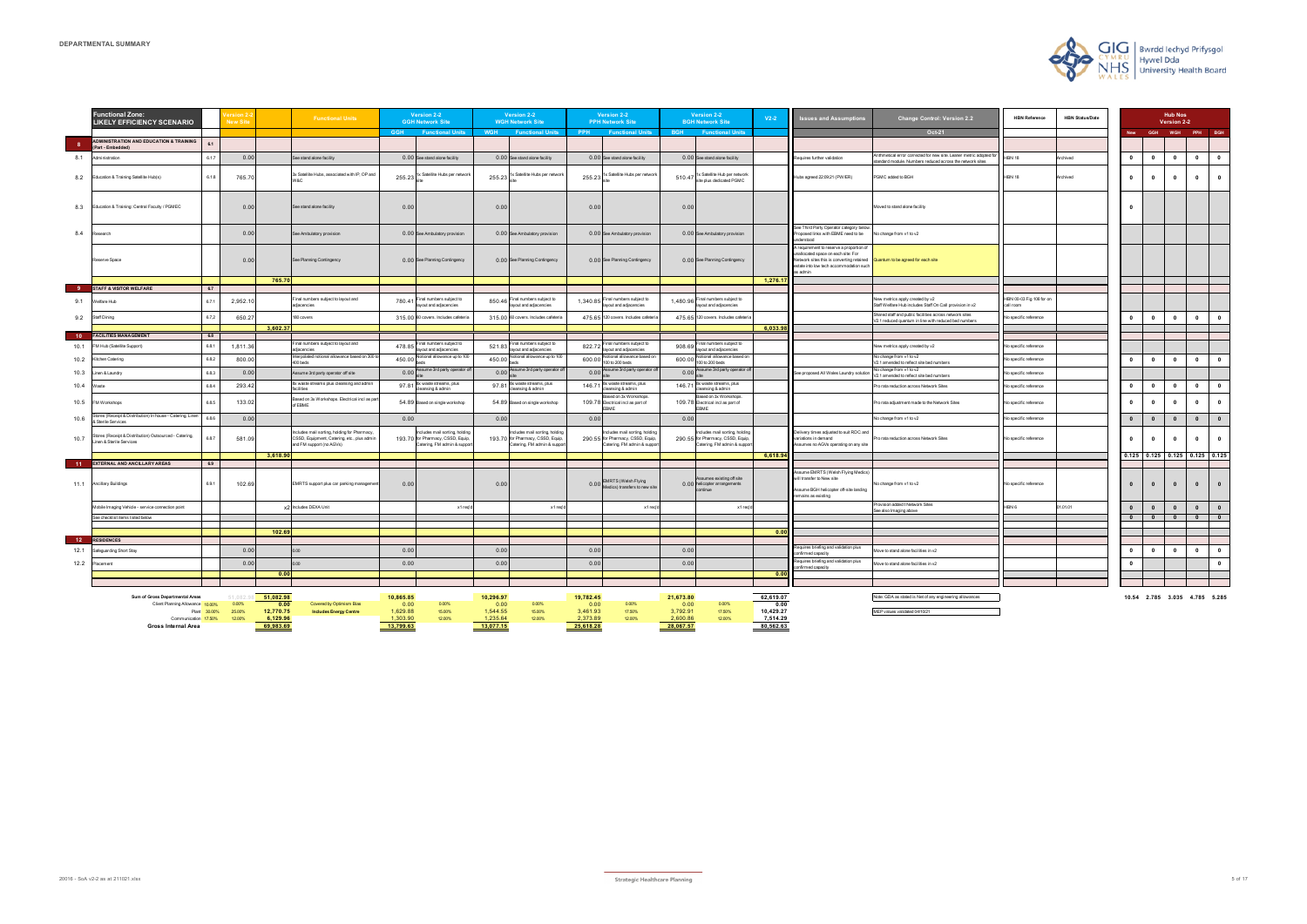|       | <b>Hub Nos</b><br>Version 2-2 |            |       |       |  |  |  |  |  |
|-------|-------------------------------|------------|-------|-------|--|--|--|--|--|
| New   | GGH                           | <b>WGH</b> | PPH   | BGH   |  |  |  |  |  |
|       |                               |            |       |       |  |  |  |  |  |
| 0     | 0                             | 0          | 0     | 0     |  |  |  |  |  |
| 0     | 0                             | 0          | 0     | 0     |  |  |  |  |  |
| 0     |                               |            |       |       |  |  |  |  |  |
|       |                               |            |       |       |  |  |  |  |  |
|       |                               |            |       |       |  |  |  |  |  |
|       |                               |            |       |       |  |  |  |  |  |
|       |                               |            |       |       |  |  |  |  |  |
| 0     | 0                             | 0          | 0     | 0     |  |  |  |  |  |
|       |                               |            |       |       |  |  |  |  |  |
|       |                               |            |       |       |  |  |  |  |  |
| 0     | 0                             | 0          | 0     | 0     |  |  |  |  |  |
|       |                               |            |       |       |  |  |  |  |  |
| 0     | 0                             | 0          | 0     | 0     |  |  |  |  |  |
| 0     | 0                             | 0          | 0     | 0     |  |  |  |  |  |
| 0     | $\mathbf{0}$                  | 0          | 0     | 0     |  |  |  |  |  |
| 0     | 0                             | 0          | 0     | 0     |  |  |  |  |  |
| 0.125 | 0.125                         | 0.125      | 0.125 | 0.125 |  |  |  |  |  |
| 0     | 0                             | 0          | 0     | 0     |  |  |  |  |  |
| 0     | 0                             | 0          | 0     | 0     |  |  |  |  |  |
| o     | $\overline{\mathbf{0}}$       | 0          | 0     | 0     |  |  |  |  |  |
|       |                               |            |       |       |  |  |  |  |  |
| 0     | 0                             | 0          | 0     | 0     |  |  |  |  |  |
| 0     |                               |            |       | 0     |  |  |  |  |  |
|       |                               |            |       |       |  |  |  |  |  |
|       |                               |            |       |       |  |  |  |  |  |
|       |                               |            |       |       |  |  |  |  |  |

|                         | <b>Functional Zone:</b><br><b>LIKELY EFFICIENCY SCENARIO</b>                          |              | <b>New Sit</b>   |                       | <b>Functional Units</b>                                                                                               | Version 2-2<br><b>GGH Network Site</b> |                                                                                                 |                      | Version 2-2<br><b>WGH Network Site</b>                                                          |                      | Version 2-2<br><b>PPH Network Site</b>                                                         |                      | Version 2-2<br><b>BGH Network Site</b>                                                           | $V2-2$                | <b>Issues and Assumptions</b>                                                                                                                                                       | <b>Change Control: Version 2.2</b>                                                                                            | <b>HBN Reference</b>                 | <b>HBN Status/Date</b> |              |                | <b>Hub Nos</b><br>Version 2-2   |                         |                         |
|-------------------------|---------------------------------------------------------------------------------------|--------------|------------------|-----------------------|-----------------------------------------------------------------------------------------------------------------------|----------------------------------------|-------------------------------------------------------------------------------------------------|----------------------|-------------------------------------------------------------------------------------------------|----------------------|------------------------------------------------------------------------------------------------|----------------------|--------------------------------------------------------------------------------------------------|-----------------------|-------------------------------------------------------------------------------------------------------------------------------------------------------------------------------------|-------------------------------------------------------------------------------------------------------------------------------|--------------------------------------|------------------------|--------------|----------------|---------------------------------|-------------------------|-------------------------|
|                         |                                                                                       |              |                  |                       |                                                                                                                       |                                        | <b>GGH</b> Functional Units                                                                     | <b>WGH</b>           | <b>Eunctional Units</b>                                                                         | <b>PPH</b>           | <b>Eunctional Units</b>                                                                        | <b>BGH</b>           | <b>Eunctional Units</b>                                                                          |                       |                                                                                                                                                                                     | Oct-21                                                                                                                        |                                      |                        |              | <b>GGH</b>     |                                 | WGH PPH BGH             |                         |
| $\overline{\mathbf{8}}$ | <b>ADMINISTRATION AND EDUCATION &amp; TRAINING</b><br>Part - Embedded                 | 61           |                  |                       |                                                                                                                       |                                        |                                                                                                 |                      |                                                                                                 |                      |                                                                                                |                      |                                                                                                  |                       |                                                                                                                                                                                     |                                                                                                                               |                                      |                        |              |                |                                 |                         |                         |
| 8.1                     | Administration                                                                        | 6.1.7        | 0.00             |                       | ee stand alone facility                                                                                               |                                        | 0.00 See stand alone facility                                                                   |                      | 0.00 See stand alone facility                                                                   |                      | 0.00 See stand alone facility                                                                  |                      | 0.00 See stand alone facility                                                                    |                       | Requires further validation                                                                                                                                                         | rithmetical error corrected for new site. Leaner metric adopted fo<br>andard module. Numbers reduced across the network sites | <b>IBN 18</b>                        | Archived               | $\mathbf{0}$ | $\mathbf{0}$   | $\mathbf{0}$                    | $\mathbf 0$             |                         |
| 8.2                     | Education & Training Satellite Hub(s)                                                 | 6.1.8        | 765.70           |                       | 3x Satellite Hubs, associated with IP, OP and<br>N&C                                                                  | 255.23                                 | 1x Satellite Hubs per networ                                                                    | 255.23               | x Satellite Hubs per networ                                                                     | 255.23               | 1x Satellite Hubs per networ                                                                   | 510.47               | 1x Satellite Hub per network<br>site plus dedicated PGMC                                         |                       | Hubs agreed 22:09:21 (PW/ER)                                                                                                                                                        | PGMC added to BGH                                                                                                             | <b>HBN 18</b>                        | Archived               | $\mathbf{0}$ | $\mathbf{0}$   | $\Omega$                        | $\mathbf{0}$            | $\mathbf{0}$            |
| 8.3                     | Education & Training: Central Faculty / PGMEC                                         |              | 0.00             |                       | See stand alone facility                                                                                              | 0.00                                   |                                                                                                 | 0.00                 |                                                                                                 | 0.00                 |                                                                                                | 0.00                 |                                                                                                  |                       |                                                                                                                                                                                     | Moved to stand alone facility                                                                                                 |                                      |                        | $\mathbf{0}$ |                |                                 |                         |                         |
| 8.4                     | Research                                                                              |              | 0.00             |                       | See Ambulatory provision                                                                                              |                                        | 0.00 See Ambulatory provision                                                                   |                      | 0.00 See Ambulatory provision                                                                   |                      | 0.00 See Ambulatory provision                                                                  |                      | 0.00 See Ambulatory provision                                                                    |                       | See Third Party Operator category below<br>Proposed links with EBME need to be<br>understood                                                                                        | Vo change from v1 to v2                                                                                                       |                                      |                        |              |                |                                 |                         |                         |
|                         | Reserve Space                                                                         |              | 0.00             |                       | See Planning Contingency                                                                                              |                                        | 0.00 See Planning Contingency                                                                   |                      | 0.00 See Planning Contingency                                                                   |                      | 0.00 See Planning Contingency                                                                  |                      | 0.00 See Planning Contingency                                                                    |                       | A requirement to reserve a proportion of<br>unallocated space on each site: For<br>Network sites this is converting retained<br>estate into low tech accommodation such<br>as admin | Quantum to be agreed for each site                                                                                            |                                      |                        |              |                |                                 |                         |                         |
|                         |                                                                                       |              |                  | 765.70                |                                                                                                                       |                                        |                                                                                                 |                      |                                                                                                 |                      |                                                                                                |                      |                                                                                                  | 1,276.1               |                                                                                                                                                                                     |                                                                                                                               |                                      |                        |              |                |                                 |                         |                         |
| 9.1                     | <b>STAFF &amp; VISITOR WELFARE</b><br>Welfare Hub                                     | 6.7<br>6.7.1 | 2,952.7          |                       | inal numbers subject to lavout and<br>adjacencies                                                                     | 780.41                                 | Final numbers subject to<br>ayout and adjacencies                                               | 850.46               | Final numbers subject to<br>ayout and adjacencies                                               | 1,340.85             | Final numbers subject to<br>ayout and adjacencies                                              | 1,480.96             | Final numbers subject to<br>ayout and adjacencies                                                |                       |                                                                                                                                                                                     | Jew metrics annly created by y2<br>Staff Welfare Hub includes Staff On Call provision in v2                                   | HBN 00-03 Fig 106 for on<br>all room |                        |              |                |                                 |                         |                         |
| 9.2                     | <b>Staff Dining</b>                                                                   | 6.7,2        | 650.27           |                       | 180 covers                                                                                                            |                                        | 315.00 60 covers. Includes cafeteria                                                            |                      | 315.00 60 covers. Includes cafeteria                                                            |                      | 475.65 120 covers. Includes cafeter                                                            |                      | 475.65 120 covers. Includes cafeteria                                                            |                       |                                                                                                                                                                                     | Shared staff and public facilities across network sites<br>V2.1 reduced quantum in line with reduced bed numbers              | No specific reference                |                        | $\mathbf{0}$ | $\mathbf{0}$   | $\mathbf{0}$                    | $\mathbf{0}$            | $\overline{\mathbf{0}}$ |
|                         |                                                                                       |              |                  | 3,602.37              |                                                                                                                       |                                        |                                                                                                 |                      |                                                                                                 |                      |                                                                                                |                      |                                                                                                  | 6,033.98              |                                                                                                                                                                                     |                                                                                                                               |                                      |                        |              |                |                                 |                         |                         |
|                         | <b>FACILITIES MANAGEMENT</b>                                                          | 6.8          |                  |                       | nal numbers subject to layout and                                                                                     |                                        | inal numbers subject to                                                                         |                      | inal numbers subject to                                                                         |                      | inal numbers subject to                                                                        |                      | inal numbers subject to                                                                          |                       |                                                                                                                                                                                     |                                                                                                                               |                                      |                        |              |                |                                 |                         |                         |
| 10.1                    | FM Hub (Satellite Support)                                                            | 6.8.1        | 1,811.36         |                       | adiacencies<br>nterpolated notional allowance based on 300                                                            | 478.85                                 | avout and adjacencies<br>lotional allowance up to 100                                           | 521.83               | avout and adjacencies<br>lotional allowance up to 10                                            | 822.72               | avout and adjacencies<br>Notional allowance based or                                           | 908.69               | avout and adiacencies<br><b>Jotional allowance based or</b>                                      |                       |                                                                                                                                                                                     | lew metrics apply created by v2<br>Io change from v1 to v2                                                                    | Vo specific reference                |                        |              |                |                                 |                         |                         |
| 10.2                    | Kitchen Catering                                                                      | 6.8.2        | 800.00           |                       | 400 heds                                                                                                              | 450.00                                 |                                                                                                 | 450.00               |                                                                                                 | 600.00               | 100 to 200 beds                                                                                | 600.00               | 100 to 200 beds                                                                                  |                       |                                                                                                                                                                                     | 2.1 amended to reflect site bed numbers                                                                                       | No specific reference                |                        | $\mathbf{0}$ | $\mathbf{0}$   | $\mathbf{0}$                    | $\mathbf{0}$            |                         |
| 10.3                    | Linen & Laundry                                                                       | 6.8.3        | 0.00             |                       | ssume 3rd party operator off site                                                                                     | 0.00                                   | ssume 3rd party operator o                                                                      | 0.00                 | ssume 3rd party operator                                                                        | 0.00                 | Assume 3rd party operator o                                                                    | 0.00                 | ssume 3rd party operator of                                                                      |                       | See proposed All Wales Laundry solution                                                                                                                                             | Vo change from v1 to v2<br>V2.1 amended to reflect site bed numbers                                                           | Vo specific reference                |                        |              |                |                                 |                         |                         |
| 10.4                    | Waste                                                                                 | 6.8.4        | 293.42           |                       | 3x waste streams plus cleansing and admin                                                                             | 97.81                                  | x waste streams, plus<br>eansing & admin                                                        | 97.81                | x waste streams, plus<br>eansing & admin                                                        | 146.71               | 8x waste streams, plus<br>eansing & admin                                                      | 146.71               | 8x waste streams, plus<br>ansing & admin                                                         |                       |                                                                                                                                                                                     | ro rata reduction across Network Sites                                                                                        | Vo specific reference                |                        | $\mathbf{0}$ | $\mathbf{0}$   | $\mathbf{0}$                    | $\mathbf{0}$            | $\mathbf{a}$            |
|                         | 10.5 FM Workshops                                                                     | 6.8.5        | 133.0            |                       | ased on 3x Workshops. Electrical incl as pa<br>f FBMF                                                                 |                                        | 54.89 Based on single workshop                                                                  |                      | 54.89 Based on single workshop                                                                  |                      | sed on 3x Workshops.<br>109.78 Electrical incl as part of<br>FBMF                              |                      | sed on 3x Workshops.<br>109.78 Electrical incl as part of<br>FBMF                                |                       |                                                                                                                                                                                     | Pro rata adjustment made to the Network Sites                                                                                 | No specific reference                |                        | $\mathbf{0}$ | $\mathbf{0}$   | $\Omega$                        | $\mathbf{0}$            | $\mathbf{0}$            |
| 10.6                    | Stores (Receipt & Distribution) In house - Catering, Linen<br><b>Sterile Services</b> | 6.8.6        | 0.00             |                       |                                                                                                                       | 0.00                                   |                                                                                                 | 0.00                 |                                                                                                 | 0.00                 |                                                                                                | 0.00                 |                                                                                                  |                       |                                                                                                                                                                                     | lo change from v1 to v2                                                                                                       | No specific reference                |                        | $\mathbf{0}$ | $\mathbf{0}$   | $\bf{0}$                        | $\mathbf{0}$            | $\mathbf{0}$            |
| 10.7                    | Stores (Receipt & Distribution) Outsourced - Catering,<br>inen & Sterile Services     | 6.8.7        | 581.09           |                       | ncludes mail sorting, holding for Pharmacy<br>CSSD, Equipment, Catering, etc., plus admir<br>and FM support (no AGVs) |                                        | cludes mail sorting, holding<br>193.70 for Pharmacy, CSSD, Equip,<br>Catering, FM admin & suppo |                      | cludes mail sorting, holding<br>193.70 for Pharmacy, CSSD, Equip,<br>Catering, FM admin & suppo |                      | cludes mail sorting, holdin<br>290.55 for Pharmacy, CSSD, Equip,<br>Catering, FM admin & suppo |                      | cludes mail sorting, holding<br>290.55 for Pharmacy, CSSD, Equip,<br>Catering, FM admin & suppor |                       | Delivery times adjusted to suit RDC and<br>variations in demand<br>Assumes no AGVs operating on any site                                                                            | Pro rata reduction across Network Sites                                                                                       | No specific reference                |                        | $\mathbf{0}$ | $\mathbf{0}$   | $\mathbf{0}$                    | $\mathbf{0}$            | $\mathbf{0}$            |
|                         |                                                                                       |              |                  | 3,618.90              |                                                                                                                       |                                        |                                                                                                 |                      |                                                                                                 |                      |                                                                                                |                      |                                                                                                  | 6,618.94              |                                                                                                                                                                                     |                                                                                                                               |                                      |                        |              |                | $0.125$ 0.125 0.125 0.125 0.125 |                         |                         |
| 11                      | <b>EXTERNAL AND ANCILLARY AREAS</b><br>11.1 Ancillary Buildings                       | 6.9<br>6.9.1 | 102.69           |                       | EMRTS support plus car parking manageme                                                                               | 0.00                                   |                                                                                                 | 0.00                 |                                                                                                 |                      | 0.00 EMRTS (Welsh Flying<br>Medics) transfers to new site                                      |                      | ssumes existing off site<br>0.00 helicopter arrangements<br>eunitm                               |                       | Assume EMRTS (Welsh Flying Medics)<br>will transfer to New site<br>Assume BGH helicopter off-site landing<br>remains as existing                                                    | lo change from v1 to v2                                                                                                       | No specific reference                |                        | $\mathbf{0}$ | $\Omega$       | $\mathbf{0}$                    | $\mathbf{0}$            | $\mathbf{0}$            |
|                         | Mobile Imaging Vehicle - service connection point                                     |              |                  |                       | x2 Includes DEXA Unit                                                                                                 |                                        | x1 rec                                                                                          |                      | x1 req                                                                                          |                      | $x1$ red                                                                                       |                      | x1 red                                                                                           |                       |                                                                                                                                                                                     | Provision added t Network Sites<br>See also Imaging above                                                                     | HBN 6                                | 01.01.01               | $\mathbf{0}$ | $\mathbf{0}$   | $\Omega$                        | $\mathbf{0}$            | $\mathbf{a}$            |
|                         | See checklist items listed below                                                      |              |                  |                       |                                                                                                                       |                                        |                                                                                                 |                      |                                                                                                 |                      |                                                                                                |                      |                                                                                                  |                       |                                                                                                                                                                                     |                                                                                                                               |                                      |                        | $\mathbf{0}$ | $\overline{0}$ | $\overline{\mathbf{0}}$         | $\overline{\mathbf{0}}$ | $\bullet$               |
|                         |                                                                                       |              |                  | 102.69                |                                                                                                                       |                                        |                                                                                                 |                      |                                                                                                 |                      |                                                                                                |                      |                                                                                                  | 0.00                  |                                                                                                                                                                                     |                                                                                                                               |                                      |                        |              |                |                                 |                         |                         |
|                         | 12 RESIDENCES                                                                         |              |                  |                       |                                                                                                                       |                                        |                                                                                                 |                      |                                                                                                 |                      |                                                                                                |                      |                                                                                                  |                       |                                                                                                                                                                                     |                                                                                                                               |                                      |                        |              |                |                                 |                         |                         |
| 12.1                    | Safeguarding Short Stay                                                               |              | 0.00             |                       |                                                                                                                       | 0.00                                   |                                                                                                 | 0.00                 |                                                                                                 | 0.00                 |                                                                                                | 0.00                 |                                                                                                  |                       | Requires briefing and validation plus<br>confirmed capacity                                                                                                                         | love to stand alone facilities in v2                                                                                          |                                      |                        | $\mathbf{0}$ | $\mathbf{0}$   | $\mathbf{0}$                    | $\mathbf{0}$            | $\overline{\mathbf{0}}$ |
| 12.2                    | Placement                                                                             |              | 0.0              |                       | n n                                                                                                                   | 0.00                                   |                                                                                                 | 0.00                 |                                                                                                 | 0.00                 |                                                                                                | 0.00                 |                                                                                                  |                       | equires briefing and validation plus<br>confirmed canacity                                                                                                                          | Aove to stand alone facilities in v2                                                                                          |                                      |                        | 0            |                |                                 |                         | $\mathbf{0}$            |
|                         |                                                                                       |              |                  | 0.00                  |                                                                                                                       |                                        |                                                                                                 |                      |                                                                                                 |                      |                                                                                                |                      |                                                                                                  | 0.00                  |                                                                                                                                                                                     |                                                                                                                               |                                      |                        |              |                |                                 |                         |                         |
|                         |                                                                                       |              |                  |                       |                                                                                                                       |                                        |                                                                                                 |                      |                                                                                                 |                      |                                                                                                |                      |                                                                                                  |                       |                                                                                                                                                                                     |                                                                                                                               |                                      |                        |              |                |                                 |                         |                         |
|                         | Sum of Gross Departmental Areas                                                       |              | 51 082           | 51,082.98             |                                                                                                                       | 10,865.85                              |                                                                                                 | 10,296.97            |                                                                                                 | 19,782.45            |                                                                                                | 21,673.80            |                                                                                                  | 62,619.07             |                                                                                                                                                                                     | Note: GDA as stated is Net of any engineering allowances                                                                      |                                      |                        |              |                | 10.54 2.785 3.035 4.785 5.285   |                         |                         |
|                         | Client Planning Allowance 10.00%                                                      |              | 0.00%            | 0.00                  | Covered by Optimism Bias                                                                                              | 0.00                                   | 0.00%                                                                                           | 0.00                 | 0.00%                                                                                           | 0.00                 | 0.00%                                                                                          | 0.00                 | 0.00%                                                                                            | 0.00                  |                                                                                                                                                                                     |                                                                                                                               |                                      |                        |              |                |                                 |                         |                         |
|                         | Communication 17.50%                                                                  | Plant 30.00% | 25.00%<br>12.00% | 12,770.75<br>6,129.96 | <b>Includes Energy Centre</b>                                                                                         | 1,629.88<br>1,303.90                   | 15.00%<br>12.00%                                                                                | 1,544.55<br>1,235.64 | 15.00%<br>12.00%                                                                                | 3,461.93<br>2,373.89 | 17.50%<br>12.00%                                                                               | 3,792.91<br>2,600.86 | 17.50%<br>12.00%                                                                                 | 10,429.27<br>7,514.29 |                                                                                                                                                                                     | MEP values validated 04/10/21                                                                                                 |                                      |                        |              |                |                                 |                         |                         |
|                         | Gross Internal Area                                                                   |              |                  | 69,983.69             |                                                                                                                       | 13,799.63                              |                                                                                                 | 13,077.15            |                                                                                                 | 25,618.28            |                                                                                                | 28,067.57            |                                                                                                  | 80,562.63             |                                                                                                                                                                                     |                                                                                                                               |                                      |                        |              |                |                                 |                         |                         |

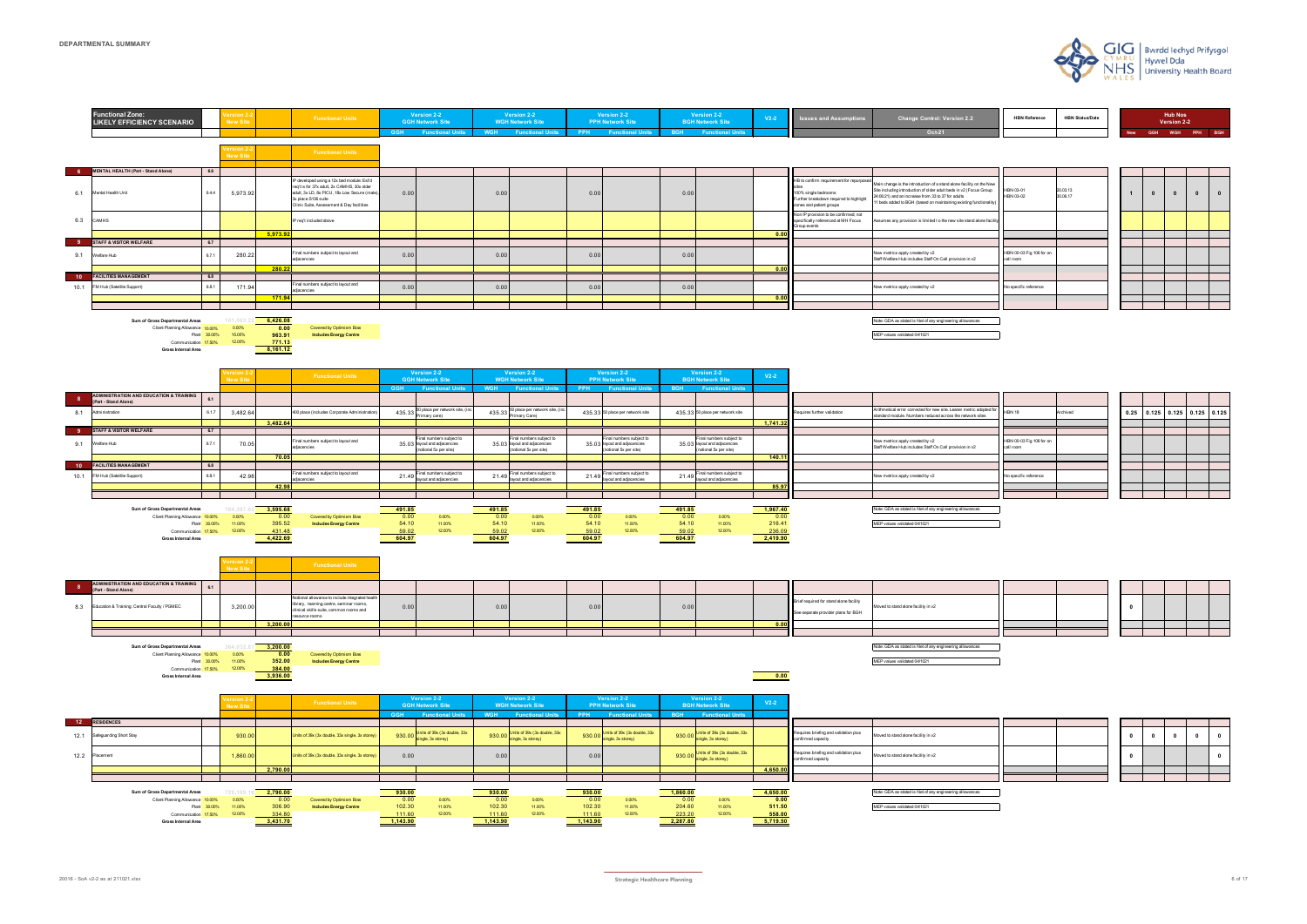|            |            | <b>Hub Nos</b><br>Version 2-2 |            |            |
|------------|------------|-------------------------------|------------|------------|
| <b>New</b> | <b>GGH</b> | <b>WGH</b>                    | <b>PPH</b> | <b>BGH</b> |

| 20.03.13<br>30.06.17 | 1 | $\pmb{0}$ | $\pmb{0}$ | $\mathbf 0$ | $\pmb{0}$ |
|----------------------|---|-----------|-----------|-------------|-----------|
|                      |   |           |           |             |           |
|                      |   |           |           |             |           |
|                      |   |           |           |             |           |
|                      |   |           |           |             |           |
|                      |   |           |           |             |           |
|                      |   |           |           |             |           |
|                      |   |           |           |             |           |
|                      |   |           |           |             |           |
|                      |   |           |           |             |           |

| ew<br>р<br>lity) | HBN 03-01<br>HBN 03-02                | 20.03.13<br>30.06.17 |
|------------------|---------------------------------------|----------------------|
| cility           |                                       |                      |
|                  |                                       |                      |
|                  |                                       |                      |
|                  | HBN 00-03 Fig 106 for on<br>call room |                      |
|                  |                                       |                      |
|                  | No specific reference                 |                      |
|                  |                                       |                      |
|                  |                                       |                      |
|                  |                                       |                      |



| I for | <b>HBN 18</b>                         | Archived |
|-------|---------------------------------------|----------|
|       |                                       |          |
|       |                                       |          |
|       | HBN 00-03 Fig 106 for on<br>call room |          |
|       |                                       |          |
|       |                                       |          |
|       | No specific reference                 |          |
|       |                                       |          |
|       |                                       |          |

20016 - SoA v2-2 as at 211021.xlsx 6 of 17 and the state of the State of Harming State of Lagrange Harming State of the State of the State of the State of the State of the State of the State of the State of the State of th

| 0.25 | 0.125 | 0.125 | 0.125 | 0.125 |
|------|-------|-------|-------|-------|
|      |       |       |       |       |
|      |       |       |       |       |
|      |       |       |       |       |
|      |       |       |       |       |
|      |       |       |       |       |
|      |       |       |       |       |
|      |       |       |       |       |
|      |       |       |       |       |



| O |  |  |
|---|--|--|
|   |  |  |
|   |  |  |

| <b>HBN Reference</b> | <b>HBN Status/Date</b> |  |
|----------------------|------------------------|--|
|                      |                        |  |

| 0 | 0 | 0 | 0 | 0 |
|---|---|---|---|---|
| 0 |   |   |   | 0 |
|   |   |   |   |   |
|   |   |   |   |   |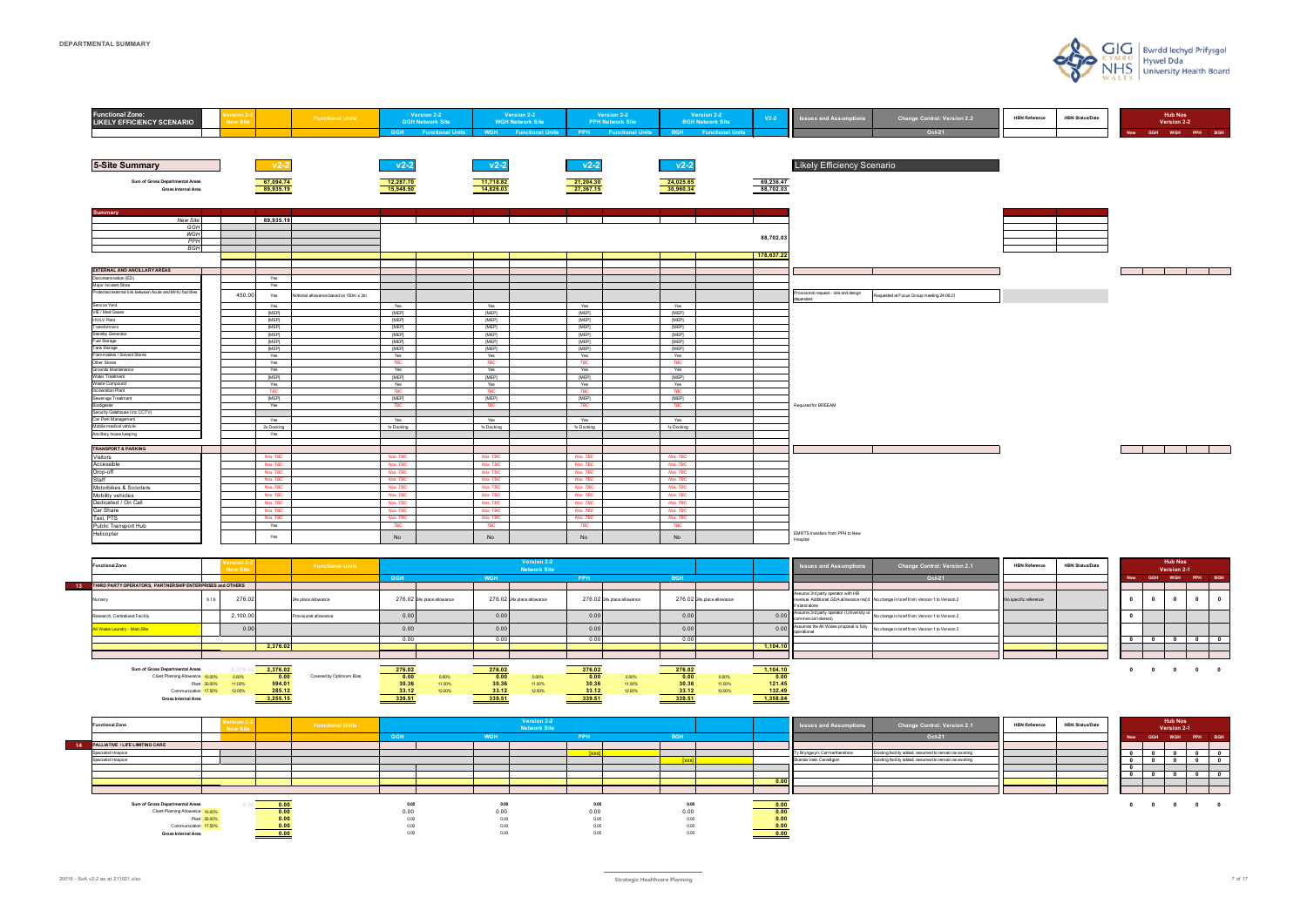| <b>Functional Zone:</b><br><b>LIKELY EFFICIENCY SCENARIO</b>                     | ersion 2-<br><b>New Site</b> |                | <b>Functional Units</b>               | Version 2-2<br><b>GGH Network Site</b><br><b>GGH</b> Functional Units |                | Version 2-2<br><b>WGH Network Site</b><br><b>WGH</b> Functional Units | <b>Version 2-2</b><br><b>PPH Network Site</b><br><b>PPH</b> Functional Units |                | Version 2-2<br><b>BGH Network Site</b><br><b>BGH</b> Functional Units | $V2-2$     | <b>Issues and Assumptions</b>               | <b>Change Control: Version 2.2</b><br>Oct-21 | <b>HBN Reference</b> | <b>HBN Status/Date</b> | <b>Hub Nos</b><br>Version 2-2<br>GGH WGH PPH BGH<br><b>New</b> |
|----------------------------------------------------------------------------------|------------------------------|----------------|---------------------------------------|-----------------------------------------------------------------------|----------------|-----------------------------------------------------------------------|------------------------------------------------------------------------------|----------------|-----------------------------------------------------------------------|------------|---------------------------------------------|----------------------------------------------|----------------------|------------------------|----------------------------------------------------------------|
|                                                                                  |                              |                |                                       |                                                                       |                |                                                                       |                                                                              |                |                                                                       |            |                                             |                                              |                      |                        |                                                                |
|                                                                                  |                              |                |                                       |                                                                       |                |                                                                       |                                                                              |                |                                                                       |            |                                             |                                              |                      |                        |                                                                |
| <b>5-Site Summary</b>                                                            |                              | $v2-2$         |                                       | v2-2                                                                  | $v2-2$         |                                                                       | $v2-2$                                                                       | $v2-2$         |                                                                       |            | <b>Likely Efficiency Scenario</b>           |                                              |                      |                        |                                                                |
| Sum of Gross Departmental Areas                                                  |                              | 67,094.74      |                                       | 12,287.70                                                             | 11,718.82      |                                                                       | 21,204.30                                                                    | 24,025.65      |                                                                       | 69,236.47  |                                             |                                              |                      |                        |                                                                |
| Gross Internal Area                                                              |                              | 89,935.19      |                                       | 15,548.50                                                             | 14,826.03      |                                                                       | 27,367.15                                                                    | 30,960.34      |                                                                       | 88,702.03  |                                             |                                              |                      |                        |                                                                |
| <b>Summary</b>                                                                   |                              |                |                                       |                                                                       |                |                                                                       |                                                                              |                |                                                                       |            |                                             |                                              |                      |                        |                                                                |
| New Site                                                                         |                              | 89,935.19      |                                       |                                                                       |                |                                                                       |                                                                              |                |                                                                       |            |                                             |                                              |                      |                        |                                                                |
| GGH                                                                              |                              |                |                                       |                                                                       |                |                                                                       |                                                                              |                |                                                                       |            |                                             |                                              |                      |                        |                                                                |
| WGH<br><b>PPH</b>                                                                |                              |                |                                       |                                                                       |                |                                                                       |                                                                              |                |                                                                       | 88,702.03  |                                             |                                              |                      |                        |                                                                |
| <b>BGH</b>                                                                       |                              |                |                                       |                                                                       |                |                                                                       |                                                                              |                |                                                                       |            |                                             |                                              |                      |                        |                                                                |
|                                                                                  |                              |                |                                       |                                                                       |                |                                                                       |                                                                              |                |                                                                       | 178,637.22 |                                             |                                              |                      |                        |                                                                |
|                                                                                  |                              |                |                                       |                                                                       |                |                                                                       |                                                                              |                |                                                                       |            |                                             |                                              |                      |                        |                                                                |
| <b>EXTERNAL AND ANCILLARY AREAS</b>                                              |                              |                |                                       |                                                                       |                |                                                                       |                                                                              |                |                                                                       |            |                                             |                                              |                      |                        | <b>Contract Contract Contract</b>                              |
| Decontamination (ED)                                                             |                              | Yes            |                                       |                                                                       |                |                                                                       |                                                                              |                |                                                                       |            |                                             |                                              |                      |                        |                                                                |
| Major Incident Store<br>Protected external link between Acute and MHU facilities |                              | Yes            |                                       |                                                                       |                |                                                                       |                                                                              |                |                                                                       |            | Provisional request - site and design       |                                              |                      |                        |                                                                |
|                                                                                  | 450.00                       | Yes            | Notional allowance based on 150m x 3m |                                                                       |                |                                                                       |                                                                              |                |                                                                       |            | dependent                                   | Requested at Focus Group meeting 24:06:21    |                      |                        |                                                                |
| Service Yard                                                                     |                              | Yes            |                                       | Yes                                                                   | Yes            |                                                                       | Yes                                                                          | Yes            |                                                                       |            |                                             |                                              |                      |                        |                                                                |
| VIE / Med Gases                                                                  |                              | [MEP]          |                                       | [MEP]                                                                 | [MEP]          |                                                                       | [MEP]                                                                        | [MEP]          |                                                                       |            |                                             |                                              |                      |                        |                                                                |
| <b>HV/LV Plant</b>                                                               |                              | [MEP]          |                                       | [MEP]                                                                 | [MEP]          |                                                                       | [MEP]                                                                        | [MEP]          |                                                                       |            |                                             |                                              |                      |                        |                                                                |
| Transformers<br>Standby Generator                                                |                              | [MEP]<br>[MEP] |                                       | [MEP]<br>[MEP]                                                        | [MEP]<br>[MEP] |                                                                       | [MEP]                                                                        | [MEP]<br>[MEP] |                                                                       |            |                                             |                                              |                      |                        |                                                                |
| Fuel Storage                                                                     |                              | [MEP]          |                                       | [MEP]                                                                 | [MEP]          |                                                                       | [MEP]<br>[MEP]                                                               | [MEP]          |                                                                       |            |                                             |                                              |                      |                        |                                                                |
| Tank Storage                                                                     |                              | [MEP]          |                                       | [MEP]                                                                 | [MEP]          |                                                                       | [MEP]                                                                        | [MEP]          |                                                                       |            |                                             |                                              |                      |                        |                                                                |
| Flammables / Solvent Stores                                                      |                              | Yes            |                                       | Yes                                                                   | Yes            |                                                                       | Yes                                                                          | Yes            |                                                                       |            |                                             |                                              |                      |                        |                                                                |
| Other Stores                                                                     |                              | Yes            |                                       | <b>TBC</b>                                                            | <b>TBC</b>     |                                                                       | <b>TBC</b>                                                                   | <b>TBC</b>     |                                                                       |            |                                             |                                              |                      |                        |                                                                |
| Grounds Maintenance                                                              |                              | Yes            |                                       | Yes                                                                   | Yes            |                                                                       | Yes                                                                          | Yes            |                                                                       |            |                                             |                                              |                      |                        |                                                                |
| Water Treatment<br>Waste Compound                                                |                              | [MEP]          |                                       | [MEP]                                                                 | [MEP]          |                                                                       | [MEP]                                                                        | [MEP]          |                                                                       |            |                                             |                                              |                      |                        |                                                                |
| Incineration Plant                                                               |                              | Yes<br>TBC     |                                       | Yes<br><b>TBC</b>                                                     | Yes<br>TBC     |                                                                       | Yes<br>TBC                                                                   | Yes<br>TBC     |                                                                       |            |                                             |                                              |                      |                        |                                                                |
| Sewerage Treatment                                                               |                              | [MEP]          |                                       | [MEP]                                                                 | [MEP]          |                                                                       | [MEP]                                                                        | [MEP]          |                                                                       |            |                                             |                                              |                      |                        |                                                                |
| Biodigester                                                                      |                              | Yes            |                                       | <b>TBC</b>                                                            | <b>TBC</b>     |                                                                       | <b>TBC</b>                                                                   | <b>TBC</b>     |                                                                       |            | Required for BREEAM                         |                                              |                      |                        |                                                                |
| Security Gatehouse (inc CCTV)                                                    |                              |                |                                       |                                                                       |                |                                                                       |                                                                              |                |                                                                       |            |                                             |                                              |                      |                        |                                                                |
| Car Park Management                                                              |                              | Yes            |                                       | Yes                                                                   | Yes            |                                                                       | Yes                                                                          | Yes            |                                                                       |            |                                             |                                              |                      |                        |                                                                |
| Mobile medical vehicle                                                           |                              | 2x Docking     |                                       | 1x Docking                                                            | 1x Docking     |                                                                       | 1x Docking                                                                   | 1x Docking     |                                                                       |            |                                             |                                              |                      |                        |                                                                |
| Ancillary house keeping                                                          |                              | Yes            |                                       |                                                                       |                |                                                                       |                                                                              |                |                                                                       |            |                                             |                                              |                      |                        |                                                                |
| <b>TRANSPORT &amp; PARKING</b>                                                   |                              |                |                                       |                                                                       |                |                                                                       |                                                                              |                |                                                                       |            |                                             |                                              |                      |                        |                                                                |
| Visitors                                                                         |                              | Nos. TBC       |                                       | Nos. TBC                                                              | Nos. TBC       |                                                                       | Nos. TBC                                                                     | Nos. TBC       |                                                                       |            |                                             |                                              |                      |                        |                                                                |
| Accessible                                                                       |                              | Nos. TBC       |                                       | Nos. TBC                                                              | Nos. TBC       |                                                                       | Nos. TBC                                                                     | Nos. TBC       |                                                                       |            |                                             |                                              |                      |                        |                                                                |
| Drop-off                                                                         |                              | Nos. TBC       |                                       | Nos. TBC                                                              | Nos. TBC       |                                                                       | Nos. TBC                                                                     | Nos. TBC       |                                                                       |            |                                             |                                              |                      |                        |                                                                |
| Staff                                                                            |                              | Nos. TBC       |                                       | Nos. TBC                                                              | Nos. TBC       |                                                                       | Nos. TBC                                                                     | Nos. TBC       |                                                                       |            |                                             |                                              |                      |                        |                                                                |
| Motorbikes & Scooters                                                            |                              | Nos. TBC       |                                       | Nos. TBC                                                              | Nos. TBC       |                                                                       | Nos. TBC                                                                     | Nos. TBC       |                                                                       |            |                                             |                                              |                      |                        |                                                                |
| Mobility vehicles                                                                |                              | Nos. TBC       |                                       | Nos. TBC                                                              | Nos. TBC       |                                                                       | Nos. TBC                                                                     | Nos. TBC       |                                                                       |            |                                             |                                              |                      |                        |                                                                |
| Dedicated / On Call                                                              |                              | Nos. TBC       |                                       | Nos. TBC                                                              | Nos. TBC       |                                                                       | Nos. TBC                                                                     | Nos. TBC       |                                                                       |            |                                             |                                              |                      |                        |                                                                |
| Car Share                                                                        |                              | Nos. TBC       |                                       | Nos. TBC                                                              | Nos. TBC       |                                                                       | Nos. TBC                                                                     | Nos. TBC       |                                                                       |            |                                             |                                              |                      |                        |                                                                |
| Taxi, PTS                                                                        |                              | Nos. TBC       |                                       | Nos. TBC                                                              | Nos. TBC       |                                                                       | Nos. TBC                                                                     | Nos. TBC       |                                                                       |            |                                             |                                              |                      |                        |                                                                |
| Public Transport Hub                                                             |                              | Yes            |                                       | <b>TBC</b>                                                            | <b>TBC</b>     |                                                                       | <b>TBC</b>                                                                   | <b>TBC</b>     |                                                                       |            |                                             |                                              |                      |                        |                                                                |
| Helicopter                                                                       |                              | Yes            |                                       | No                                                                    | No             |                                                                       | No                                                                           | No             |                                                                       |            | EMRTS transfers from PPH to New<br>Hospital |                                              |                      |                        |                                                                |

| Sum of Gross Departmental Areas  |        | 2,376.02 |                          | 276.02 |        | <b>276.05</b> |        | 276.02 |        | 276.02 |        | 1,104.10 |
|----------------------------------|--------|----------|--------------------------|--------|--------|---------------|--------|--------|--------|--------|--------|----------|
| Client Planning Allowance 10,00% | n nnec | 0.00     | Covered by Optimism Bias | 0.00   | 0.00%  | 0.00          |        | 0.00   | 0.00%  | 0.00   | 0.00%  | 0.00     |
| Plant 30.00% 11.00%              |        | 594.01   |                          | 30.36  | 11.00% | 30.36         | 11,00% | 30.36  | 11.00% | 30.36  | 11.00% | 121.45   |
| Communication 17.50%             |        | 285.12   |                          | 33 12  | 12.00% | 33.12         |        | 33.12  | 12.00% | 33.12  | 2.00%  | 132.49   |
| <b>Gross Internal Area</b>       |        | 3,255.15 |                          | 339.51 |        | 339.51        |        | 339.51 |        | 339.51 |        | 1,358.04 |

| Oct-21<br>GGH<br>GGH 4<br>New<br>THIRD PARTY OPERATORS, PARTNERSHIP ENTERPRISES and OTHERS<br>Assume 3rd party operator with HB<br>276.02<br>276.02 24x place allowance<br>276.02 24x place allowance<br>276.02 24x place allowance<br>276.02 24x place allowance<br>revenue. Additional GDA allowance req'd No change in brief from Version 1 to Version 2<br>No specific reference<br>24x place allowance<br>Nursery<br>if stand alone<br>0.00 Assume 3rd party operator (University or<br>commercial interest)<br>2,100.0<br>0.00<br>0.00<br>0.00<br>0.00<br>No change in brief from Version 1 to Version 2<br>Research, Centralised Facility<br>Provisional allowance<br>0.00 Assumes the All Wales proposal is fully 1.<br>0.00<br><u> All Wales Laundry - Main Site</u><br>No change in brief from Version 1 to Version 2<br>0.00<br>0.00<br>0.00<br>u.uu<br><b>I</b> I loperationa<br>0.00<br>0.00<br>0.00<br>2,376.02<br>1.104.10 | <b>Functional Zone</b> | New Site | <b>Functional Units</b> |  | Version 2-2<br><b>Network Site</b> |  |  | <b>Solution Issues and Assumptions</b> | <b>Change Control: Version 2.1</b> | <b>HBN Reference</b> | <b>HBN Status/Date</b> |  | <b>Hub Nos</b><br>Version 2-1 |            |
|-------------------------------------------------------------------------------------------------------------------------------------------------------------------------------------------------------------------------------------------------------------------------------------------------------------------------------------------------------------------------------------------------------------------------------------------------------------------------------------------------------------------------------------------------------------------------------------------------------------------------------------------------------------------------------------------------------------------------------------------------------------------------------------------------------------------------------------------------------------------------------------------------------------------------------------------|------------------------|----------|-------------------------|--|------------------------------------|--|--|----------------------------------------|------------------------------------|----------------------|------------------------|--|-------------------------------|------------|
|                                                                                                                                                                                                                                                                                                                                                                                                                                                                                                                                                                                                                                                                                                                                                                                                                                                                                                                                           |                        |          |                         |  |                                    |  |  |                                        |                                    |                      |                        |  | WGH PPH                       | <b>BGH</b> |
|                                                                                                                                                                                                                                                                                                                                                                                                                                                                                                                                                                                                                                                                                                                                                                                                                                                                                                                                           |                        |          |                         |  |                                    |  |  |                                        |                                    |                      |                        |  |                               |            |
|                                                                                                                                                                                                                                                                                                                                                                                                                                                                                                                                                                                                                                                                                                                                                                                                                                                                                                                                           |                        |          |                         |  |                                    |  |  |                                        |                                    |                      |                        |  |                               |            |
|                                                                                                                                                                                                                                                                                                                                                                                                                                                                                                                                                                                                                                                                                                                                                                                                                                                                                                                                           |                        |          |                         |  |                                    |  |  |                                        |                                    |                      |                        |  |                               |            |
|                                                                                                                                                                                                                                                                                                                                                                                                                                                                                                                                                                                                                                                                                                                                                                                                                                                                                                                                           |                        |          |                         |  |                                    |  |  |                                        |                                    |                      |                        |  |                               |            |
|                                                                                                                                                                                                                                                                                                                                                                                                                                                                                                                                                                                                                                                                                                                                                                                                                                                                                                                                           |                        |          |                         |  |                                    |  |  |                                        |                                    |                      |                        |  |                               |            |
|                                                                                                                                                                                                                                                                                                                                                                                                                                                                                                                                                                                                                                                                                                                                                                                                                                                                                                                                           |                        |          |                         |  |                                    |  |  |                                        |                                    |                      |                        |  |                               |            |
|                                                                                                                                                                                                                                                                                                                                                                                                                                                                                                                                                                                                                                                                                                                                                                                                                                                                                                                                           |                        |          |                         |  |                                    |  |  |                                        |                                    |                      |                        |  |                               |            |

| <b>Functional Zone</b>             | New Site | <b>Functional Units</b> |            |            | Version 2-2<br><b>Network Site</b> |            |            |      | <b>ISSUES and Assumptions</b> | <b>Change Control: Version 2.1</b>                     | <b>HBN Reference</b> | <b>HBN Status/Date</b> |            |                                            | <b>Hub Nos</b><br>Version 2-1 |                                                                         |  |
|------------------------------------|----------|-------------------------|------------|------------|------------------------------------|------------|------------|------|-------------------------------|--------------------------------------------------------|----------------------|------------------------|------------|--------------------------------------------|-------------------------------|-------------------------------------------------------------------------|--|
|                                    |          |                         | <b>GGH</b> | <b>WGH</b> |                                    | <b>PPH</b> | <b>RGH</b> |      |                               | Oct-21                                                 |                      |                        | <b>New</b> |                                            | GGH WGH PPH BGF               |                                                                         |  |
| 14 PALLIATIVE / LIFE LIMITING CARE |          |                         |            |            |                                    |            |            |      |                               |                                                        |                      |                        |            |                                            |                               |                                                                         |  |
| Specialist Hospice                 |          |                         |            |            |                                    |            |            |      | Ty Bryngwyn: Carmarthenshire  | Existing facility added, assumed to remain as existing |                      |                        |            |                                            |                               |                                                                         |  |
| Specialist Hospice                 |          |                         |            |            |                                    |            |            |      | Skanda Vale: Ceredigion       | Existing facility added, assumed to remain as existing |                      |                        |            |                                            |                               |                                                                         |  |
|                                    |          |                         |            |            |                                    |            |            |      |                               |                                                        |                      |                        |            |                                            |                               |                                                                         |  |
|                                    |          |                         |            |            |                                    |            |            |      |                               |                                                        |                      |                        |            |                                            |                               |                                                                         |  |
|                                    |          |                         |            |            |                                    |            |            | 0.00 |                               |                                                        |                      |                        |            |                                            |                               |                                                                         |  |
|                                    |          |                         |            |            |                                    |            |            |      |                               |                                                        |                      |                        |            |                                            |                               |                                                                         |  |
|                                    |          |                         |            |            |                                    |            |            |      |                               |                                                        |                      |                        |            |                                            |                               |                                                                         |  |
| Sum of Gross Departmental Areas    |          | 0.00                    | 0.00       | 0.00       |                                    | 0.00       | 0.00       |      |                               |                                                        |                      |                        |            | $\begin{array}{ccc} 0 & 0 & 0 \end{array}$ |                               | $\overline{\mathbf{0}}$ $\overline{\mathbf{0}}$ $\overline{\mathbf{0}}$ |  |
| Client Planning Allowance 10,00%   |          | 0.00                    | 0.00       | 0.00       |                                    | 0.00       | 0.00       | 0.00 |                               |                                                        |                      |                        |            |                                            |                               |                                                                         |  |
| Plant 30.00%                       |          | 0.00                    | 0.00       | 0.00       |                                    | 0.00       | 0.00       |      |                               |                                                        |                      |                        |            |                                            |                               |                                                                         |  |
| Communication 17.50%               |          |                         | 0.00       | 0.00       |                                    | 0.00       | 0.00       |      |                               |                                                        |                      |                        |            |                                            |                               |                                                                         |  |
| <b>Gross Internal Area</b>         |          | 0.00                    | 0.00       | 0.00       |                                    | 0.00       | 0.00       | 0.00 |                               |                                                        |                      |                        |            |                                            |                               |                                                                         |  |







|              |            | <b>Hub Nos</b><br><b>Version 2-1</b> |     |              |
|--------------|------------|--------------------------------------|-----|--------------|
| <b>New</b>   | <b>GGH</b> | <b>WGH</b>                           | PPH | <b>BGH</b>   |
|              |            |                                      |     |              |
| 0            | 0          | 0                                    | 0   | 0            |
| $\mathbf{0}$ | 0          | 0                                    | 0   | 0            |
| 0            |            |                                      |     |              |
| 0            | 0          | $\mathbf{0}$                         | 0   | $\mathbf{0}$ |
|              |            |                                      |     |              |
|              |            |                                      |     |              |
| Ω            |            |                                      |     |              |

|            |            | <b>Hub Nos</b><br><b>Version 2-1</b> |     |              |
|------------|------------|--------------------------------------|-----|--------------|
| <b>New</b> | <b>GGH</b> | <b>WGH</b>                           | PPH | <b>BGH</b>   |
|            |            |                                      |     |              |
| 0          | 0          | n                                    | 0   | 0            |
| 0          |            |                                      |     |              |
|            |            |                                      |     |              |
| 0          | 0          | $\mathbf{0}$                         | 0   | $\mathbf{0}$ |
|            |            |                                      |     |              |
|            |            |                                      |     |              |
|            | 0          |                                      | n   |              |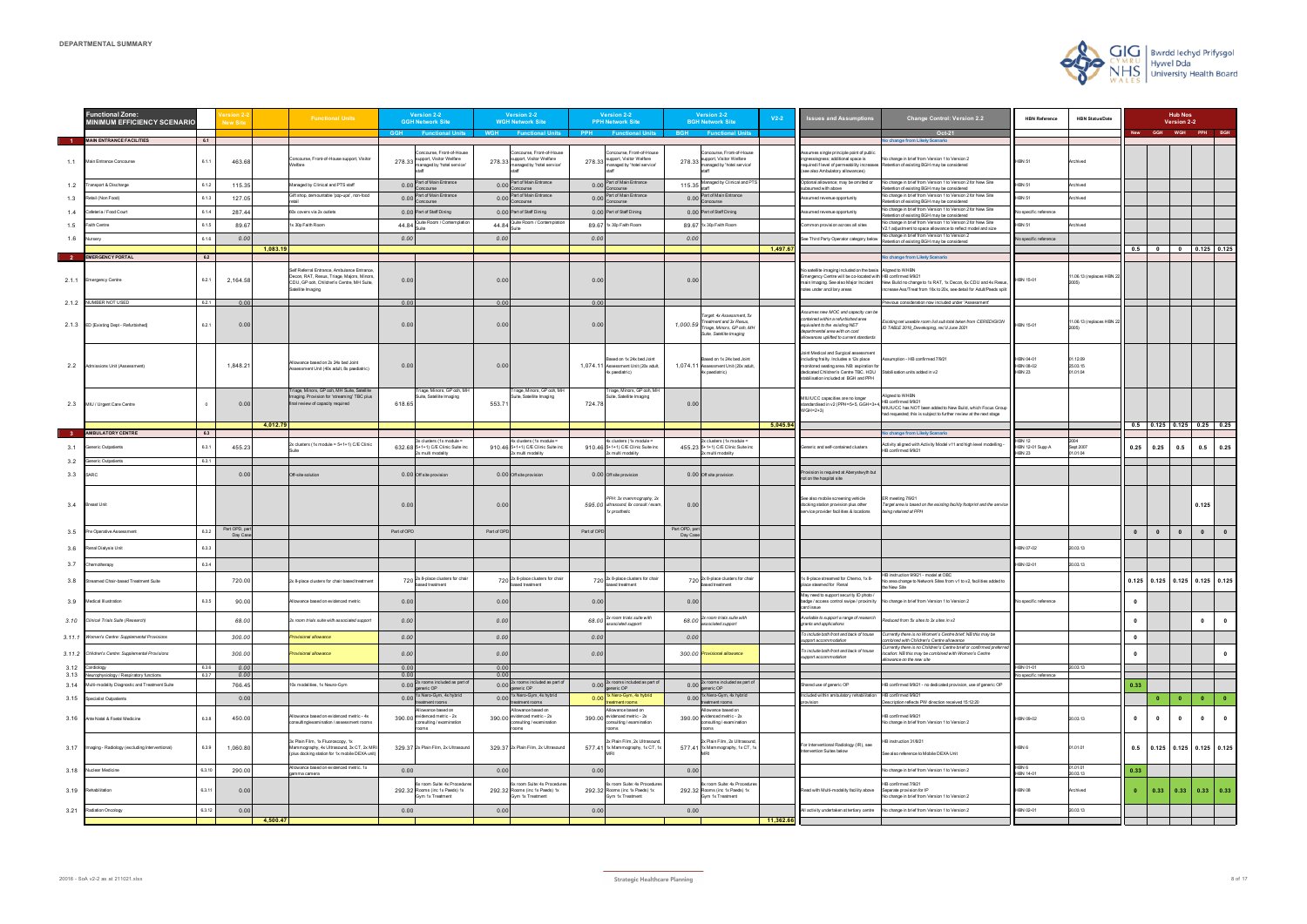|              | unctional Zone:<br>MINIMUM EFFICIENCY SCENARIO        |                | <b>New Site</b>          | <b>Functional Units</b>                                                                                                                                   | Version 2-2<br><b>GGH Network Site</b>                                                        |              | Version 2-2<br><b>WGH Network Site</b>                                             |             | <b>Version 2-2</b><br><b>PPH Network Site</b>                                          |                           | Version 2-2<br><b>BGH Network Site</b>                                                                                    | $V2-2$    | <b>Issues and Assumptions</b>                                                                                                                                                                                   | Change Control: Version 2.2                                                                                                                                                | <b>HBN Reference</b>                    | <b>HBN Status/Date</b>         |              |                         | <b>Hub Nos</b><br>Version 2-2 |                                         |
|--------------|-------------------------------------------------------|----------------|--------------------------|-----------------------------------------------------------------------------------------------------------------------------------------------------------|-----------------------------------------------------------------------------------------------|--------------|------------------------------------------------------------------------------------|-------------|----------------------------------------------------------------------------------------|---------------------------|---------------------------------------------------------------------------------------------------------------------------|-----------|-----------------------------------------------------------------------------------------------------------------------------------------------------------------------------------------------------------------|----------------------------------------------------------------------------------------------------------------------------------------------------------------------------|-----------------------------------------|--------------------------------|--------------|-------------------------|-------------------------------|-----------------------------------------|
|              | <b>MAIN ENTRANCE FACILITIES</b>                       | 6.1            |                          |                                                                                                                                                           | <b>GGH</b><br><b>Eunctional Units</b>                                                         | <b>WGH</b>   | <b>Functional Units</b>                                                            | <b>PPH</b>  | <b>Functional Units</b>                                                                |                           | <b>BGH</b> Functional Units                                                                                               |           |                                                                                                                                                                                                                 | Oct-21<br>No change from Likely Scenario                                                                                                                                   |                                         |                                | <b>New</b>   |                         |                               | GGH WGH PPH BGH                         |
|              | 1.1 Main Entrance Concourse                           | 6.1.1          | 463.68                   | Concourse, Front-of-House support, Visitor<br>Welfare                                                                                                     | Concourse, Front-of-House<br>support, Visitor Welfare<br>278.33<br>managed by 'hotel service' | 278.33       | oncourse, Front-of-House<br>support, Visitor Welfare<br>managed by 'hotel service' | 278.33      | Concourse, Front-of-House<br>support, Visitor Welfare<br>managed by 'hotel service'    |                           | Concourse, Front-of-House<br>278.33 support, Visitor Welfare<br>managed by 'hotel service'                                |           | Assumes single principle point of public<br>ingress/egress; additional space is<br>(see also Ambulatory allowances)                                                                                             | No change in brief from Version 1 to Version 2<br>required if level of permeability increases Retention of existing BGH may be considered                                  | <b>HBN 51</b>                           | rchived                        |              |                         |                               |                                         |
| 1.2          | ransport & Discharge                                  | 6.1.2          | 115.35                   | Managed by Clinical and PTS staff                                                                                                                         | Part of Main Entrance<br>0.00<br>oncourse                                                     | 0.0(         | Part of Main Entrance                                                              | 0.00        | Part of Main Entrance<br>Concourse                                                     | 115.35                    | Managed by Clinical and PTS                                                                                               |           | Optional allowance; may be omitted or<br>ubsumed with above                                                                                                                                                     | No change in brief from Version 1 to Version 2 for New Site<br>Retention of existing BGH may be considered                                                                 | <b>IBN 51</b>                           | rchived                        |              |                         |                               |                                         |
| 1.3          | Retail (Non Food)                                     | 6.1.3          | 127.05                   | Gift shop, demountable 'pop-ups', non-food                                                                                                                | Part of Main Entrance<br>0.00<br>Concourse                                                    | 0.0(         | Part of Main Entrance<br>oncourse                                                  | 0.00        | Part of Main Entrance<br>Concourse                                                     |                           | 0.00 Part of Main Entrance<br>Concourse                                                                                   |           | Assumed revenue opportunity                                                                                                                                                                                     | No change in brief from Version 1 to Version 2 for New Site<br>Retention of existing BGH may be considered                                                                 | <b>BN 51</b>                            | chived                         |              |                         |                               |                                         |
| 1.4          | Cafeteria / Food Court                                | 6.14           | 287.44                   | 60x covers via 2x outlets                                                                                                                                 | 0.00 Part of Staff Dining                                                                     |              | 0.00 Part of Staff Dining                                                          |             | 0.00 Part of Staff Dining                                                              |                           | 0.00 Part of Staff Dining                                                                                                 |           | Assumed revenue opportunity                                                                                                                                                                                     | No change in brief from Version 1 to Version 2 for New Site<br>Retention of existing BGH may be considered                                                                 | lo specific reference                   |                                |              |                         |                               |                                         |
| 1.5          | Faith Centre                                          | 6.1.5          | 89.67                    | 1x 30p Faith Room                                                                                                                                         | 44.84 Quite Room / Contemplation<br>Suite                                                     | 44.84        | Quite Room / Contemplatior                                                         |             | 89.67 1x 30p Faith Room                                                                |                           | 89.67 1x 30p Faith Room                                                                                                   |           | Common provision across all sites                                                                                                                                                                               | Io change in brief from Version 1 to Version 2 for New Site<br>V2.1 adjustment to space allowance to reflect model and size                                                | <b>IBN 51</b>                           | rchived                        |              |                         |                               |                                         |
| 1.6          | Nursery                                               | 6.1.6          | 0.00                     |                                                                                                                                                           | 0.00                                                                                          | 0.00         |                                                                                    | 0.00        |                                                                                        | 0.00                      |                                                                                                                           |           | See Third Party Operator category below                                                                                                                                                                         | No change in brief from Version 1 to Version 2<br>Retention of existing BGH may be considered                                                                              | Vo specific reference                   |                                |              |                         |                               |                                         |
|              |                                                       |                |                          | 1,083.19                                                                                                                                                  |                                                                                               |              |                                                                                    |             |                                                                                        |                           |                                                                                                                           | 1,497.6   |                                                                                                                                                                                                                 |                                                                                                                                                                            |                                         |                                | 0.5          | $\overline{\mathbf{0}}$ |                               | $0 \t 0.125 \t 0.125$                   |
|              | <b>EMERGENCY PORTAL</b>                               | 6.2            |                          |                                                                                                                                                           |                                                                                               |              |                                                                                    |             |                                                                                        |                           |                                                                                                                           |           |                                                                                                                                                                                                                 | No change from Likely Scenario                                                                                                                                             |                                         |                                |              |                         |                               |                                         |
|              | 2.1.1 Emergency Centre                                | 6.2.1          | 2,164.58                 | Self Referral Entrance, Ambulance Entrance<br>Decon, RAT, Resus, Triage, Majors, Minors<br>CDU, GP ooh, Children's Centre, MH Suite,<br>Satellite Imaging | 0.00                                                                                          | 0.00         |                                                                                    | 0.00        |                                                                                        | 0.00                      |                                                                                                                           |           | No satellite imaging included on the basis Aligned to WHBN<br>Emergency Centre will be co-located with HB confirmed 9/9/21<br>main Imaging. See also Major Incident<br>notes under ancillary areas              | New Build no change to 1x RAT, 1x Decon, 6x CDU and 4x Resus,<br>increase Ass/Treat from 16x to 20x, see detail for Adult/Paeds split                                      | HBN 15-01                               | 1.06.13 (replaces HBN 2        |              |                         |                               |                                         |
|              | 2.1.2 NUMBER NOT USED                                 | 6.2.1          | 0.00                     |                                                                                                                                                           | 0.00                                                                                          | 0.00         |                                                                                    | 0.00        |                                                                                        |                           |                                                                                                                           |           |                                                                                                                                                                                                                 | revious consideration now included under 'Assessment'                                                                                                                      |                                         |                                |              |                         |                               |                                         |
|              | 2.1.3 ED [Existing Dept - Refurbished]                | 621            | 0.00                     |                                                                                                                                                           | 0.00                                                                                          | 0.00         |                                                                                    | 0.00        |                                                                                        |                           | Target: 4x Assessment, 5x<br>Treatment and 3x Resus,<br>$1,000.59$ Triage, Minors, GP ooh, MH<br>Suite, Satellite Imaging |           | Assumes new MOC and capacity can be<br>ontained within a refurbished area<br>equivalent to the existing NET<br>departmental area with on cost<br>allowances uplifted to current standards                       | Existing net useable room list sub total taken from CEREDIGION<br>ID TABLE 2019_Devekoping, rec'd June 2021                                                                | <b>IBN 15-01</b>                        | 1.06.13 (replaces HBN:         |              |                         |                               |                                         |
| 2.2          | Admissions Unit (Assessment)                          |                | 1,848.21                 | Allowance based on 2x 24x bed Joint<br>Assessment Unit (40x adult, 8x paediatric)                                                                         | 0.00                                                                                          | 0.00         |                                                                                    |             | Based on 1x 24x bed Joint<br>1,074.11 Assessment Unit (20x adult,<br>4x paediatric)    |                           | Based on 1x 24x bed Joint<br>1,074.11 Assessment Unit (20x adult,<br>4x paediatric)                                       |           | Joint Medical and Surgical assessment<br>including frailty. Includes a 12x place<br>monitored seating area. NB: aspiration for<br>dedicated Children's Centre TBC. HDU<br>stabilisation included at BGH and PPH | Assumption - HB confirmed 7/9/21<br>Stabilisation units added in v2                                                                                                        | HBN 04-01<br>HBN 08-02<br><b>HBN 23</b> | 1.12.09<br>25.03.15<br>1.01.04 |              |                         |                               |                                         |
|              | 2.3 MIU / Urgent Care Centre                          |                | 0.00                     | riage, Minors, GP ooh, MH Suite, Satellite<br>Imaging. Provision for 'streaming' TBC plus<br>final review of capacity required                            | riage, Minors, GP ooh, MH<br>Suite, Satellite Imaging<br>618.65                               | 553.7        | riage, Minors, GP ooh, MH<br>uite, Satellite Imaging                               | 724.78      | riage, Minors, GP ooh, MH<br>Suite, Satellite Imaging                                  | 0.00                      |                                                                                                                           |           | MIU/UCC capacities are no longer<br>standardised in v2 (PPH=5+5, GGH=3+4,<br>$WGH=2+3$                                                                                                                          | Aligned to WHBN<br>HB confirmed 9/9/21<br>MIU/UCC has NOT been added to New Build, which Focus Group<br>had requested; this is subject to further review at the next stage |                                         |                                |              |                         |                               |                                         |
|              | <b>AMBULATORY CENTRE</b>                              | 6.3            |                          | 4,012.79                                                                                                                                                  |                                                                                               |              |                                                                                    |             |                                                                                        |                           |                                                                                                                           | 5,045.94  |                                                                                                                                                                                                                 | No change from Likely Scenario                                                                                                                                             |                                         |                                |              |                         |                               | $0.5$ $0.125$ $0.125$ $0.25$ $0.25$     |
| 3.1          | Generic Outpatients                                   |                | 455.23                   | 2x clusters (1x module = 5+1+1) C/E Clinic                                                                                                                | bx clusters (1x module =<br>632.68 5+1+1) C/E Clinic Suite ind                                |              | cclusters (1x module =<br>910.46 5+1+1) C/E Clinic Suite inc                       |             | x clusters (1x module =<br>910.46 5+1+1) C/E Clinic Suite inc                          |                           | 2x clusters (1x module =<br>455.23 5+1+1) C/E Clinic Suite inc                                                            |           | Generic and self-contained clusters                                                                                                                                                                             | Activity aligned with Activity Model v11 and high level modelling -                                                                                                        | <b>IBN 12-01 Supp A</b>                 | Sept 2007                      | 0.25         | 0.25                    | 0.5                           | 0.25<br>0.5                             |
|              | Seneric Outpatients                                   | 6.3.1          |                          |                                                                                                                                                           | x multi modality                                                                              |              | x multi modality                                                                   |             | 2x multi modality                                                                      |                           | 2x multi modality                                                                                                         |           |                                                                                                                                                                                                                 | HB confirmed 9/9/21                                                                                                                                                        | <b>IBN 23</b>                           | 1.01.04                        |              |                         |                               |                                         |
| 3.2<br>3.3   | <b>SARC</b>                                           |                | 0.00                     | Off-site solution                                                                                                                                         | 0.00 Off site provision                                                                       |              | 0.00 Off site provision                                                            |             | 0.00 Off site provision                                                                |                           | 0.00 Off site provision                                                                                                   |           | Provision is required at Aberystwyth but<br>not on the hospital site                                                                                                                                            |                                                                                                                                                                            |                                         |                                |              |                         |                               |                                         |
| 3.4          | Breast Unit                                           |                |                          |                                                                                                                                                           | 0.00                                                                                          | 0.0(         |                                                                                    |             | PPH: 3x mammography, 2x<br>595.00 ultrasound, 8x consult / exam,<br>1x prosthetic      | 0.00                      |                                                                                                                           |           | See also mobile screening vehicle<br>docking station provision plus other<br>service provider facilities & locations                                                                                            | ER meeting 7/9/21<br>Target area is based on the existing facility footprint and the service<br>being retained at PPH                                                      |                                         |                                |              |                         |                               | 0.125                                   |
| 3.5          | Pre Operative Assessment                              |                | Part OPD, par<br>Day Cas |                                                                                                                                                           | Part of OPD                                                                                   | Part of OPI  |                                                                                    | Part of OPD |                                                                                        | Part OPD, part<br>Day Cas |                                                                                                                           |           |                                                                                                                                                                                                                 |                                                                                                                                                                            |                                         |                                | $\mathbf{0}$ | $\bullet$               | $\mathbf{0}$                  | $\mathbf{0}$<br>$\mathbf{0}$            |
| 3.6          | Renal Dialysis Unit                                   | 6.3.3          |                          |                                                                                                                                                           |                                                                                               |              |                                                                                    |             |                                                                                        |                           |                                                                                                                           |           |                                                                                                                                                                                                                 |                                                                                                                                                                            | IBN 07-02                               | 20.03.13                       |              |                         |                               |                                         |
| 3.7          | Chemotherapy                                          | 6.3.4          |                          |                                                                                                                                                           |                                                                                               |              |                                                                                    |             |                                                                                        |                           |                                                                                                                           |           |                                                                                                                                                                                                                 |                                                                                                                                                                            | HBN 02-01                               | 20.03.13                       |              |                         |                               |                                         |
| 3.8          | Streamed Chair-based Treatment Suite                  |                | 720.00                   | 2x 8-place clusters for chair based treatment                                                                                                             | 720 2x 8-place clusters for chair<br>based treatment                                          | 720          | 2x 8-place clusters for chair<br>based treatment                                   | 720         | 2x 8-place clusters for chair<br>ased treatment                                        |                           | 720 2x 8-place clusters for chair<br>based treatment                                                                      |           | x 8-place streamed for Chemo, 1x 8-<br>place steamed for Renal                                                                                                                                                  | HB instruction 9/9/21 - model at OBC<br>No area change to Network Sites from v1 to v2, facilities added to<br>the New Site                                                 |                                         |                                |              |                         |                               | $0.125$ 0.125 0.125 0.125 0.125         |
|              | 3.9 Medical Illustration                              |                | 90.00                    | Allowance based on evidenced metric                                                                                                                       | 0.00                                                                                          | 0.00         |                                                                                    | 0.00        |                                                                                        | 0.00                      |                                                                                                                           |           | May need to support security ID photo /<br>card issue                                                                                                                                                           | badge / access control swipe / proximity   No change in brief from Version 1 to Version 2                                                                                  | No specific reference                   |                                | $\mathbf 0$  |                         |                               |                                         |
|              | 3.10 Clinical Trials Suite (Research)                 |                | 68.00                    | 2x room trials suite with associated support                                                                                                              | 0.00                                                                                          | 0.00         |                                                                                    | 68.00       | 2x room trials suite with<br>associated support                                        |                           | 68.00 <sup>2x room trials suite with</sup><br>associated support                                                          |           | Available to support a range of research<br>grants and applications                                                                                                                                             | Reduced from 5x sites to 3x sites in v2                                                                                                                                    |                                         |                                | $\mathbf 0$  |                         |                               | $\overline{\mathbf{0}}$<br>$\mathbf{0}$ |
|              | 3.11.1 Women's Centre: Supplemental Provisions        |                | 300.00                   | rovisional allowance                                                                                                                                      | 0.00                                                                                          | 0.00         |                                                                                    | 0.00        |                                                                                        | 0.00                      |                                                                                                                           |           | To include both front and back of house<br>upport accommodation                                                                                                                                                 | Currently there is no Women's Centre brief: NB this may be<br>ombined with Children's Centre allowance                                                                     |                                         |                                | $\mathbf 0$  |                         |                               |                                         |
|              | 3.11.2 Children's Centre: Supplemental Provisions     |                | 300.00                   | rovisional allowance                                                                                                                                      | 0.00                                                                                          | 0.00         |                                                                                    | 0.00        |                                                                                        |                           | 300.00 Provisional allowance                                                                                              |           | o include both front and back of house<br>support accommodation                                                                                                                                                 | Currently there is no Children's Centre brief or confirmed preferred<br>location: NB this may be combined with Women's Centre<br>allowance on the new site                 |                                         |                                | $\mathbf 0$  |                         |                               | $\mathbf{0}$                            |
| 3.12<br>3.13 | Cardiology<br>Neurophysiology / Respiratory functions | 6.3.6<br>6.3.7 | 0.00<br>0.00             |                                                                                                                                                           | 0.00<br>0.00                                                                                  | 0.00<br>0.00 |                                                                                    |             |                                                                                        |                           |                                                                                                                           |           |                                                                                                                                                                                                                 |                                                                                                                                                                            | HBN 01-01<br>Vo specific reference      | 20.03.13                       |              |                         |                               |                                         |
| 3.14         | Multi-modality Diagnostic and Treatment Suite         |                | 766.45                   | Ox modalities, 1x Neuro-Gym                                                                                                                               | $0.00$ $2x$ rooms included as part of<br>generic OP                                           | 0.00         | 2x rooms included as part of<br>eneric OP                                          | 0.00        | 2x rooms included as part of<br>generic OP                                             |                           | $0.00$ $2x$ rooms included as part of<br>generic OP                                                                       |           | Shared use of generic OP                                                                                                                                                                                        | HB confirmed 9/9/21 - no dedicated provision, use of generic OP                                                                                                            |                                         |                                | 0.33         |                         |                               |                                         |
| 3.15         | Specialist Outpatients                                |                | 0.00                     |                                                                                                                                                           | 1x Nero-Gym, 4x hybrid<br>0.00 treatment rooms                                                | 0.00         | x Nero-Gym, 4x hybrid<br>treatment rooms                                           | 0.00        | Ix Nero-Gym, 4x hybrid<br>treatment rooms                                              |                           | 1x Nero-Gym, 4x hybrid<br>0.00 treatment rooms                                                                            |           | Included within ambulatory rehabilitation<br>provision                                                                                                                                                          | HB confirmed 9/9/21<br>Description reflects PW direction received 15:12:20                                                                                                 |                                         |                                |              | $\mathbf{0}$            | $\bullet$                     | $\bullet$<br>$\bullet$                  |
|              | 3.16 Ante Natal & Foetal Medicine                     | 6.3.8          | 450.00                   | Allowance based on evidenced metric - 4x<br>consulting/examination / assessment rooms                                                                     | <b>Nlowance based on</b><br>390.00 evidenced metric - 2x<br>consulting / examination<br>rooms |              | llowance based on<br>evidenced metric - 2x<br>390.00 evidence<br>rooms             |             | llowance based on<br>390.00 evidenced metric - 2x<br>consulting / examination<br>rooms |                           | Allowance based on<br>390.00 evidenced metric - 2x<br>consulting / examination<br>rooms                                   |           |                                                                                                                                                                                                                 | HB confirmed 9/9/21<br>No change in brief from Version 1 to Version 2                                                                                                      | HBN 09-02                               | 20.03.13                       | $\mathbf{0}$ | $\bullet$               | $\mathbf{0}$                  | $\mathbf{0}$<br>$\bullet$               |
|              | 3.17 Imaging - Radiology (excluding Interventional)   | 6.3.9          | 1,060.80                 | 3x Plain Film, 1x Fluoroscopy, 1x<br>Mammography, 4x Ultrasound, 3x CT, 2x MF<br>(plus docking station for 1x mobile DEXA unit)                           | 329.37 2x Plain Film, 2x Ultrasound                                                           |              | 329.37 2x Plain Film, 2x Ultrasound                                                |             | 2x Plain Film, 2x Ultrasound,<br>577.41 1x Mammography, 1x CT, 1x                      |                           | 2x Plain Film, 2x Ultrasound,<br>577.41 1x Mammography, 1x CT, 1x                                                         |           | For Interventional Radiology (IR), see<br>Intervention Suites below                                                                                                                                             | HB instruction 31/8/21<br>See also reference to Mobile DEXA Unit                                                                                                           | HBN 6                                   | 1.01.01                        |              |                         |                               | $0.5$ $0.125$ $0.125$ $0.125$ $0.125$   |
|              | 3.18 Nuclear Medicine                                 | 6.3.10         | 290.00                   | Allowance based on evidenced metric. 1x<br>amma camera                                                                                                    | 0.00                                                                                          | 0.00         |                                                                                    | 0.00        |                                                                                        | 0.00                      |                                                                                                                           |           |                                                                                                                                                                                                                 | No change in brief from Version 1 to Version 2                                                                                                                             | HBN 6<br>HBN 14-01                      | 1.01.01<br>0.03.13             | 0.33         |                         |                               |                                         |
|              | 3.19 Rehabilitation                                   | 6.3.11         | 0.00                     |                                                                                                                                                           | ix room Suite: 4x Procedures<br>292.32 Rooms (inc 1x Paeds) 1x<br>Gym 1x Treatment            |              | x room Suite: 4x Procedures<br>292.32 Rooms (inc 1x Paeds) 1x<br>Gym 1x Treatment  |             | ix room Suite: 4x Procedures<br>292.32 Rooms (inc 1x Paeds) 1x<br>Gym 1x Treatment     |                           | 6x room Suite: 4x Procedures<br>292.32 Rooms (inc 1x Paeds) 1x<br>Gym 1x Treatment                                        |           | Read with Multi-modality facility above                                                                                                                                                                         | HB confirmed 7/9/21<br>Separate provision for IP<br>No change in brief from Version 1 to Version 2                                                                         | <b>HBN 08</b>                           | rchived                        | $\bullet$    | 0.33                    |                               | $0.33$ $0.33$ $0.33$                    |
|              | 3.21 Radiation Oncology                               | 6.3.12         | 0.00                     |                                                                                                                                                           | 0.00                                                                                          | 0.00         |                                                                                    | 0.00        |                                                                                        | 0.00                      |                                                                                                                           |           | All activity undertaken at tertiary centre                                                                                                                                                                      | No change in brief from Version 1 to Version 2                                                                                                                             | HBN 02-01                               | 0.03.13                        |              |                         |                               |                                         |
|              |                                                       |                |                          | 4,500.47                                                                                                                                                  |                                                                                               |              |                                                                                    |             |                                                                                        |                           |                                                                                                                           | 11,362.66 |                                                                                                                                                                                                                 |                                                                                                                                                                            |                                         |                                |              |                         |                               |                                         |

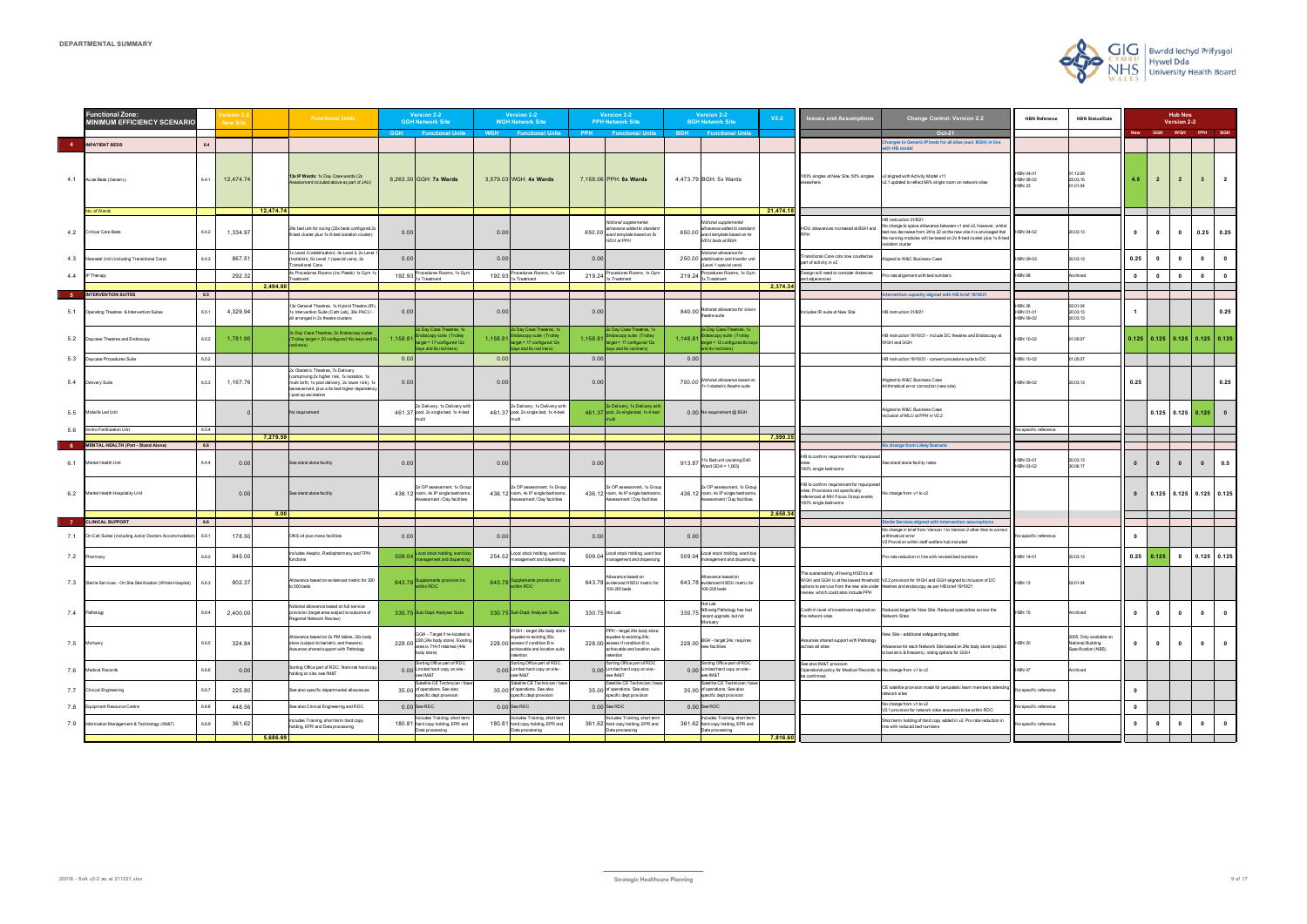|     | unctional Zone:<br><b>MINIMUM EFFICIENCY SCENARIO</b>     |       | lew Site  |           | <b>Functional Units</b>                                                                                                                                                                                      |            | <b>Version 2-2</b><br><b>GGH Network Site</b>                                                                         |                | Version 2-2<br><b>WGH Network Site</b>                                                                                                   |                | <b>Version 2-2</b><br><b>PPH Network Site</b>                                                                                            |            | <b>Version 2-2</b><br><b>BGH Network Site</b>                                                            | $V2-2$    | <b>Issues and Assumptions</b>                                                                                                                | <b>Change Control: Version 2.2</b>                                                                                                                                                                                                                                    | <b>HBN Reference</b>                    | <b>HBN Status/Date</b>                                              |                |                                                                     | <b>Hub Nos</b><br>Version 2-2 |                |                         |
|-----|-----------------------------------------------------------|-------|-----------|-----------|--------------------------------------------------------------------------------------------------------------------------------------------------------------------------------------------------------------|------------|-----------------------------------------------------------------------------------------------------------------------|----------------|------------------------------------------------------------------------------------------------------------------------------------------|----------------|------------------------------------------------------------------------------------------------------------------------------------------|------------|----------------------------------------------------------------------------------------------------------|-----------|----------------------------------------------------------------------------------------------------------------------------------------------|-----------------------------------------------------------------------------------------------------------------------------------------------------------------------------------------------------------------------------------------------------------------------|-----------------------------------------|---------------------------------------------------------------------|----------------|---------------------------------------------------------------------|-------------------------------|----------------|-------------------------|
|     |                                                           |       |           |           |                                                                                                                                                                                                              | <b>GGH</b> | <b>Functional Units</b>                                                                                               | <b>WGH</b>     | <b>Functional Units</b>                                                                                                                  | <b>PPH</b>     | <b>Functional Units</b>                                                                                                                  | <b>BGH</b> | <b>Functional Units</b>                                                                                  |           |                                                                                                                                              | Oct-21                                                                                                                                                                                                                                                                |                                         |                                                                     |                | New GGH WGH PPH BGH                                                 |                               |                |                         |
|     | <b>INPATIENT BEDS</b>                                     | 6.4   |           |           |                                                                                                                                                                                                              |            |                                                                                                                       |                |                                                                                                                                          |                |                                                                                                                                          |            |                                                                                                          |           |                                                                                                                                              | anges to Generic IP beds for all sites (excl. BGH) in line<br>th HB model                                                                                                                                                                                             |                                         |                                                                     |                |                                                                     |                               |                |                         |
|     | 4.1 Acute Beds (Generic)                                  | 6.4.1 | 12,474.74 |           | 13x IP Wards: 1x Day Case wards (2x<br>ssessment included above as part of JAU)                                                                                                                              |            | 6,263.30 GGH: 7x Wards                                                                                                |                | 3,579.03 WGH: 4x Wards                                                                                                                   |                | 7,158.06 PPH: 8x Wards                                                                                                                   |            | 4,473.79 BGH: 5x Wards                                                                                   |           | 100% singles at New Site, 50% singles                                                                                                        | v2 aligned with Activity Model v11<br>v2.1 updated to reflect 66% single room on network sites                                                                                                                                                                        | HBN 04-01<br>HBN 08-02<br><b>HBN 23</b> | 1.12.09<br>25.03.15<br>01.01.04                                     | 4.5            | $\overline{2}$                                                      | $\overline{2}$                | 3 <sup>1</sup> | $\overline{2}$          |
|     | o. of Wards                                               |       |           | 12,474.74 |                                                                                                                                                                                                              |            |                                                                                                                       |                |                                                                                                                                          |                |                                                                                                                                          |            |                                                                                                          | 21,474.18 |                                                                                                                                              |                                                                                                                                                                                                                                                                       |                                         |                                                                     |                |                                                                     |                               |                |                         |
| 4.2 | <b>Critical Care Beds</b>                                 | 6.4.2 | 1,334.97  |           | 24x bed unit for sizing (22x beds configured 2x<br>3-bed cluster plus 1x 6-bed isolation cluster)                                                                                                            | 0.00       |                                                                                                                       | 0.00           |                                                                                                                                          | 650.00         | Notional supplemental<br>allowance added to standard<br>ward template based on 5x<br>HDU at PPH                                          | 650.00     | Notional supplemental<br>allowance added to standard<br>ward template based on 4x<br>HDU beds at BGH     |           | HDU allowances increased at BGH and                                                                                                          | HB instruction 31/8/21<br>No change to space allowance between v1 and v2, however, whilst<br>bed nos decrease from 24 to 22 on the new site it is envisaged that HBN 04-02<br>the nursing modules will be based on 2x 8-bed cluster plus 1x 6-bed<br>solation cluster |                                         | 20.03.13                                                            | $\bf{0}$       | $\bf{0}$                                                            | $\mathbf{0}$                  | $0.25$ 0.25    |                         |
| 4.3 | Neonatal Unit (including Transitional Care)               | 6.4.3 | 867.51    |           | Ix Level 3 (stabilisation), 4x Level 2, 2x Level<br>(Isolation), 6x Level 1 (special care), 2x<br>Fransitional Care                                                                                          | 0.00       |                                                                                                                       | 0.00           |                                                                                                                                          | 0.00           |                                                                                                                                          |            | Notional allowance for<br>250.00 stabilisation and transfer unit<br>(Level 1 special care)               |           | Transitional Care cots now counted as<br>part of activity in v2                                                                              | Aligned to W&C Business Case                                                                                                                                                                                                                                          | HBN 09-03                               | 20.03.13                                                            | 0.25           | $\mathbf{0}$                                                        | $\mathbf{0}$                  | $\mathbf{0}$   |                         |
|     | 4.4 IP Therapy                                            |       | 292.32    |           | 4x Procedures Rooms (inc Paeds) 1x Gym '<br>reatment                                                                                                                                                         | 192.93     | Procedures Rooms, 1x Gyr<br>1x Treatment                                                                              | 192.93         | Procedures Rooms, 1x Gyn<br>1x Treatment                                                                                                 |                | Procedures Rooms, 1x Gyn<br>$219.24 \frac{FTWWm}{1x Treatment}$                                                                          | 219.24     | Procedures Rooms, 1x Gym<br>1x Treatment                                                                 |           | Design will need to consider distances<br>and adjacencies                                                                                    | Pro rata alignment with bed numbers                                                                                                                                                                                                                                   | 1BN 08                                  | <b>Archived</b>                                                     | $\bullet$      | $\bullet$                                                           | $\mathbf{0}$                  | $\mathbf{0}$   | $\mathbf{0}$            |
|     |                                                           |       |           | 2,494.80  |                                                                                                                                                                                                              |            |                                                                                                                       |                |                                                                                                                                          |                |                                                                                                                                          |            |                                                                                                          | 2,374.34  |                                                                                                                                              |                                                                                                                                                                                                                                                                       |                                         |                                                                     |                |                                                                     |                               |                |                         |
|     | <b>INTERVENTION SUITES</b>                                | 6.5   |           |           |                                                                                                                                                                                                              |            |                                                                                                                       |                |                                                                                                                                          |                |                                                                                                                                          |            |                                                                                                          |           |                                                                                                                                              | ervention capacity aligned with HB brief 19/10/21                                                                                                                                                                                                                     |                                         |                                                                     |                |                                                                     |                               |                |                         |
| 5.1 | Operating Theatres & Intervention Suites                  | 6.5.1 | 4,329.94  |           | 3x General Theatres, 1x Hybrid Theatre (IR<br>1x Intervention Suite (Cath Lab), 36x PACU -<br>all arranged in 2x theatre clusters                                                                            | 0.00       |                                                                                                                       | 0.00           |                                                                                                                                          | 0.00           |                                                                                                                                          |            | Notional allowance for a twin<br>840.00 Number =                                                         |           | Includes IR suite at New Site                                                                                                                | HB instruction 31/8/21                                                                                                                                                                                                                                                | <b>HBN 26</b><br>HBN 01-01<br>HBN 09-02 | 02.01.04<br>20.03.13<br>20.03.13                                    | $\overline{1}$ |                                                                     |                               |                | 0.25                    |
| 5.2 | Daycase Theatres and Endoscopy                            | 6.5.2 | 1,781.90  |           | 3x Day Case Theatres, 2x Endoscopy suites<br>Frolley target = 20 configured 16x bays and (                                                                                                                   | 1,158.8    | 2x Day Case Theatres, 1x<br>Indoscopy suite (Trolley<br>arget = 17 configured 12x<br>ays and 6x recliners)            | 1,158.81       | 2x Day Case Theatres, 1x<br>Endoscopy suite (Trolley<br>rget = 17 configured 12x<br>bays and 6x recliners)                               |                | 2x Day Case Theatres, 1x<br>1,158.81 Endoscopy suite (Trolley<br>target = 17 configured 12x<br>bays and 6x recliners)                    | 1,148.81   | 3x Day Case Theatres, 1x<br>indoscopy suite (Trolley<br>arget = 12 configured 8x ba<br>and 4x recliners) |           |                                                                                                                                              | HB instruction 19/10/21 - include DC theatres and Endoscopy at<br>WGH and GGH                                                                                                                                                                                         | HBN 10-02                               | 01.05.07                                                            |                | $\vert 0.125 \vert 0.125 \vert 0.125 \vert 0.125 \vert 0.125 \vert$ |                               |                |                         |
| 5.3 | Daycase Procedures Suite                                  | 6.5.2 |           |           |                                                                                                                                                                                                              | 0.00       |                                                                                                                       | 0.00           |                                                                                                                                          | 0.00           |                                                                                                                                          | 0.00       |                                                                                                          |           |                                                                                                                                              | HB instruction 19/10/21 - convert procedure suite to DC                                                                                                                                                                                                               | HBN 10-02                               | 1.05.07                                                             |                |                                                                     |                               |                |                         |
| 5.4 | <b>Delivery Suite</b>                                     | 6,5.3 | 1,167.76  |           | 2x Obstetric Theatres, 7x Delivery<br>comprising 2x higher risk, 1x isolation, 1x<br>multi birth, 1x pool delivery, 2x lower risk), 1:<br>bereavement, plus a 6x bed higher dependency<br>post op escalation | 0.00       |                                                                                                                       | 0.00           |                                                                                                                                          | 0.00           |                                                                                                                                          |            | 750.00 Notional allowance based on<br>1+1 obstetric theatre suite                                        |           |                                                                                                                                              | Aligned to W&C Business Case<br>Arithmetical error correction (new site)                                                                                                                                                                                              | HBN 09-02                               | 20.03.13                                                            | 0.25           |                                                                     |                               |                | 0.25                    |
| 5.5 | Midwife Led Unit                                          |       |           |           | No requirement                                                                                                                                                                                               |            | x Delivery, 1x Delivery with<br>461.37 pool, 2x single bed, 1x 4-bed                                                  |                | 2x Delivery, 1x Delivery with<br>461.37 pool, 2x single bed, 1x 4-bed                                                                    |                | 2x Delivery, 1x Delivery with<br>461.37 pool, 2x single bed, 1x 4-bed                                                                    |            | 0.00 No requirement @ BGH                                                                                |           |                                                                                                                                              | Aligned to W&C Business Case<br>Inclusion of MLU at PPH in V2.2                                                                                                                                                                                                       |                                         |                                                                     |                | $0.125$ 0.125 0.125                                                 |                               |                |                         |
| 5.6 | nvitro Fertilisation Unit                                 | 6.5.4 |           |           |                                                                                                                                                                                                              |            |                                                                                                                       |                |                                                                                                                                          |                |                                                                                                                                          |            |                                                                                                          |           |                                                                                                                                              |                                                                                                                                                                                                                                                                       | No specific reference                   |                                                                     |                |                                                                     |                               |                |                         |
|     | <b>MENTAL HEALTH (Part - Stand Alone)</b>                 | 6.6   |           | 7,279.59  |                                                                                                                                                                                                              |            |                                                                                                                       |                |                                                                                                                                          |                |                                                                                                                                          |            |                                                                                                          | 7,599.3   |                                                                                                                                              | <b>Jo change from Likely Scenario</b>                                                                                                                                                                                                                                 |                                         |                                                                     |                |                                                                     |                               |                |                         |
| 6.1 | Mental Health Unit                                        | 6.4.4 | 0.00      |           | See stand alone facility                                                                                                                                                                                     | 0.00       |                                                                                                                       | 0.00           |                                                                                                                                          | 0.00           |                                                                                                                                          | 913.87     | 11x Bed unit (existing Enlli<br>Ward GDA = $1,063$ )                                                     |           | HB to confirm requirement for repurpose<br>100% single bedrooms                                                                              | See stand alone facility notes                                                                                                                                                                                                                                        | HBN 03-01<br>HBN 03-02                  | 20.03.13<br>30.06.17                                                | $\mathbf{0}$   | $\bullet$                                                           | $\mathbf{0}$                  | $\mathbf{0}$   | 0.5                     |
| 6.2 | Mental Health Hospitality Unit                            |       | 0.00      |           | See stand alone facility                                                                                                                                                                                     |            | X OP assessment, 1x Group<br>436.12 room, 4x IP single bedrooms<br>Assessment / Day facilities                        |                | 2x OP assessment, 1x Group<br>436.12 room, 4x IP single bedrooms<br>ssessment / Day facilities                                           |                | 2x OP assessment, 1x Group<br>436.12 room, 4x IP single bedrooms<br>ssessment / Day facilities                                           |            | 2x OP assessment, 1x Group<br>436.12 room, 4x IP single bedrooms<br>ssessment / Day facilities           |           | HB to confirm requirement for repurpose<br>sites: Provisions not specifically<br>referenced at MH Focus Group events<br>100% single bedrooms | No change from v1 to v2                                                                                                                                                                                                                                               |                                         |                                                                     | $\mathbf{0}$   | $0.125$ 0.125 0.125 0.125                                           |                               |                |                         |
|     | <b>CLINICAL SUPPORT</b>                                   |       |           | 0.00      |                                                                                                                                                                                                              |            |                                                                                                                       |                |                                                                                                                                          |                |                                                                                                                                          |            |                                                                                                          | 2,658.34  |                                                                                                                                              |                                                                                                                                                                                                                                                                       |                                         |                                                                     |                |                                                                     |                               |                |                         |
|     |                                                           | 6.6   |           |           |                                                                                                                                                                                                              |            |                                                                                                                       |                |                                                                                                                                          |                |                                                                                                                                          |            |                                                                                                          |           |                                                                                                                                              | Sterile Services aligned with Intervention assumptions<br>No change in brief from Version 1 to Version 2 other than to correct                                                                                                                                        |                                         |                                                                     |                |                                                                     |                               |                |                         |
| 7.1 | On Call Suites (including Junior Doctors Accommodation    | 6.6.1 | 178.50    |           | ONS x4 plus mess facilities                                                                                                                                                                                  | 0.00       |                                                                                                                       | 0.00           |                                                                                                                                          | 0.00           |                                                                                                                                          | 0.00       |                                                                                                          |           |                                                                                                                                              | arithmetical error<br>V2 Provision within staff welfare hub included                                                                                                                                                                                                  | No specific reference                   |                                                                     | $\bf{0}$       |                                                                     |                               |                |                         |
| 7.2 | Pharmacy                                                  | 6.6.2 | 945.00    |           | ncludes Aseptic, Radiopharmacy and TPN<br>functions                                                                                                                                                          | 509.04     | ocal stock holding, ward bo:<br>management and dispensin                                                              | 254.52         | Local stock holding, ward box<br>management and dispensing                                                                               | 509.04         | Local stock holding, ward box<br>management and dispensing                                                                               | 509.04     | ocal stock holding, ward box<br>management and dispensing                                                |           |                                                                                                                                              | Pro rata reduction in line with revised bed numbers                                                                                                                                                                                                                   | HBN 14-01                               | 20.03.13                                                            | 0.25           | 0.125                                                               | $\bullet$                     | $0.125$ 0.125  |                         |
| 7.3 | Sterile Services - On Site Sterilisation (Whole Hospital) | 6.6.3 | 802.37    |           | Allowance based on evidenced metric for 200<br>to 500 beds                                                                                                                                                   | 643.78     | Supplements provision inc.<br>vithin RDC                                                                              | 643.78         | Supplements provision inc<br>ithin RDC                                                                                                   |                | Allowance based on<br>643.78 evidenced HSDU metric for<br>100-200 beds                                                                   |            | llowance based on<br>643.78 evidenced HSDU metric for<br>100-200 beds                                    |           | The sustainability of having HSDUs at<br>review, which could also include PPH                                                                | WGH and GGH is at the lowest threshold; V2.2 provision for WGH and GGH aligned to inclusion of DC<br>options to service from the new site under theatres and endoscopy as per HB brief 19/10/21                                                                       | <b>HBN 13</b>                           | 02.01.04                                                            |                |                                                                     |                               |                |                         |
| 7.4 | Pathology                                                 | 6.6.4 | 2,400.00  |           | Votional allowance based on full service<br>provision (target area subject to outcome of<br>Regional Network Review)                                                                                         |            | 330.75 Sub-Dept: Analyser Suite                                                                                       |                | 330.75 Sub-Dept: Analyser Suite                                                                                                          | 330.75 Hot Lab |                                                                                                                                          |            | Hot Lab<br>330.75 NB extg Pathology has had<br>recent upgrade, but not<br>Mortuary                       |           | Confirm level of investment required on<br>the network sites                                                                                 | Reduced target for New Site. Reduced specialties across the<br>letwork Sites                                                                                                                                                                                          | <b>HBN 15</b>                           | Archived                                                            | $\mathbf{0}$   | $\bullet$                                                           | $\mathbf{0}$                  | $\mathbf{0}$   | $\mathbf{0}$            |
| 7.5 | Mortuary                                                  | 6.6.5 | 324.84    |           | Nlowance based on 2x PM tables, 32x body<br>store (subject to bariatric and freezers)<br>Assumes shared support with Pathology                                                                               |            | GGH - Target if re-located is<br>228.00 228 (24x body store). Existing<br>area is 714 if retained (44x<br>body store) |                | WGH - target 24x body store<br>equates to existing 25x;<br>228.00 assess if condition B is<br>achievable and location suits<br>retention |                | PPH - target 24x body store<br>equates to existing 24x;<br>228.00 assess if condition B is<br>achievable and location suits<br>retention |            | 228.00 BGH - target 24x; requires<br>new facilities                                                      |           | Assumes shared support with Pathology<br>across all sites                                                                                    | New Site - additional safeguarding added<br>Allowance for each Network Site based on 24x body store (subjec<br>to bariatric & freezers), noting options for GGH                                                                                                       | <b>HBN 20</b>                           | 2005. Only available on<br>National Building<br>Specification (NBS) | $\mathbf 0$    | $\bullet$                                                           | $\mathbf{0}$                  | $\bullet$      | $\overline{\mathbf{0}}$ |
| 7.6 | Medical Records                                           | 6.6.6 | 0.00      |           | Sorting Office part of RDC. Nominal hard cop<br>olding on site, see IM&T                                                                                                                                     |            | Sorting Office part of RDC<br>0.00 Limited hard copy on site -<br>see IM&T                                            |                | Sorting Office part of RDC<br>0.00 Limited hard copy on site -<br>see IM&T                                                               |                | Sorting Office part of RDC<br>0.00 Limited hard copy on site -<br>see IM&T                                                               |            | Sorting Office part of RDC.<br>0.00 Limited hard copy on site -<br>see IM&T                              |           | See also IM&T provision<br>Operational policy for Medical Records; to No change from v1 to v2<br>be confirmed                                |                                                                                                                                                                                                                                                                       | <b>HBN 47</b>                           | <b>Archived</b>                                                     |                |                                                                     |                               |                |                         |
| 7.7 | Clinical Engineering                                      | 6.6.7 | 225.80    |           | See also specific departmental allowances                                                                                                                                                                    |            | Satellite CE Technician / bar<br>35,00 of operations. See also<br>specific dept provision                             |                | Satellite CE Technician / ba<br>35.00 of operations. See also<br>specific dept provision                                                 |                | Satellite CE Technician / bas<br>35.00 of operations. See also<br>specific dept provision                                                |            | atellite CE Technician / bas<br>35.00 of operations. See also<br>specific dept provision                 |           |                                                                                                                                              | CE satellite provision made for peripatetic team members attendin<br>network sites                                                                                                                                                                                    | <b>Vo specific reference</b>            |                                                                     | $\mathbf{0}$   |                                                                     |                               |                |                         |
| 7.8 | Equipment Resource Centre                                 | 6.6.8 | 448.56    |           | See also Clinical Engineering and RDC                                                                                                                                                                        |            | 0.00 See RDC                                                                                                          | $0.00$ See RDC |                                                                                                                                          |                | $0.00$ See RDC                                                                                                                           |            | $0.00$ See RDC                                                                                           |           |                                                                                                                                              | No change from v1 to v2<br>V2.1 provision for network sites assumed to be within RDC                                                                                                                                                                                  | lo specific reference                   |                                                                     | $\mathbf{0}$   |                                                                     |                               |                |                         |
|     |                                                           |       |           |           |                                                                                                                                                                                                              |            |                                                                                                                       |                |                                                                                                                                          |                |                                                                                                                                          |            |                                                                                                          |           |                                                                                                                                              |                                                                                                                                                                                                                                                                       |                                         |                                                                     |                |                                                                     |                               |                |                         |
| 7.9 | Information Management & Technology (IM&T)                | 6.6.9 | 361.62    | 5,686.69  | ncludes Training, short term hard copy<br>olding, EPR and Data processing                                                                                                                                    |            | ncludes Training, short tern<br>180.81 hard copy holding, EPR and<br>Data processing                                  |                | ncludes Training, short terr<br>180.81 hard copy holding, EPR and<br>Data processing                                                     |                | Includes Training, short tern<br>361.62 hard copy holding, EPR and<br>Data processing                                                    |            | ncludes Training, short term<br>361.62 hard copy holding, EPR and<br>Data processing                     | 7,816.60  |                                                                                                                                              | Short term holding of hard copy added in v2. Pro rata reduction in<br>line with reduced bed numbers                                                                                                                                                                   | lo specific reference                   |                                                                     | $\mathbf 0$    | $\bullet$                                                           | $\mathbf{0}$                  | $\bullet$      | $\bullet$               |

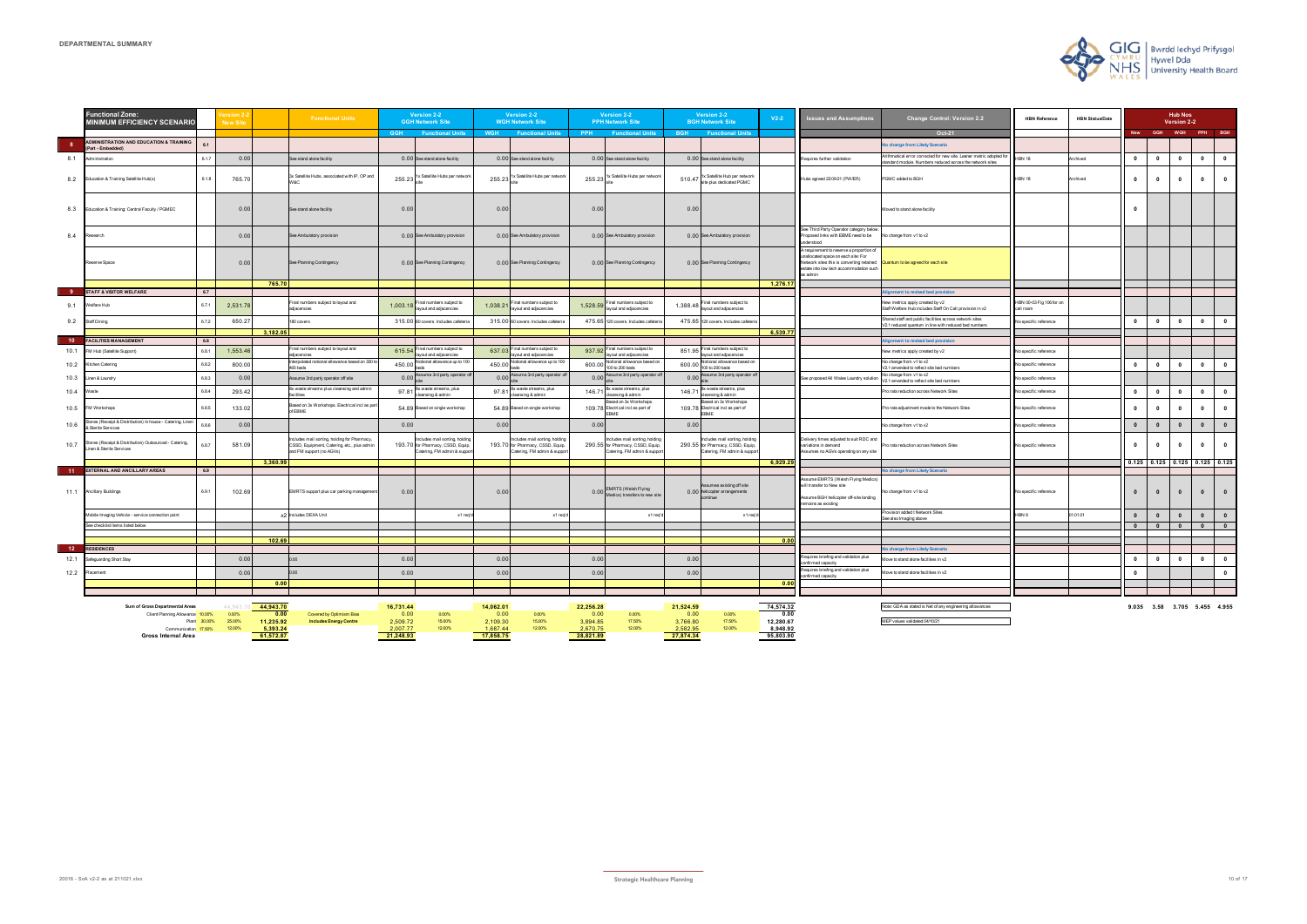|                 | <b>Functional Zone:</b><br><b>MINIMUM EFFICIENCY SCENARIO</b>                     |              | lew Sit         |                   | <b>Functional Units</b>                                                                                               |                  | Version 2-2<br><b>GGH Network Site</b>                                                              |                  | Version 2-2<br><b>WGH Network Site</b>                                                           |                  | Version 2-2<br><b>PPH Network Site</b>                                                             | Version 2-2<br><b>BGH Network Site</b>                                                            | $V2-2$            | <b>Issues and Assumptions</b>                                                                                                                                                       | <b>Change Control: Version 2.2</b>                                                                                               | <b>HBN Reference</b>                  | <b>HBN Status/Date</b> |                         |              | <b>Hub Nos</b><br>Version 2-2 |                                 |                         |
|-----------------|-----------------------------------------------------------------------------------|--------------|-----------------|-------------------|-----------------------------------------------------------------------------------------------------------------------|------------------|-----------------------------------------------------------------------------------------------------|------------------|--------------------------------------------------------------------------------------------------|------------------|----------------------------------------------------------------------------------------------------|---------------------------------------------------------------------------------------------------|-------------------|-------------------------------------------------------------------------------------------------------------------------------------------------------------------------------------|----------------------------------------------------------------------------------------------------------------------------------|---------------------------------------|------------------------|-------------------------|--------------|-------------------------------|---------------------------------|-------------------------|
|                 |                                                                                   |              |                 |                   |                                                                                                                       | <b>GGH</b>       | <b>Functional Units</b>                                                                             | <b>WGH</b>       | <b>Functional Units</b>                                                                          | <b>PPH</b>       | <b>Functional Units</b>                                                                            | <b>BGH</b><br><b>Functional Units</b>                                                             |                   |                                                                                                                                                                                     | Oct-21                                                                                                                           |                                       |                        | <b>New</b>              | GGH          |                               | WGH PPH BGH                     |                         |
| - 8             | <b>ADMINISTRATION AND EDUCATION &amp; TRAINING</b><br>(Part - Embedded)           | 6.1          |                 |                   |                                                                                                                       |                  |                                                                                                     |                  |                                                                                                  |                  |                                                                                                    |                                                                                                   |                   |                                                                                                                                                                                     | No change from Likely Scenario                                                                                                   |                                       |                        |                         |              |                               |                                 |                         |
| 8.1             | Administration                                                                    | 6.1.7        | 0.00            |                   | See stand alone facility                                                                                              |                  | 0.00 See stand alone facility                                                                       |                  | 0.00 See stand alone facility                                                                    |                  | 0.00 See stand alone facility                                                                      | 0.00 See stand alone facility                                                                     |                   | Requires further validation                                                                                                                                                         | Arithmetical error corrected for new site. Leaner metric adopted fo<br>standard module. Numbers reduced across the network sites | <b>HBN 18</b>                         | Archived               | $\overline{\mathbf{0}}$ | $\mathbf{0}$ | $\mathbf{0}$                  | $\mathbf{0}$                    | $\mathbf{0}$            |
| 8.2             | Education & Training Satellite Hub(s)                                             | 6.1.8        | 765.70          |                   | 3x Satellite Hubs, associated with IP, OP and                                                                         | 255.23           | 1x Satellite Hubs per network                                                                       | 255.23           | 1x Satellite Hubs per networ                                                                     | 255.23           | 1x Satellite Hubs per networ                                                                       | 510.47 1x Satellite Hub per network<br>site plus dedicated PGMC                                   |                   | Hubs agreed 22:09:21 (PW/ER)                                                                                                                                                        | PGMC added to BGH                                                                                                                | <b>HBN 18</b>                         | Archived               | $\mathbf{0}$            | $\mathbf{0}$ | $^{\circ}$                    | $\mathbf{0}$                    | $\bullet$               |
| 8.3             | Education & Training: Central Faculty / PGMEC                                     |              | 0.00            |                   | See stand alone facility                                                                                              | 0.00             |                                                                                                     | 0.00             |                                                                                                  | 0.00             |                                                                                                    | 0.00                                                                                              |                   |                                                                                                                                                                                     | Moved to stand alone facility                                                                                                    |                                       |                        | $\mathbf{0}$            |              |                               |                                 |                         |
| 8.4             | Research                                                                          |              | 0.00            |                   | See Ambulatory provision                                                                                              |                  | 0.00 See Ambulatory provision                                                                       |                  | 0.00 See Ambulatory provision                                                                    |                  | 0.00 See Ambulatory provision                                                                      | 0.00 See Ambulatory provision                                                                     |                   | See Third Party Operator category below<br>Proposed links with EBME need to be<br>understood                                                                                        | No change from v1 to v2                                                                                                          |                                       |                        |                         |              |                               |                                 |                         |
|                 | Reserve Space                                                                     |              | 0.00            |                   | See Planning Contingency                                                                                              |                  | 0.00 See Planning Contingency                                                                       |                  | 0.00 See Planning Contingency                                                                    |                  | 0.00 See Planning Contingency                                                                      | 0.00 See Planning Contingency                                                                     |                   | A requirement to reserve a proportion of<br>unallocated space on each site: For<br>Network sites this is converting retained<br>estate into low tech accommodation such<br>as admin | Quantum to be agreed for each site                                                                                               |                                       |                        |                         |              |                               |                                 |                         |
|                 | <b>STAFF &amp; VISITOR WELFARE</b>                                                | 6.7          |                 | 765.70            |                                                                                                                       |                  |                                                                                                     |                  |                                                                                                  |                  |                                                                                                    |                                                                                                   | 1,276.17          |                                                                                                                                                                                     | nment to revised hed provision                                                                                                   |                                       |                        |                         |              |                               |                                 |                         |
| 9.1             | Welfare Hub                                                                       | 6.7.1        | 2,531.78        |                   | Final numbers subject to lavout and<br>adiacencies                                                                    | 1,003.1          | Final numbers subject to<br>ayout and adjacencies                                                   | 1,038.2          | inal numbers subiect to<br>yout and adjacencies                                                  | 1,528.5          | Final numbers subject to<br>ayout and adjacencies                                                  | Final numbers subject to<br>1,388.48<br>ayout and adjacencies                                     |                   |                                                                                                                                                                                     | New metrics apply created by y2<br>Staff Welfare Hub includes Staff On Call provision in v2                                      | HBN 00-03 Fig 106 for on<br>call room |                        |                         |              |                               |                                 |                         |
| 9.2             | Staff Dining                                                                      | 6.7,2        | 650.27          |                   | 180 covers                                                                                                            |                  | 315.00 60 covers. Includes cafeteria                                                                |                  | 315.00 60 covers. Includes cafeter                                                               |                  | 475.65 120 covers. Includes cafeter                                                                | 475.65 120 covers. Includes cafeteria                                                             |                   |                                                                                                                                                                                     | Shared staff and public facilities across network sites<br>V2.1 reduced quantum in line with reduced bed numbers                 | No specific reference                 |                        | $\mathbf{0}$            | $\mathbf{0}$ | $\mathbf{0}$                  | $\mathbf{0}$                    | $\mathbf{0}$            |
|                 |                                                                                   |              |                 | 3,182.05          |                                                                                                                       |                  |                                                                                                     |                  |                                                                                                  |                  |                                                                                                    |                                                                                                   | 6,539.77          |                                                                                                                                                                                     |                                                                                                                                  |                                       |                        |                         |              |                               |                                 |                         |
| 10 <sub>1</sub> | <b>FACILITIES MANAGEMENT</b><br>FM Hub (Satellite Support)                        | 6.8<br>6.8.1 | 1,553.46        |                   | Final numbers subject to lavout and                                                                                   |                  | inal numbers subject to                                                                             |                  | inal numbers subject to                                                                          |                  | inal numbers subject to                                                                            | inal numbers subiect to                                                                           |                   |                                                                                                                                                                                     | Alignment to revised bed provision<br>New metrics apply created by v2                                                            | No specific reference                 |                        |                         |              |                               |                                 |                         |
| 10.1<br>10.2    | Kitchen Catering                                                                  | 6.8.2        | 800.00          |                   | adjacencies<br>nterpolated notional allowance based on 300                                                            | 615.5<br>450.00  | yout and adjacencies<br>Notional allowance up to 10                                                 | 637.0<br>450.00  | yout and adjacencies<br>Notional allowance up to 10                                              | 937.9<br>600.00  | yout and adjacencies<br><b>Votional allowance based o</b>                                          | 851.95<br>yout and adjacencies<br>Notional allowance based on<br>600.00                           |                   |                                                                                                                                                                                     | lo change from v1 to v2                                                                                                          | No specific reference                 |                        | $\mathbf{0}$            | $\bf{0}$     | $\Omega$                      | $\mathbf 0$                     | $\mathbf{0}$            |
| 10.3            | inen & Laundry                                                                    | 6.8.3        | 0.00            |                   | 400 beds                                                                                                              |                  | 0.00 Assume 3rd party operator of                                                                   | 0.00             | Assume 3rd party operator o                                                                      | 0.00             | 100 to 200 beds<br>ssume 3rd party operator                                                        | 100 to 200 beds<br>ssume 3rd party operator off<br>0.00                                           |                   | ee proposed All Wales Laundry solution                                                                                                                                              | V2.1 amended to reflect site bed numbers<br>lo change from v1 to v2                                                              | No specific reference                 |                        |                         |              |                               |                                 |                         |
|                 |                                                                                   |              |                 |                   | Assume 3rd party operator off site<br>8x waste streams plus cleansing and admir                                       |                  | & waste streams, plus                                                                               |                  | waste streams, plus                                                                              |                  | 3x waste streams, plus                                                                             | x waste streams, plus                                                                             |                   |                                                                                                                                                                                     | V2.1 amended to reflect site bed numbers                                                                                         |                                       |                        |                         |              |                               |                                 |                         |
| 10.4            | Waste                                                                             | 6.8.4        | 293.42          |                   |                                                                                                                       | 97.81            | leansing & admin                                                                                    | 97.81            | sing & admin                                                                                     | 146.71           | ansing & admin<br>sed on 3x Workshops.                                                             | 146.71<br>ansing & admin<br>sed on 3x Workshops.                                                  |                   |                                                                                                                                                                                     | Pro rata reduction across Network Sites                                                                                          | No specific reference                 |                        | $\overline{\mathbf{0}}$ | $\mathbf{0}$ |                               | $\Omega$                        |                         |
| 10.5            | FM Workshops                                                                      | 6.8.5        | 133.02          |                   | Based on 3x Workshops. Electrical incl as par<br>of EBME                                                              |                  | 54.89 Based on single workshop                                                                      |                  | 54.89 Based on single workshop                                                                   |                  | 109.78 Electrical incl as part of<br><b>RME</b>                                                    | 109.78 Electrical incl as part of<br><b>RMF</b>                                                   |                   |                                                                                                                                                                                     | Pro rata adjustment made to the Network Sites                                                                                    | No specific reference                 |                        | $\bf{0}$                | $\mathbf{0}$ | $\mathbf{0}$                  | $\mathbf 0$                     | $\mathbf{0}$            |
| 10.6            | Stores (Receipt & Distribution) In house - Catering, Linen<br>Sterile Services    | 6.8.6        | 0.00            |                   |                                                                                                                       | 0.00             |                                                                                                     | 0.00             |                                                                                                  | 0.00             |                                                                                                    | 0.00                                                                                              |                   |                                                                                                                                                                                     | Vo change from v1 to v2                                                                                                          | No specific reference                 |                        | $\mathbf{0}$            | $\mathbf{0}$ |                               | $\mathbf{0}$                    | $\mathbf{0}$            |
| 10.7            | Stores (Receipt & Distribution) Outsourced - Catering,<br>inen & Sterile Services | 6.8.7        | 581.09          |                   | ncludes mail sorting, holding for Pharmacy<br>CSSD, Equipment, Catering, etc., plus admir<br>and FM support (no AGVs) |                  | Includes mail sorting, holding<br>193.70 for Pharmacy, CSSD, Equip,<br>Catering, FM admin & support |                  | cludes mail sorting, holding<br>193.70 for Pharmacy, CSSD, Equip,<br>Catering, FM admin & suppor |                  | ncludes mail sorting, holding<br>290.55 for Pharmacy, CSSD, Equip,<br>Catering, FM admin & support | cludes mail sorting, holding<br>290.55 for Pharmacy, CSSD, Equip,<br>Catering, FM admin & support |                   | Delivery times adjusted to suit RDC and<br>variations in demand<br>Assumes no AGVs operating on any site                                                                            | Pro rata reduction across Network Sites                                                                                          | No specific reference                 |                        | $\mathbf{0}$            | $\bf{0}$     | $\Omega$                      | $\mathbf{0}$                    | $\overline{\mathbf{0}}$ |
| $-11$           | EXTERNAL AND ANCILLARY AREAS                                                      | 6.9          |                 | 3,360.99          |                                                                                                                       |                  |                                                                                                     |                  |                                                                                                  |                  |                                                                                                    |                                                                                                   | 6,929.29          |                                                                                                                                                                                     |                                                                                                                                  |                                       |                        |                         |              |                               | $0.125$ 0.125 0.125 0.125 0.125 |                         |
|                 | 11.1 Ancillary Buildings                                                          | 6.9.1        | 102.69          |                   | EMRTS support plus car parking managemer                                                                              | 0.00             |                                                                                                     | 0.00             |                                                                                                  |                  | EMRTS (Welsh Flying<br>0.00 Medics) transfers to new site                                          | sumes existing off site<br>0.00 helicopter arrangements<br>ontinue                                |                   | Assume EMRTS (Welsh Flying Medics)<br>will transfer to New site<br>Assume BGH helicopter off-site landing<br>remains as existing                                                    | lo change from Likely Scenario<br>No change from v1 to v2                                                                        | No specific reference                 |                        | $\mathbf{0}$            | $\mathbf{0}$ | $\mathbf{0}$                  | $\mathbf{0}$                    | $\mathbf{0}$            |
|                 | Mobile Imaging Vehicle - service connection point                                 |              |                 |                   | x2 Includes DEXA Unit                                                                                                 |                  | x1 reg'd                                                                                            |                  | x1 red                                                                                           |                  | x1 req'd                                                                                           |                                                                                                   | x1 req'd          |                                                                                                                                                                                     | Provision added t Network Sites<br>ee also Imaging above                                                                         | HBN 6                                 | 01.01.01               | $\bf{0}$                | $\mathbf{0}$ | $\mathbf{0}$                  | $\mathbf{0}$                    | $\mathbf{0}$            |
|                 | See checklist items listed below                                                  |              |                 |                   |                                                                                                                       |                  |                                                                                                     |                  |                                                                                                  |                  |                                                                                                    |                                                                                                   |                   |                                                                                                                                                                                     |                                                                                                                                  |                                       |                        | $\overline{\mathbf{0}}$ | $\mathbf{0}$ | $\mathbf{0}$                  | $\mathbf{0}$                    | $\bullet$               |
|                 |                                                                                   |              |                 | 102.69            |                                                                                                                       |                  |                                                                                                     |                  |                                                                                                  |                  |                                                                                                    |                                                                                                   | 0.00              |                                                                                                                                                                                     |                                                                                                                                  |                                       |                        |                         |              |                               |                                 |                         |
| $-12$           | RESIDENCES                                                                        |              |                 |                   |                                                                                                                       |                  |                                                                                                     |                  |                                                                                                  |                  |                                                                                                    |                                                                                                   |                   |                                                                                                                                                                                     | lo change from Likely Scenario                                                                                                   |                                       |                        |                         |              |                               |                                 |                         |
| 12.1            | Safeguarding Short Stay                                                           |              | 0.00            |                   |                                                                                                                       | 0.00             |                                                                                                     | 0.00             |                                                                                                  | 0.00             |                                                                                                    | 0.00                                                                                              |                   | Requires briefing and validation plus<br>confirmed capacity                                                                                                                         | Move to stand alone facilities in v2                                                                                             |                                       |                        | $\mathbf{0}$            | $\mathbf{0}$ | $\mathbf{0}$                  | $\mathbf{0}$                    | $\mathbf{0}$            |
| 12.2            | <b>Macement</b>                                                                   |              | 0.00            |                   | m                                                                                                                     | 0.00             |                                                                                                     | 0.00             |                                                                                                  | 0.00             |                                                                                                    | 0.00                                                                                              |                   | Requires briefing and validation plus<br>onfirmed capacity                                                                                                                          | Move to stand alone facilities in v2                                                                                             |                                       |                        | $\bullet$               |              |                               |                                 | $\mathbf{0}$            |
|                 |                                                                                   |              |                 | 0.00              |                                                                                                                       |                  |                                                                                                     |                  |                                                                                                  |                  |                                                                                                    |                                                                                                   | 0.00              |                                                                                                                                                                                     |                                                                                                                                  |                                       |                        |                         |              |                               |                                 |                         |
|                 |                                                                                   |              |                 |                   |                                                                                                                       |                  |                                                                                                     |                  |                                                                                                  |                  |                                                                                                    |                                                                                                   |                   |                                                                                                                                                                                     |                                                                                                                                  |                                       |                        |                         |              |                               |                                 |                         |
|                 | Sum of Gross Departmental Areas                                                   |              | 44.943.         | 44.943.70         |                                                                                                                       | 16,731.44        |                                                                                                     | 14,062.01        |                                                                                                  | 22,256.28        |                                                                                                    | 21,524.59                                                                                         | 74.574.32         |                                                                                                                                                                                     | Note: GDA as stated is Net of any engineering allowances                                                                         |                                       |                        |                         |              |                               | 9.035 3.58 3.705 5.455 4.955    |                         |
|                 | Client Planning Allowance 10,00%                                                  | Plant 30,00% | 0.00%<br>25.00% | 0.00<br>11,235.92 | <b>Covered by Optimism Bias</b><br><b>Includes Energy Centre</b>                                                      | 0.00<br>2,509.72 | 0.00%<br>15.00%                                                                                     | 0.00<br>2,109.30 | 0.00%<br>15.00%                                                                                  | 0.00<br>3,894.85 | 0.00%<br>17.50%                                                                                    | 0.00<br>0.00%<br>17.50%<br>3,766.80                                                               | 0.00<br>12,280.67 |                                                                                                                                                                                     | MFP values validated 04/10/21                                                                                                    |                                       |                        |                         |              |                               |                                 |                         |
|                 | Communication 17.50%                                                              |              | 12.00%          | 5,393.24          |                                                                                                                       | 2.007.77         | 12.00%                                                                                              | 1.687.44         | 12.00%                                                                                           | 2.670.75         | 12.00%                                                                                             | 2.582.95<br>12.00%                                                                                | 8,948.92          |                                                                                                                                                                                     |                                                                                                                                  |                                       |                        |                         |              |                               |                                 |                         |
|                 | Gross Internal Area                                                               |              |                 | 61,572.87         |                                                                                                                       | 21,248.93        |                                                                                                     | 17.858.75        |                                                                                                  | 28,821.89        |                                                                                                    | 27,874.34                                                                                         | 95,803.90         |                                                                                                                                                                                     |                                                                                                                                  |                                       |                        |                         |              |                               |                                 |                         |

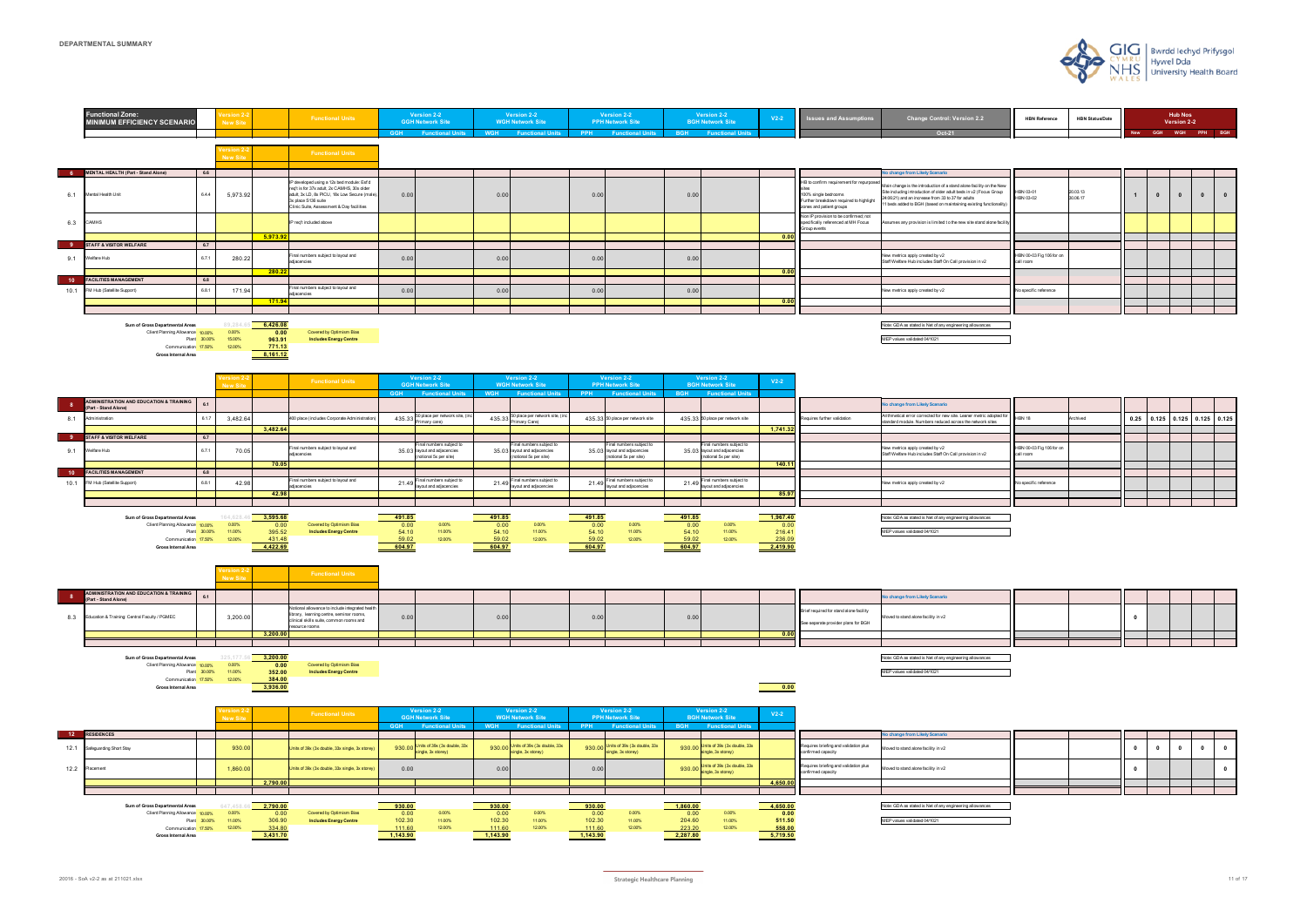



| <b>HBN Reference</b> | <b>HBN Status/Date</b> |            |            | <b>Hub Nos</b><br>Version 2-2 |            |            |
|----------------------|------------------------|------------|------------|-------------------------------|------------|------------|
|                      |                        | <b>New</b> | <b>GGH</b> | <b>WGH</b>                    | <b>PPH</b> | <b>BGH</b> |
|                      |                        |            |            |                               |            |            |

| the New<br>S Group<br>ctionality) | HBN 03-01<br>HBN 03-02                | 20.03.13<br>30.06.17 | 1 | $\mathbf{0}$ | $\mathbf{0}$ | $\mathbf{0}$ | $\bf{0}$ |
|-----------------------------------|---------------------------------------|----------------------|---|--------------|--------------|--------------|----------|
| Ione facility                     |                                       |                      |   |              |              |              |          |
|                                   |                                       |                      |   |              |              |              |          |
|                                   |                                       |                      |   |              |              |              |          |
|                                   | HBN 00-03 Fig 106 for on<br>call room |                      |   |              |              |              |          |
|                                   |                                       |                      |   |              |              |              |          |
|                                   |                                       |                      |   |              |              |              |          |
|                                   | No specific reference                 |                      |   |              |              |              |          |
|                                   |                                       |                      |   |              |              |              |          |
|                                   |                                       |                      |   |              |              |              |          |
|                                   |                                       |                      |   |              |              |              |          |

| adopted for<br>sites | <b>HBN 18</b>                         | Archived | 0.25 | 0.125 | 0.125 | 0.125 | 0.125 |
|----------------------|---------------------------------------|----------|------|-------|-------|-------|-------|
|                      |                                       |          |      |       |       |       |       |
|                      |                                       |          |      |       |       |       |       |
|                      | HBN 00-03 Fig 106 for on<br>call room |          |      |       |       |       |       |
|                      |                                       |          |      |       |       |       |       |
|                      |                                       |          |      |       |       |       |       |
|                      | No specific reference                 |          |      |       |       |       |       |
|                      |                                       |          |      |       |       |       |       |
|                      |                                       |          |      |       |       |       |       |
|                      |                                       |          |      |       |       |       |       |
|                      |                                       |          |      |       |       |       |       |

| 0<br>ŋ<br>O<br>9Ś |  |  |  |  |
|-------------------|--|--|--|--|
|                   |  |  |  |  |
|                   |  |  |  |  |
|                   |  |  |  |  |
|                   |  |  |  |  |
|                   |  |  |  |  |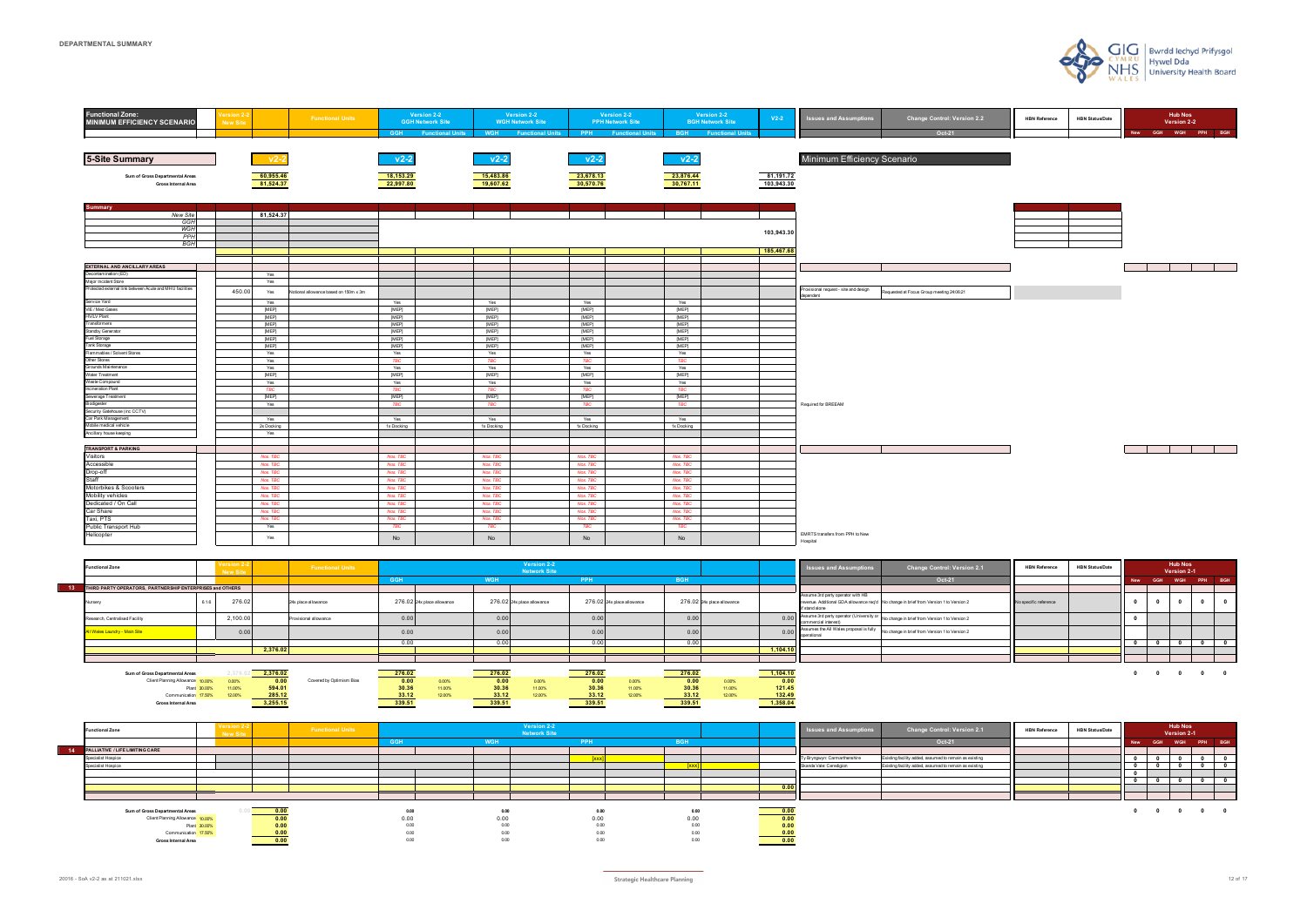| <b>Functional Zone:</b><br><b>MINIMUM EFFICIENCY SCENARIO</b> | <b>/ersion 2-</b><br><b>New Site</b> | <b>Functional Units</b>               |                      | Version 2-2<br><b>GGH Network Site</b><br><b>GGH</b> Functional Units | Version 2-2<br><b>WGH Network Site</b><br><b>WGH</b><br><b>Functional Units</b> | Version 2-2<br><b>PPH Network Site</b><br>PPH<br><b>Functional Units</b> | <b>BGH</b>           | Version 2-2<br><b>BGH Network Site</b><br><b>Functional Units</b> | $V2-2$     | <b>Issues and Assumptions</b>                      | <b>Change Control: Version 2.2</b><br>Oct-21 | <b>HBN Reference</b> | <b>HBN Status/Date</b> | <b>Hub Nos</b><br>Version 2-2<br>GGH WGH PPH BGH<br><b>New</b> |
|---------------------------------------------------------------|--------------------------------------|---------------------------------------|----------------------|-----------------------------------------------------------------------|---------------------------------------------------------------------------------|--------------------------------------------------------------------------|----------------------|-------------------------------------------------------------------|------------|----------------------------------------------------|----------------------------------------------|----------------------|------------------------|----------------------------------------------------------------|
|                                                               |                                      |                                       |                      |                                                                       |                                                                                 |                                                                          |                      |                                                                   |            |                                                    |                                              |                      |                        |                                                                |
|                                                               |                                      |                                       |                      |                                                                       |                                                                                 |                                                                          |                      |                                                                   |            |                                                    |                                              |                      |                        |                                                                |
| <b>5-Site Summary</b>                                         | $\n  v2-2\n$                         |                                       | $v2-2$               |                                                                       | $v2-2$                                                                          | $v2-2$                                                                   | $v2-2$               |                                                                   |            | Minimum Efficiency Scenario                        |                                              |                      |                        |                                                                |
| Sum of Gross Departmental Areas                               | 60,955.46                            |                                       | 18,153.29            |                                                                       | 15,483.86                                                                       | 23,678.13                                                                | 23,876.44            |                                                                   | 81,191.72  |                                                    |                                              |                      |                        |                                                                |
| Gross Internal Area                                           | 81,524.37                            |                                       | 22,997.80            |                                                                       | 19,607.62                                                                       | 30,570.76                                                                | 30,767.11            |                                                                   | 103,943.30 |                                                    |                                              |                      |                        |                                                                |
|                                                               |                                      |                                       |                      |                                                                       |                                                                                 |                                                                          |                      |                                                                   |            |                                                    |                                              |                      |                        |                                                                |
| ummary                                                        |                                      |                                       |                      |                                                                       |                                                                                 |                                                                          |                      |                                                                   |            |                                                    |                                              |                      |                        |                                                                |
| <b>New Site</b>                                               | 81,524.37                            |                                       |                      |                                                                       |                                                                                 |                                                                          |                      |                                                                   |            |                                                    |                                              |                      |                        |                                                                |
| GGH<br><b>WGH</b>                                             |                                      |                                       |                      |                                                                       |                                                                                 |                                                                          |                      |                                                                   |            |                                                    |                                              |                      |                        |                                                                |
| PPH                                                           |                                      |                                       |                      |                                                                       |                                                                                 |                                                                          |                      |                                                                   | 103,943.30 |                                                    |                                              |                      |                        |                                                                |
| <b>BGH</b>                                                    |                                      |                                       |                      |                                                                       |                                                                                 |                                                                          |                      |                                                                   |            |                                                    |                                              |                      |                        |                                                                |
|                                                               |                                      |                                       |                      |                                                                       |                                                                                 |                                                                          |                      |                                                                   | 185,467.68 |                                                    |                                              |                      |                        |                                                                |
|                                                               |                                      |                                       |                      |                                                                       |                                                                                 |                                                                          |                      |                                                                   |            |                                                    |                                              |                      |                        |                                                                |
| <b>EXTERNAL AND ANCILLARY AREAS</b><br>Decontamination (ED)   | Yes                                  |                                       |                      |                                                                       |                                                                                 |                                                                          |                      |                                                                   |            |                                                    |                                              |                      |                        |                                                                |
| Major Incident Store                                          | Yes                                  |                                       |                      |                                                                       |                                                                                 |                                                                          |                      |                                                                   |            |                                                    |                                              |                      |                        |                                                                |
| Protected external link between Acute and MHU facilities      | 450.00<br>Yes                        | Votional allowance based on 150m x 3m |                      |                                                                       |                                                                                 |                                                                          |                      |                                                                   |            | Provisional request - site and design<br>dependent | tequested at Focus Group meeting 24:06:21    |                      |                        |                                                                |
| Service Yard                                                  | Yes                                  |                                       | Yes                  |                                                                       | Yes                                                                             | Yes                                                                      | Yes                  |                                                                   |            |                                                    |                                              |                      |                        |                                                                |
| VIE / Med Gases                                               | [MEP]                                |                                       | [MEP]                |                                                                       | [MEP]                                                                           | [MEP]                                                                    | [MEP]                |                                                                   |            |                                                    |                                              |                      |                        |                                                                |
| <b>HV/LV Plant</b>                                            | [MEP]                                |                                       | [MEP]                |                                                                       | [MEP]                                                                           | [MEP]                                                                    | [MEP]                |                                                                   |            |                                                    |                                              |                      |                        |                                                                |
| Transformers                                                  | [MEP]                                |                                       | [MEP]                |                                                                       | [MEP]                                                                           | [MEP]                                                                    | [MEP]                |                                                                   |            |                                                    |                                              |                      |                        |                                                                |
| <b>Standby Generator</b>                                      | [MEP]                                |                                       | [MEP]                |                                                                       | [MEP]                                                                           | [MEP]                                                                    | [MEP]                |                                                                   |            |                                                    |                                              |                      |                        |                                                                |
| Fuel Storage<br>Tank Storage                                  | [MEP]                                |                                       | [MEP]                |                                                                       | [MEP]                                                                           | [MEP]                                                                    | [MEP]                |                                                                   |            |                                                    |                                              |                      |                        |                                                                |
| Flammables / Solvent Stores                                   | [MEP]<br>Yes                         |                                       | [MEP]<br>Yes         |                                                                       | [MEP]<br>Yes                                                                    | [MEP]<br>Yes                                                             | [MEP]<br>Yes         |                                                                   |            |                                                    |                                              |                      |                        |                                                                |
| Other Stores                                                  | Yes                                  |                                       | <b>TBC</b>           |                                                                       | <b>TBC</b>                                                                      | <b>TBC</b>                                                               | <b>TBC</b>           |                                                                   |            |                                                    |                                              |                      |                        |                                                                |
| Grounds Maintenance                                           | Yes                                  |                                       | Yes                  |                                                                       | Yes                                                                             | Yes                                                                      | Yes                  |                                                                   |            |                                                    |                                              |                      |                        |                                                                |
| Water Treatment                                               | [MEP]                                |                                       | [MEP]                |                                                                       | [MEP]                                                                           | [MEP]                                                                    | [MEP]                |                                                                   |            |                                                    |                                              |                      |                        |                                                                |
| Waste Compound                                                | Yes                                  |                                       | Yes                  |                                                                       | Yes                                                                             | Yes                                                                      | Yes                  |                                                                   |            |                                                    |                                              |                      |                        |                                                                |
| Incineration Plant                                            | TBC                                  |                                       | <b>TBC</b>           |                                                                       | <b>TBC</b>                                                                      | <b>TBC</b>                                                               | <b>TBC</b>           |                                                                   |            |                                                    |                                              |                      |                        |                                                                |
| Sewerage Treatment<br>Biodigester                             | [MEP]                                |                                       | [MEP]                |                                                                       | [MEP]                                                                           | [MEP]                                                                    | [MEP]                |                                                                   |            |                                                    |                                              |                      |                        |                                                                |
| Security Gatehouse (inc CCTV)                                 | Yes                                  |                                       | <b>TBC</b>           |                                                                       | <b>TBC</b>                                                                      | <b>TBC</b>                                                               | <b>TBC</b>           |                                                                   |            | Required for BREEAM                                |                                              |                      |                        |                                                                |
| Car Park Management                                           | Yes                                  |                                       | Yes                  |                                                                       | Yes                                                                             | Yes                                                                      | Yes                  |                                                                   |            |                                                    |                                              |                      |                        |                                                                |
| Mobile medical vehicle                                        | 2x Docking                           |                                       | 1x Docking           |                                                                       | 1x Docking                                                                      | 1x Docking                                                               | 1x Docking           |                                                                   |            |                                                    |                                              |                      |                        |                                                                |
| Ancillary house keeping                                       | Yes                                  |                                       |                      |                                                                       |                                                                                 |                                                                          |                      |                                                                   |            |                                                    |                                              |                      |                        |                                                                |
|                                                               |                                      |                                       |                      |                                                                       |                                                                                 |                                                                          |                      |                                                                   |            |                                                    |                                              |                      |                        |                                                                |
| <b>TRANSPORT &amp; PARKING</b>                                |                                      |                                       |                      |                                                                       |                                                                                 |                                                                          |                      |                                                                   |            |                                                    |                                              |                      |                        |                                                                |
| Visitors                                                      | Nos. TBC<br>Nos. TBC                 |                                       | Nos. TBC<br>Nos. TBC |                                                                       | Nos. TBC<br>Nos. TBC                                                            | Nos. TBC<br>Nos. TBC                                                     | Nos. TBC<br>Nos. TBC |                                                                   |            |                                                    |                                              |                      |                        |                                                                |
| Accessible<br>Drop-off                                        | Nos. TBC                             |                                       | Nos. TBC             |                                                                       | Nos. TBC                                                                        | Nos. TBC                                                                 | Nos. TBC             |                                                                   |            |                                                    |                                              |                      |                        |                                                                |
| Staff                                                         | Nos. TBC                             |                                       | Nos. TBC             |                                                                       | Nos. TBC                                                                        | Nos. TBC                                                                 | Nos. TBC             |                                                                   |            |                                                    |                                              |                      |                        |                                                                |
| Motorbikes & Scooters                                         | Nos. TBC                             |                                       | Nos. TBC             |                                                                       | Nos. TBC                                                                        | Nos. TBC                                                                 | Nos. TBC             |                                                                   |            |                                                    |                                              |                      |                        |                                                                |
| Mobility vehicles                                             | Nos. TBC                             |                                       | Nos. TBC             |                                                                       | Nos. TBC                                                                        | Nos. TBC                                                                 | Nos. TBC             |                                                                   |            |                                                    |                                              |                      |                        |                                                                |
| Dedicated / On Call                                           | Nos. TBC                             |                                       | Nos. TBC             |                                                                       | Nos. TBC                                                                        | Nos. TBC                                                                 | Nos. TBC             |                                                                   |            |                                                    |                                              |                      |                        |                                                                |
| Car Share                                                     | Nos. TBC                             |                                       | Nos. TBC             |                                                                       | Nos. TBC                                                                        | Nos. TBC                                                                 | Nos. TBC             |                                                                   |            |                                                    |                                              |                      |                        |                                                                |
| Taxi, PTS                                                     | Nos. TBC                             |                                       | Nos. TBC             |                                                                       | Nos. TBC                                                                        | Nos. TBC                                                                 | Nos. TBC             |                                                                   |            |                                                    |                                              |                      |                        |                                                                |
| Public Transport Hub                                          | Yes                                  |                                       | <b>TBC</b>           |                                                                       | <b>TBC</b>                                                                      | <b>TBC</b>                                                               | <b>TBC</b>           |                                                                   |            |                                                    |                                              |                      |                        |                                                                |
| Helicopter                                                    | Yes                                  |                                       | <b>No</b>            |                                                                       | No                                                                              | No                                                                       | No                   |                                                                   |            | EMRTS transfers from PPH to New<br>Hospital        |                                              |                      |                        |                                                                |
|                                                               |                                      |                                       |                      |                                                                       |                                                                                 |                                                                          |                      |                                                                   |            |                                                    |                                              |                      |                        |                                                                |

| <b>Functional Zone</b>                                    |              | I Version<br><b>New Site</b> |          | <b>Functional Units</b>  |        |                            |            | Version 2-2<br><b>Network Site</b> |        |                            |            |                            |                           | <b>Issues and Assumptions</b>                                         | <b>Change Control: Version 2.1</b>                                                     | <b>HBN Reference</b>  | <b>HBN Status/Date</b> |              |                | <b>Hub Nos</b><br>Version 2-1 |         |  |
|-----------------------------------------------------------|--------------|------------------------------|----------|--------------------------|--------|----------------------------|------------|------------------------------------|--------|----------------------------|------------|----------------------------|---------------------------|-----------------------------------------------------------------------|----------------------------------------------------------------------------------------|-----------------------|------------------------|--------------|----------------|-------------------------------|---------|--|
|                                                           |              |                              |          |                          | GGH    |                            | <b>WGH</b> |                                    | PPH    |                            | <b>BGH</b> |                            |                           |                                                                       | Oct-21                                                                                 |                       |                        | <b>New</b>   | <b>GGH</b>     | <b>WGH</b>                    | PPH BGH |  |
| THIRD PARTY OPERATORS, PARTNERSHIP ENTERPRISES and OTHERS |              |                              |          |                          |        |                            |            |                                    |        |                            |            |                            |                           |                                                                       |                                                                                        |                       |                        |              |                |                               |         |  |
| Nursery                                                   | 6.1.6        | 276.02                       |          | 24x place allowance      |        | 276.02 24x place allowance |            | 276.02 24x place allowance         |        | 276.02 24x place allowance |            | 276.02 24x place allowance |                           | Assume 3rd party operator with HB<br>if stand alone                   | revenue. Additional GDA allowance req'd No change in brief from Version 1 to Version 2 | No specific reference |                        |              |                |                               |         |  |
| Research, Centralised Facility                            |              | 2,100.0                      |          | Provisional allowance    | 0.00   |                            | 0.00       |                                    | 0.00   |                            | 0.00       |                            |                           | 0.00 Assume 3rd party operator (University or<br>commercial interest) | No change in brief from Version 1 to Version 2                                         |                       |                        |              |                |                               |         |  |
| VI Wales Laundry - Main Site                              |              | 0.00                         |          |                          | 0.00   |                            | 0.00       |                                    | 0.00   |                            | 0.00       |                            | 0.00                      | Assumes the All Wales proposal is fully<br>operational                | No change in brief from Version 1 to Version 2                                         |                       |                        |              |                |                               |         |  |
|                                                           |              |                              |          |                          | 0.00   |                            | 0.00       |                                    | 0.00   |                            | 0.00       |                            |                           |                                                                       |                                                                                        |                       |                        | $\mathbf{a}$ |                |                               |         |  |
|                                                           |              |                              | 2,376.02 |                          |        |                            |            |                                    |        |                            |            |                            | 1,104.10                  |                                                                       |                                                                                        |                       |                        |              |                |                               |         |  |
|                                                           |              |                              |          |                          |        |                            |            |                                    |        |                            |            |                            |                           |                                                                       |                                                                                        |                       |                        |              |                |                               |         |  |
| Sum of Gross Departmental Areas                           |              | 2.376.02                     | 2,376.02 |                          | 276.02 |                            | 276.02     |                                    | 276.02 |                            | 276.02     |                            | 1,104.10                  |                                                                       |                                                                                        |                       |                        |              | $\overline{a}$ |                               |         |  |
| Client Planning Allowance 10,00%                          |              | 0.00%                        | 0.00     | Covered by Optimism Bias | 0.00   | 0.00%                      | 0.00       | 0.00%                              | 0.00   | 0.00%                      | 0.00       | 0.00%                      | 0.00                      |                                                                       |                                                                                        |                       |                        |              |                |                               |         |  |
|                                                           | Plant 30.00% | 11.00%                       | 594.01   |                          | 30.36  | 11.00%                     | 30.36      | 11.00%                             | 30.36  | 11.00%                     | 30.36      | 11.00%                     | 121.45                    |                                                                       |                                                                                        |                       |                        |              |                |                               |         |  |
| Communication 17.50%                                      |              | 12.00%                       | 285.12   |                          | 33.12  | 12.00%                     | 33.12      | 12.00%                             | 33.12  | 12.00%                     | 33.12      | 12.00%                     | $\frac{132.49}{1,358.04}$ |                                                                       |                                                                                        |                       |                        |              |                |                               |         |  |
| <b>Gross Internal Area</b>                                |              |                              | 3,255.15 |                          | 339.51 |                            | 339.51     |                                    | 339.51 |                            | 339.51     |                            |                           |                                                                       |                                                                                        |                       |                        |              |                |                               |         |  |

| <b>Functional Zone</b>             | $\sqrt{98181011}$ $\Delta$<br>New Site |      | <b>Functional Units</b> |            |          | Version 2-2<br><b>Network Site</b> |      |      | <b>Issues and Assumptions</b> | <b>Change Control: Version 2.1</b>                     | <b>HBN Reference</b> | <b>HBN Status/Date</b> |            |                           | <b>Hub Nos</b><br>Version 2-1 |                                            |  |
|------------------------------------|----------------------------------------|------|-------------------------|------------|----------|------------------------------------|------|------|-------------------------------|--------------------------------------------------------|----------------------|------------------------|------------|---------------------------|-------------------------------|--------------------------------------------|--|
|                                    |                                        |      |                         | <b>GGH</b> |          | PPH                                |      |      |                               | Oct-21                                                 |                      |                        | <b>New</b> |                           | GGH WGH PPH BGH               |                                            |  |
| 14 PALLIATIVE / LIFE LIMITING CARE |                                        |      |                         |            |          |                                    |      |      |                               |                                                        |                      |                        |            |                           |                               |                                            |  |
| Specialist Hospice                 |                                        |      |                         |            |          |                                    |      |      | Ty Bryngwyn: Carmarthenshire  | Existing facility added, assumed to remain as existing |                      |                        |            |                           |                               |                                            |  |
| <b>Specialist Hospice</b>          |                                        |      |                         |            |          |                                    |      |      | Skanda Vale: Ceredigion       | Existing facility added, assumed to remain as existing |                      |                        |            |                           |                               |                                            |  |
|                                    |                                        |      |                         |            |          |                                    |      |      |                               |                                                        |                      |                        |            |                           |                               |                                            |  |
|                                    |                                        |      |                         |            |          |                                    |      |      |                               |                                                        |                      |                        |            |                           |                               |                                            |  |
|                                    |                                        |      |                         |            |          |                                    |      | 0.00 |                               |                                                        |                      |                        |            |                           |                               |                                            |  |
|                                    |                                        |      |                         |            |          |                                    |      |      |                               |                                                        |                      |                        |            |                           |                               |                                            |  |
|                                    |                                        |      |                         |            |          |                                    |      |      |                               |                                                        |                      |                        |            |                           |                               |                                            |  |
| Sum of Gross Departmental Areas    |                                        | 0.00 |                         | 0.00       | $0.00\,$ | 0.00                               | 0.00 | 0.00 |                               |                                                        |                      |                        | - 0        | $\mathbf{0}$ $\mathbf{0}$ |                               | $\begin{array}{ccc} & & & 0 & \end{array}$ |  |
| Client Planning Allowance 10,00%   |                                        | 0.00 |                         | 0.00       | 0.00     | 0.00                               | 0.00 | 0.00 |                               |                                                        |                      |                        |            |                           |                               |                                            |  |
|                                    | Plant 30.00%                           | v.vu |                         | 0.00       | 0.00     | 0.00                               | 0.00 | 0.00 |                               |                                                        |                      |                        |            |                           |                               |                                            |  |
| Communication 17.50%               |                                        |      |                         | 0.00       | 0.00     | 0.00                               | 0.00 | 0.00 |                               |                                                        |                      |                        |            |                           |                               |                                            |  |
| <b>Gross Internal Area</b>         |                                        | 0.00 |                         | 0.00       | 0.00     | 0.00                               | 0.00 | 0.00 |                               |                                                        |                      |                        |            |                           |                               |                                            |  |



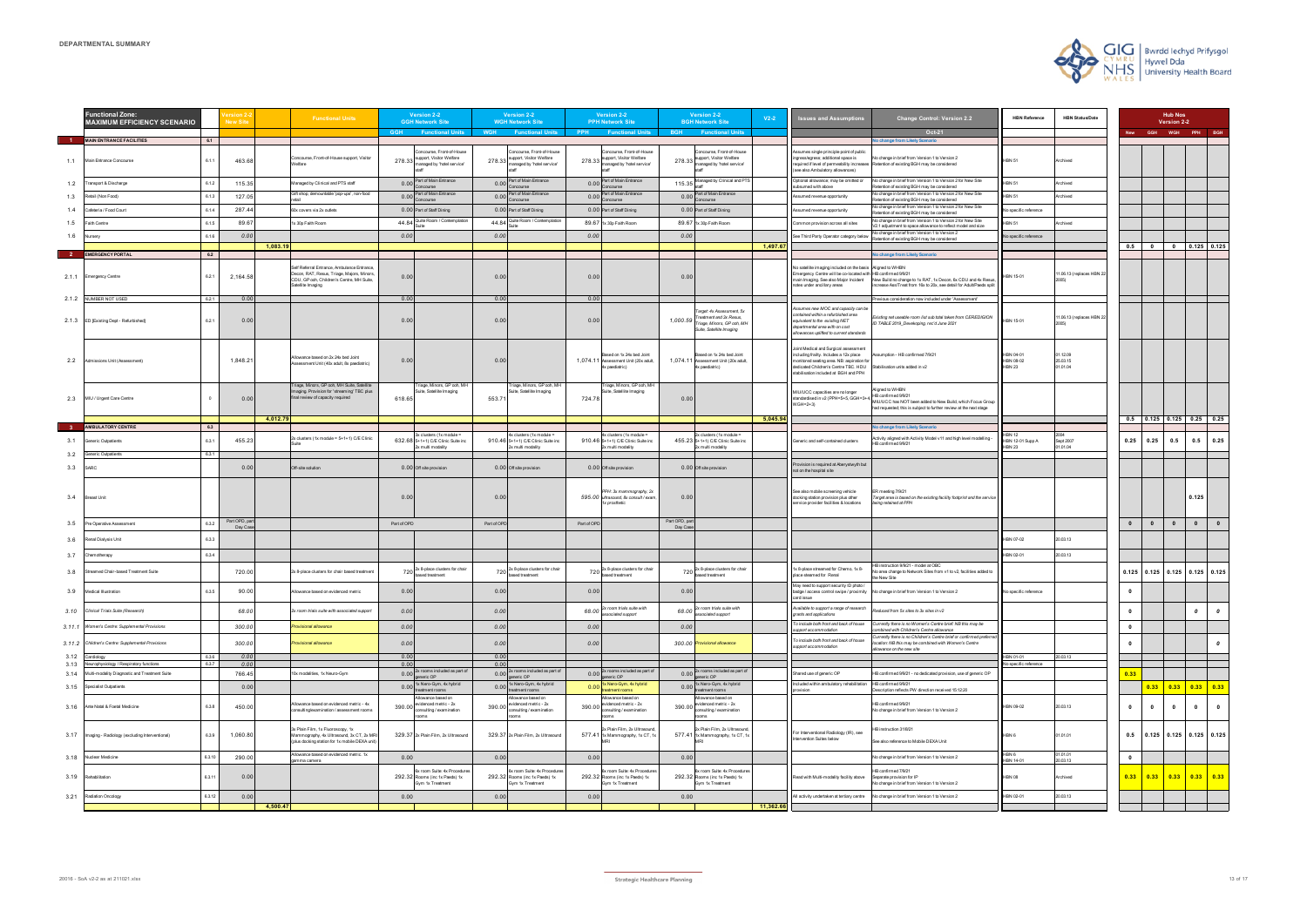|              | unctional Zone:<br><b>MAXIMUM EFFICIENCY SCENARIO</b> |                | <b>New Site</b>         | <b>Functional Units</b>                                                                                                                                    | <b>Version 2-2</b><br><b>GGH Network Site</b>                                                                    |              | Version 2-2<br><b>WGH Network Site</b>                                                                    |             | <b>Version 2-2</b><br><b>PPH Network Site</b>                                                             |                           | <b>Version 2-2</b><br><b>BGH Network Site</b>                                                                 | $V2-2$   | <b>Issues and Assumptions</b>                                                                                                                                                                                  | <b>Change Control: Version 2.2</b>                                                                                                                                               | <b>HBN Reference</b>                          | <b>HBN Status/Date</b>          |              |              | <b>Hub Nos</b><br>Version 2-2         |                                                   |                         |
|--------------|-------------------------------------------------------|----------------|-------------------------|------------------------------------------------------------------------------------------------------------------------------------------------------------|------------------------------------------------------------------------------------------------------------------|--------------|-----------------------------------------------------------------------------------------------------------|-------------|-----------------------------------------------------------------------------------------------------------|---------------------------|---------------------------------------------------------------------------------------------------------------|----------|----------------------------------------------------------------------------------------------------------------------------------------------------------------------------------------------------------------|----------------------------------------------------------------------------------------------------------------------------------------------------------------------------------|-----------------------------------------------|---------------------------------|--------------|--------------|---------------------------------------|---------------------------------------------------|-------------------------|
|              | <b>MAIN ENTRANCE FACILITIES</b>                       | 6.1            |                         |                                                                                                                                                            | <b>GGH</b><br><b>Functional Units</b>                                                                            | <b>WGH</b>   | <b>Functional Units</b>                                                                                   | PPH         | <b>Functional Units</b>                                                                                   | <b>BGH</b>                | <b>Functional Units</b>                                                                                       |          |                                                                                                                                                                                                                | Oct-21<br>o change from Likely Scenario                                                                                                                                          |                                               |                                 | <b>New</b>   |              | GGH WGH PPH BGH                       |                                                   |                         |
|              | 1.1 Main Entrance Concourse                           | 6.1.1          | 463.68                  | Concourse, Front-of-House support, Visitor<br>/elfare                                                                                                      | oncourse, Front-of-House<br>278.33 support, Visitor Welfare<br>managed by 'hotel service'                        |              | oncourse, Front-of-House<br>278.33 support, Visitor Welfare<br>managed by 'hotel service'                 |             | Concourse, Front-of-House<br>278.33 support, Visitor Welfare<br>managed by 'hotel service'                |                           | Concourse, Front-of-House<br>278.33 support, Visitor Welfare<br>managed by 'hotel service'                    |          | Assumes single principle point of public<br>ingress/egress; additional space is<br>(see also Ambulatory allowances)                                                                                            | Vo change in brief from Version 1 to Version 2<br>required if level of permeability increases Retention of existing BGH may be considered                                        | <b>IBN 51</b>                                 | Archived                        |              |              |                                       |                                                   |                         |
| 1.2          | Fransport & Discharge                                 |                | 115.35                  | Managed by Clinical and PTS staff                                                                                                                          | Part of Main Entrance<br>0.00                                                                                    | 0.00         | Part of Main Entrance                                                                                     |             | 0.00 Part of Main Entrance                                                                                | 115.35                    | Managed by Clinical and PT                                                                                    |          | Optional allowance; may be omitted or<br>ubsumed with above                                                                                                                                                    | No change in brief from Version 1 to Version 2 for New Site<br>tention of existing BGH may be considered                                                                         | <b>BN 51</b>                                  | chived                          |              |              |                                       |                                                   |                         |
| 1.3          | Retail (Non Food)                                     | 6.1.           | 127.05                  | Gift shop, demountable 'pop-ups', non-food                                                                                                                 | Part of Main Entrance<br>0.00                                                                                    | 0.00         | Part of Main Entrance                                                                                     | 0.00        | Part of Main Entrance                                                                                     |                           | 0.00 Part of Main Entrance                                                                                    |          | Assumed revenue opportunity                                                                                                                                                                                    | lo change in brief from Version 1 to Version 2 for New Site                                                                                                                      | <b>BN 51</b>                                  | rchived                         |              |              |                                       |                                                   |                         |
| 1.4          | Cafeteria / Food Court                                |                | 287.44                  | 60x covers via 2x outlets                                                                                                                                  | 0.00 Part of Staff Dining                                                                                        |              | 0.00 Part of Staff Dining                                                                                 |             | 0.00 Part of Staff Dining                                                                                 |                           | 0.00 Part of Staff Dining                                                                                     |          | Assumed revenue opportunity                                                                                                                                                                                    | tention of existing BGH may be considered<br>lo change in brief from Version 1 to Version 2 for New Site                                                                         | o specific reference                          |                                 |              |              |                                       |                                                   |                         |
| 1.5          | aith Centre                                           | 6.1.           | 89.67                   | 1x 30p Faith Room                                                                                                                                          | Quite Room / Contemplation<br>44.84                                                                              | 44.84        | Quite Room / Contemplatio                                                                                 |             | 89.67 1x 30p Faith Room                                                                                   |                           | 89.67 1x 30p Faith Room                                                                                       |          | Common provision across all sites                                                                                                                                                                              | tention of existing BGH may be considered<br>lo change in brief from Version 1 to Version 2 for New Site                                                                         | <b>BN 51</b>                                  | chived                          |              |              |                                       |                                                   |                         |
|              |                                                       |                |                         |                                                                                                                                                            |                                                                                                                  |              |                                                                                                           |             |                                                                                                           |                           |                                                                                                               |          |                                                                                                                                                                                                                | 2.1 adjustment to space allowance to reflect model and size<br>Vo change in brief from Version 1 to Version 2                                                                    |                                               |                                 |              |              |                                       |                                                   |                         |
| 1.6          | Nursery                                               | 6.1.           | 0.00<br>1,083.19        |                                                                                                                                                            | 0.00                                                                                                             | 0.00         |                                                                                                           | 0.00        |                                                                                                           | 0.00                      |                                                                                                               | 1,497.6  | See Third Party Operator category below                                                                                                                                                                        | tetention of existing BGH may be considered                                                                                                                                      | lo specific reference                         |                                 |              |              | $0.5$ 0 0 0.125 0.125                 |                                                   |                         |
|              | <b>EMERGENCY PORTAL</b>                               | 6.2            |                         |                                                                                                                                                            |                                                                                                                  |              |                                                                                                           |             |                                                                                                           |                           |                                                                                                               |          |                                                                                                                                                                                                                | lo change from Likely Scenario                                                                                                                                                   |                                               |                                 |              |              |                                       |                                                   |                         |
| 2.1.1        | <b>Emergency Centre</b>                               | 6.2.1          | 2,164.58                | Self Referral Entrance, Ambulance Entrance,<br>Decon, RAT, Resus, Triage, Majors, Minors<br>CDU, GP ooh, Children's Centre, MH Suite,<br>Satellite Imaging | 0.00                                                                                                             | 0.00         |                                                                                                           | 0.00        |                                                                                                           | 0.00                      |                                                                                                               |          | No satellite imaging included on the basis Aligned to WHBN<br>Emergency Centre will be co-located with HB confirmed 9/9/21<br>notes under ancillary areas                                                      | main Imaging. See also Major Incident New Build no change to 1x RAT, 1x Decon, 6x CDU and 4x Resus<br>crease Ass/Treat from 16x to 20x, see detail for Adult/Paeds spli          | <b>IBN 15-01</b>                              | 1.06.13 (replaces HBN 2         |              |              |                                       |                                                   |                         |
| 2.1.2        | NUMBER NOT USED                                       | 6.2.1          | 0.00                    |                                                                                                                                                            | 0.00                                                                                                             | 0.00         |                                                                                                           | 0.00        |                                                                                                           |                           |                                                                                                               |          |                                                                                                                                                                                                                | revious consideration now included under 'Assessment'                                                                                                                            |                                               |                                 |              |              |                                       |                                                   |                         |
|              | 2.1.3 ED [Existing Dept - Refurbished]                | 6.2.1          | 0.00                    |                                                                                                                                                            | 0.00                                                                                                             | 0.00         |                                                                                                           | 0.00        |                                                                                                           | 1,000.59                  | arget: 4x Assessment, 5x<br>Treatment and 3x Resus.<br>Triage, Minors, GP ooh, MH<br>Suite, Satellite Imaging |          | Assumes new MOC and capacity can be<br>contained within a refurbished area<br>equivalent to the existing NET<br>departmental area with on cost<br>allowances uplifted to current standards                     | xisting net useable room list sub total taken from CEREDIGION<br>D TABLE 2019_Devekoping, rec'd June 2021                                                                        | <b>BN 15-01</b>                               | 11.06.13 (replaces HBN 2        |              |              |                                       |                                                   |                         |
| 2.2          | Admissions Unit (Assessment)                          |                | 1,848.2                 | Ilowance based on 2x 24x bed Joint<br>sessment Unit (40x adult, 8x paediatric)                                                                             | 0.00                                                                                                             | 0.00         |                                                                                                           |             | lased on 1x 24x bed Joint<br>1,074.11 Assessment Unit (20x adult<br>4x paediatric)                        |                           | ased on 1x 24x bed Joint<br>1,074.11 Assessment Unit (20x adult,<br>4x paediatric)                            |          | Joint Medical and Surgical assessment<br>including frailty. Includes a 12x place<br>monitored seating area. NB: aspiration fo<br>dedicated Children's Centre TBC. HDU<br>stabilisation included at BGH and PPH | ssumption - HB confirmed 7/9/21<br>Stabilisation units added in v2                                                                                                               | <b>IBN 04-01</b><br>IBN 08-02<br><b>BN 23</b> | 1.12.09<br>25.03.15<br>01.01.04 |              |              |                                       |                                                   |                         |
| 2.3          | MIU / Urgent Care Centre                              |                | 0.00<br>4,012.79        | Triage, Minors, GP ooh, MH Suite, Satellite<br>Imaging. Provision for 'streaming' TBC plus<br>final review of capacity required                            | Triage, Minors, GP ooh, MH<br>Suite, Satellite Imaging<br>618.65                                                 | 553.7        | Triage, Minors, GP ooh, MH<br>Suite, Satellite Imaging                                                    | 724.78      | Triage, Minors, GP ooh, MH<br>Suite, Satellite Imaging                                                    | 0.00                      |                                                                                                               | 5,045.9  | MIU/UCC capacities are no longer<br>standardised in v2 (PPH=5+5, GGH=3+4,<br>$WGH=2+3$                                                                                                                         | <b>Nigned to WHBN</b><br>HB confirmed 9/9/21<br>MIU/UCC has NOT been added to New Build, which Focus Group<br>had requested; this is subject to further review at the next stage |                                               |                                 |              |              | $0.5$ $0.125$ $0.125$ $0.25$ $0.25$   |                                                   |                         |
|              | <b>AMBULATORY CENTRE</b>                              | 6.3            |                         |                                                                                                                                                            |                                                                                                                  |              |                                                                                                           |             |                                                                                                           |                           |                                                                                                               |          |                                                                                                                                                                                                                | o change from Likely Scenario                                                                                                                                                    |                                               |                                 |              |              |                                       |                                                   |                         |
| 3.1          | <b>Generic Outpatients</b>                            | 6.3.1          | 455.23                  | 2x clusters (1x module = 5+1+1) C/E Clinic                                                                                                                 | $3x$ clusters (1x module =<br>632.68 5+1+1) C/E Clinic Suite inc                                                 |              | 4x clusters (1x module =<br>910.46 5+1+1) C/E Clinic Suite inc                                            |             | 4x clusters (1x module =<br>910.46 5+1+1) C/E Clinic Suite inc                                            |                           | $2x$ clusters (1x module =<br>455.23 5+1+1) C/E Clinic Suite inc                                              |          | Generic and self-contained clusters                                                                                                                                                                            | ctivity aligned with Activity Model v11 and high level modelling -                                                                                                               | <b>BN 12-01 Supp A</b>                        | Sept 2007                       | 0.25         | 0.25         | 0.5                                   | 0.5                                               | 0.25                    |
|              |                                                       | 6.3.1          |                         |                                                                                                                                                            | 2x multi modality                                                                                                |              | 2x multi modality                                                                                         |             | 2x multi modality                                                                                         |                           | 2x multi modality                                                                                             |          |                                                                                                                                                                                                                | B confirmed 9/9/21                                                                                                                                                               | <b>BN 23</b>                                  | 1.01.04                         |              |              |                                       |                                                   |                         |
| 3.2<br>3.3   | eneric Outpatients<br>SARC                            |                | 0.00                    | Off-site solution                                                                                                                                          | 0.00 Off site provision                                                                                          |              | 0.00 Off site provision                                                                                   |             | 0.00 Off site provision                                                                                   |                           | 0.00 Off site provision                                                                                       |          | Provision is required at Aberystwyth but<br>not on the hospital site                                                                                                                                           |                                                                                                                                                                                  |                                               |                                 |              |              |                                       |                                                   |                         |
| 3.4          | Breast Unit                                           |                |                         |                                                                                                                                                            | 0.00                                                                                                             | 0.00         |                                                                                                           |             | PPH: 3x mammography, 2x<br>595.00 ultrasound, 8x consult / exam,<br>1x prosthetic                         | 0.00                      |                                                                                                               |          | See also mobile screening vehicle<br>docking station provision plus other<br>service provider facilities & locations                                                                                           | 2 meeting 7/9/21<br>Target area is based on the existing facility footprint and the service<br>eing retained at PPH                                                              |                                               |                                 |              |              |                                       | 0.125                                             |                         |
| 3.5          | Pre Operative Assessment                              | 6.3.2          | Part OPD, pa<br>Day Cas |                                                                                                                                                            | Part of OPD                                                                                                      | Part of OPD  |                                                                                                           | Part of OPD |                                                                                                           | Part OPD, par<br>Day Case |                                                                                                               |          |                                                                                                                                                                                                                |                                                                                                                                                                                  |                                               |                                 | $\mathbf{0}$ | $\bullet$    | $\bullet$                             | $\mathbf{0}$                                      | $\bullet$               |
| 3.6          | Renal Dialysis Unit                                   | 6.3.3          |                         |                                                                                                                                                            |                                                                                                                  |              |                                                                                                           |             |                                                                                                           |                           |                                                                                                               |          |                                                                                                                                                                                                                |                                                                                                                                                                                  | <b>IBN 07-02</b>                              | 20.03.13                        |              |              |                                       |                                                   |                         |
|              |                                                       |                |                         |                                                                                                                                                            |                                                                                                                  |              |                                                                                                           |             |                                                                                                           |                           |                                                                                                               |          |                                                                                                                                                                                                                |                                                                                                                                                                                  |                                               |                                 |              |              |                                       |                                                   |                         |
| 3.7          | Chemotherapy                                          | 6.3.4          |                         |                                                                                                                                                            |                                                                                                                  |              |                                                                                                           |             |                                                                                                           |                           |                                                                                                               |          |                                                                                                                                                                                                                | B instruction 9/9/21 - model at OBC                                                                                                                                              | <b>IBN 02-01</b>                              | 20.03.13                        |              |              |                                       |                                                   |                         |
| 3.8          | Streamed Chair-based Treatment Suite                  |                | 720.00                  | 2x 8-place clusters for chair based treatment                                                                                                              | 720 2x 8-place clusters for chair<br>ased treatment                                                              |              | 720 2x 8-place clusters for chair<br>ased treatment                                                       |             | 720 2x 8-place clusters for chair<br>based treatment                                                      |                           | 720 2x 8-place clusters for chair<br>ased treatment                                                           |          | x 8-place streamed for Chemo, 1x 8-<br>blace steamed for Renal<br>May need to support security ID photo /                                                                                                      | area change to Network Sites from v1 to v2, facilities added to<br>e New Site                                                                                                    |                                               |                                 |              |              | $0.125$ 0.125 0.125 0.125 0.125       |                                                   |                         |
|              | 3.9 Medical Illustration                              | 6.3.5          | 90.00                   | Allowance based on evidenced metric                                                                                                                        | 0.00                                                                                                             | 0.00         |                                                                                                           | 0.00        |                                                                                                           | 0.00                      |                                                                                                               |          | card issue                                                                                                                                                                                                     | badge / access control swipe / proximity No change in brief from Version 1 to Version 2                                                                                          | lo specific reference                         |                                 | $\mathbf{0}$ |              |                                       |                                                   |                         |
| 3.10         | Clinical Trials Suite (Research)                      |                | 68.00                   | 2x room trials suite with associated support                                                                                                               | 0.00                                                                                                             | 0.00         |                                                                                                           |             | 68.00 <sup>2x room trials suite with</sup><br>associated support                                          |                           | 68.00 <sup>2x room trials suite with</sup><br>associated support                                              |          | Available to support a range of research<br>prants and applications                                                                                                                                            | educed from 5x sites to 3x sites in v2<br>Currently there is no Women's Centre brief: NB this may be                                                                             |                                               |                                 | $\mathbf{0}$ |              |                                       | $\boldsymbol{o}$                                  | $\boldsymbol{o}$        |
|              | 3.11.1 Women's Centre: Supplemental Provisions        |                | 300.00                  | pvisional allowance                                                                                                                                        | 0.00                                                                                                             | 0.00         |                                                                                                           | 0.00        |                                                                                                           | 0.00                      |                                                                                                               |          | To include both front and back of house<br>support accommodation                                                                                                                                               | combined with Children's Centre allowance                                                                                                                                        |                                               |                                 | $\bullet$    |              |                                       |                                                   |                         |
|              | 3.11.2 Children's Centre: Supplemental Provisions     |                | 300.00                  | pvisional allowance                                                                                                                                        | 0.00                                                                                                             | 0.00         |                                                                                                           | 0.00        |                                                                                                           |                           | 300.00 Provisional allowance                                                                                  |          | To include both front and back of house<br>support accommodation                                                                                                                                               | urrently there is no Children's Centre brief or confirmed preferr<br>ocation: NB this may be combined with Women's Centre<br>allowance on the new site                           |                                               |                                 | $\bullet$    |              |                                       |                                                   | $\boldsymbol{0}$        |
| 3.12<br>3.13 | Cardiology<br>Neurophysiology / Respiratory functions | 6.3.6<br>6.3.7 | 0.00<br>0.00            |                                                                                                                                                            | 0.00<br>0.00                                                                                                     | 0.00<br>0.00 |                                                                                                           |             |                                                                                                           |                           |                                                                                                               |          |                                                                                                                                                                                                                |                                                                                                                                                                                  | <b>IBN 01-01</b><br>lo specific reference     | 20.03.13                        |              |              |                                       |                                                   |                         |
| 3.14         | Multi-modality Diagnostic and Treatment Suite         |                | 766.45                  | 10x modalities, 1x Neuro-Gym                                                                                                                               | $0.00$ <sup>2x rooms included as part of</sup><br>generic OP                                                     |              | $0.002x$ rooms included as part of<br>generic OP                                                          |             | $0.002x$ rooms included as part of<br>generic OP                                                          |                           | $0.00$ <sup>2x rooms included as part of</sup><br>generic OP                                                  |          | Shared use of generic OP                                                                                                                                                                                       | HB confirmed 9/9/21 - no dedicated provision, use of generic OP                                                                                                                  |                                               |                                 | 0.33         |              |                                       |                                                   |                         |
| 3.15         | <b>Specialist Outpatients</b>                         |                | 0.00                    |                                                                                                                                                            | 1x Nero-Gym, 4x hybrid<br>0.00                                                                                   | 0.00         | 1x Nero-Gym, 4x hybrid                                                                                    | 0.00        | Ix Nero-Gym, 4x hybrid                                                                                    | 0.00                      | 1x Nero-Gym, 4x hybrid                                                                                        |          | Included within ambulatory rehabilitation                                                                                                                                                                      | HB confirmed 9/9/21                                                                                                                                                              |                                               |                                 |              |              | $0.33$ $0.33$                         | $\begin{array}{ c c }\n\hline\n0.33\n\end{array}$ | $\overline{0.33}$       |
|              | 3.16 Ante Natal & Foetal Medicine                     | 6.3.8          | 450.00                  | owance based on evidenced metric - 4x<br>consulting/examination / assessment rooms                                                                         | treatment rooms<br>Allowance based on<br>390.00 evidenced metric - 2x<br>consulting / examination<br><b>coms</b> |              | treatment rooms<br>Allowance based on<br>390.00 evidenced metric - 2x<br>consulting / examination<br>ooms |             | treatment rooms<br>Allowance based on<br>390.00 evidenced metric - 2x<br>consulting / examination<br>poms |                           | treatment rooms<br>Allowance based on<br>390.00 evidenced metric - 2x<br>consulting / examination<br>oms      |          | provision                                                                                                                                                                                                      | escription reflects PW direction received 15:12:20<br>HB confirmed 9/9/21<br>Vo change in brief from Version 1 to Version 2                                                      | IBN 09-02                                     | 20.03.13                        | $\mathbf{0}$ | $\mathbf{0}$ | $^{\circ}$                            | $\mathbf{0}$                                      | $\overline{\mathbf{0}}$ |
|              | 3.17 Imaging - Radiology (excluding Interventional)   | 6.3.9          | 1,060.80                | 3x Plain Film, 1x Fluoroscopy, 1x<br>Mammography, 4x Ultrasound, 3x CT, 2x MF<br>(plus docking station for 1x mobile DEXA unit)                            | 329.37 2x Plain Film, 2x Ultrasound                                                                              |              | 329.37 2x Plain Film, 2x Ultrasound                                                                       |             | 2x Plain Film, 2x Ultrasound<br>577.41 1x Mammography, 1x CT, 1x                                          |                           | 2x Plain Film, 2x Ultrasound<br>577.41 1x Mammography, 1x CT, 1x                                              |          | For Interventional Radiology (IR), see<br>ntervention Suites below                                                                                                                                             | 3 instruction 31/8/21<br>See also reference to Mobile DEXA Unit                                                                                                                  | IBN 6                                         | 01.01.01                        |              |              | $0.5$ $0.125$ $0.125$ $0.125$ $0.125$ |                                                   |                         |
|              | 3.18 Nuclear Medicine                                 | 6.3.1          | 290.00                  | Allowance based on evidenced metric. 1x<br>amma camera                                                                                                     | 0.00                                                                                                             | 0.00         |                                                                                                           | 0.00        |                                                                                                           | 0.00                      |                                                                                                               |          |                                                                                                                                                                                                                | change in brief from Version 1 to Version 2                                                                                                                                      | HBN 6<br><b>IBN 14-01</b>                     | 01.01.01<br>20.03.13            | $\bullet$    |              |                                       |                                                   |                         |
| 3.19         | Rehabilitation                                        | 6.3.11         | 0.00                    |                                                                                                                                                            | 6x room Suite: 4x Procedures<br>292.32 Rooms (inc 1x Paeds) 1x<br>Gym 1x Treatment                               |              | 6x room Suite: 4x Procedures<br>292.32 Rooms (inc 1x Paeds) 1x<br>Gym 1x Treatment                        |             | 6x room Suite: 4x Procedures<br>292.32 Rooms (inc 1x Paeds) 1x<br>Gym 1x Treatment                        |                           | 6x room Suite: 4x Procedures<br>292.32 Rooms (inc 1x Paeds) 1x<br>Gym 1x Treatment                            |          | Read with Multi-modality facility above                                                                                                                                                                        | <b>IB confirmed 7/9/21</b><br>Separate provision for IP<br>lo change in brief from Version 1 to Version 2                                                                        | <b>IBN 08</b>                                 | Archived                        |              |              |                                       |                                                   |                         |
| 3.21         | Radiation Oncology                                    | 6.3.12         | 0.00                    |                                                                                                                                                            | 0.00                                                                                                             | 0.00         |                                                                                                           | 0.00        |                                                                                                           | 0.00                      |                                                                                                               |          | All activity undertaken at tertiary centre                                                                                                                                                                     | No change in brief from Version 1 to Version 2                                                                                                                                   | <b>BN 02-01</b>                               | 20.03.13                        |              |              |                                       |                                                   |                         |
|              |                                                       |                | 4,500.47                |                                                                                                                                                            |                                                                                                                  |              |                                                                                                           |             |                                                                                                           |                           |                                                                                                               | 11,362.6 |                                                                                                                                                                                                                |                                                                                                                                                                                  |                                               |                                 |              |              |                                       |                                                   |                         |



| <b>HBN Reference</b>                                      | <b>HBN Status/Date</b>             |       |           | <b>Hub Nos</b><br>Version 2-2 |       |            |
|-----------------------------------------------------------|------------------------------------|-------|-----------|-------------------------------|-------|------------|
|                                                           |                                    | New   | GGH       | <b>WGH</b>                    | PPH   | <b>BGH</b> |
|                                                           |                                    |       |           |                               |       |            |
| <b>HBN 51</b>                                             | Archived                           |       |           |                               |       |            |
| <b>HBN 51</b>                                             | Archived                           |       |           |                               |       |            |
| <b>HBN 51</b>                                             | Archived                           |       |           |                               |       |            |
| No specific reference                                     |                                    |       |           |                               |       |            |
| <b>HBN 51</b>                                             | Archived                           |       |           |                               |       |            |
| No specific reference                                     |                                    |       |           |                               |       |            |
|                                                           |                                    | 0.5   | 0         | 0                             | 0.125 | 0.125      |
|                                                           |                                    |       |           |                               |       |            |
| <b>HBN 15-01</b>                                          | 11.06.13 (replaces HBN 22<br>2005) |       |           |                               |       |            |
| <b>HBN 15-01</b>                                          | 11.06.13 (replaces HBN 22<br>2005) |       |           |                               |       |            |
| HBN 04-01<br>HBN 08-02<br><b>HBN 23</b>                   | 01.12.09<br>25.03.15<br>01.01.04   |       |           |                               |       |            |
|                                                           |                                    | 0.5   | 0.125     | 0.125                         | 0.25  | 0.25       |
|                                                           |                                    |       |           |                               |       |            |
| <b>HBN 12</b><br><b>HBN 12-01 Supp A</b><br><b>HBN 23</b> | 2004<br>Sept 2007<br>01.01.04      | 0.25  | 0.25      | 0.5                           | 0.5   | 0.25       |
|                                                           |                                    |       |           |                               |       |            |
|                                                           |                                    |       |           |                               | 0.125 |            |
|                                                           |                                    | 0     | $\pmb{0}$ | $\pmb{0}$                     | 0     | $\pmb{0}$  |
| HBN 07-02                                                 | 20.03.13                           |       |           |                               |       |            |
|                                                           |                                    |       |           |                               |       |            |
| HBN 02-01                                                 | 20.03.13                           | 0.125 | 0.125     | 0.125                         | 0.125 | 0.125      |
| No specific reference                                     |                                    | 0     |           |                               |       |            |
|                                                           |                                    | 0     |           |                               | 0     | 0          |
|                                                           |                                    | 0     |           |                               |       |            |
|                                                           |                                    |       |           |                               |       |            |
|                                                           |                                    | 0     |           |                               |       | 0          |
| <b>HBN 01-01</b><br>No specific reference                 | 20.03.13                           |       |           |                               |       |            |
|                                                           |                                    | 0.33  |           |                               |       |            |
|                                                           |                                    |       | 0.33      | 0.33                          | 0.33  | 0.33       |
| HBN 09-02                                                 | 20.03.13                           | 0     | 0         | 0                             | 0     | 0          |
| HBN 6                                                     | 01.01.01                           | 0.5   | 0.125     | 0.125                         | 0.125 | 0.125      |
| HBN 6<br>HBN 14-01                                        | 01.01.01<br>20.03.13               | 0     |           |                               |       |            |
| <b>HBN 08</b>                                             | Archived                           | 0.33  | 0.33      | 0.33                          | 0.33  | 0.33       |
| HBN 02-01                                                 | 20.03.13                           |       |           |                               |       |            |
|                                                           |                                    |       |           |                               |       |            |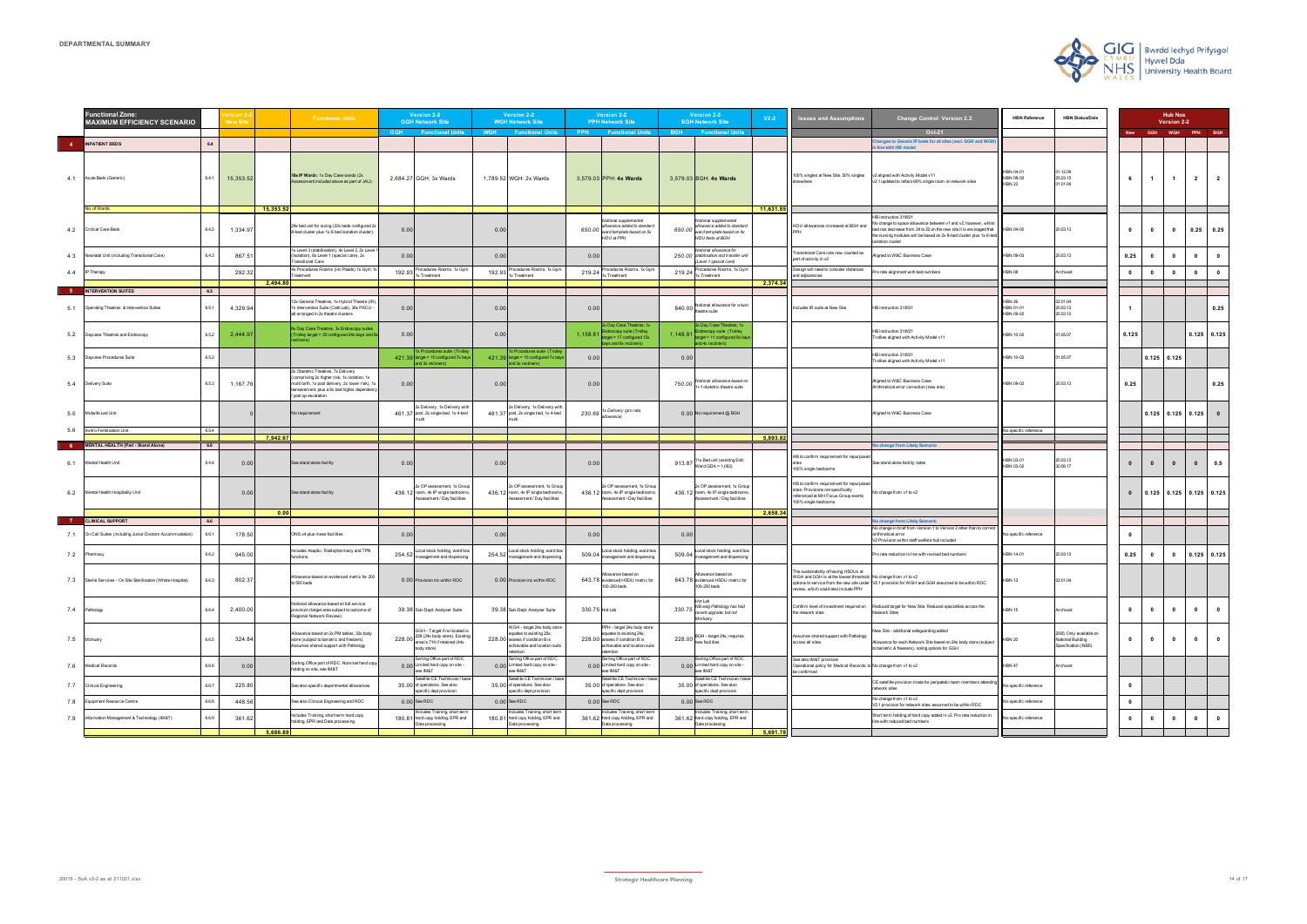| <b>HBN Reference</b>                    | <b>HBN Status/Date</b>                                              |       |            | <b>Hub Nos</b><br>Version 2-2 |             |             |
|-----------------------------------------|---------------------------------------------------------------------|-------|------------|-------------------------------|-------------|-------------|
|                                         |                                                                     | New   | <b>GGH</b> | <b>WGH</b>                    | PPH         | <b>BGH</b>  |
|                                         |                                                                     |       |            |                               |             |             |
| HBN 04-01<br>HBN 08-02<br><b>HBN 23</b> | 01.12.09<br>25.03.15<br>01.01.04                                    | 6     | 1          | 1                             | $\mathbf 2$ | $\mathbf 2$ |
| HBN 04-02                               | 20.03.13                                                            | 0     | 0          | 0                             | 0.25        | 0.25        |
| HBN 09-03                               | 20.03.13                                                            | 0.25  | 0          | 0                             | 0           | 0           |
| <b>HBN 08</b>                           | Archived                                                            | 0     | 0          | 0                             | 0           | 0           |
|                                         |                                                                     |       |            |                               |             |             |
|                                         |                                                                     |       |            |                               |             |             |
| <b>HBN 26</b><br>HBN 01-01<br>HBN 09-02 | 02.01.04<br>20.03.13<br>20.03.13                                    | 1     |            |                               |             | 0.25        |
| <b>HBN 10-02</b>                        | 01.05.07                                                            | 0.125 |            |                               | 0.125       | 0.125       |
| <b>HBN 10-02</b>                        | 01.05.07                                                            |       | 0.125      | 0.125                         |             |             |
| HBN 09-02                               | 20.03.13                                                            | 0.25  |            |                               |             | 0.25        |
|                                         |                                                                     |       | 0.125      | 0.125                         | 0.125       | $\pmb{0}$   |
| No specific reference                   |                                                                     |       |            |                               |             |             |
|                                         |                                                                     |       |            |                               |             |             |
| HBN 03-01<br>HBN 03-02                  | 20.03.13<br>30.06.17                                                | 0     | $\pmb{0}$  | 0                             | 0           | 0.5         |
|                                         |                                                                     | 0     | 0.125      | 0.125                         | 0.125       | 0.125       |
|                                         |                                                                     |       |            |                               |             |             |
|                                         |                                                                     |       |            |                               |             |             |
| No specific reference                   |                                                                     | 0     |            |                               |             |             |
| <b>HBN 14-01</b>                        | 20.03.13                                                            | 0.25  | 0          | 0                             | 0.125       | 0.125       |
| <b>HBN 13</b>                           | 02.01.04                                                            |       |            |                               |             |             |
| <b>HBN 15</b>                           | Archived                                                            | 0     | 0          | 0                             | 0           | 0           |
| <b>HBN 20</b>                           | 2005. Only available on<br>National Building<br>Specification (NBS) | 0     | 0          | 0                             | 0           | 0           |
| HBN 47                                  | Archived                                                            |       |            |                               |             |             |
| No specific reference                   |                                                                     | 0     |            |                               |             |             |
| No specific reference                   |                                                                     | 0     |            |                               |             |             |
| No specific reference                   |                                                                     | 0     | 0          | 0                             | 0           | 0           |
|                                         |                                                                     |       |            |                               |             |             |

|            | <b>Functional Zone:</b><br><b>MAXIMUM EFFICIENCY SCENARIO</b>          | <b>New Site</b> |           |           | <b>Functional Units</b>                                                                                                                                                                                        |            | Version 2-2<br><b>GGH Network Site</b>                                                                                |            | Version 2-2<br><b>WGH Network Site</b>                                                                                                  |                | Version 2-2<br><b>PPH Network Site</b>                                                                                                 |            | <b>Version 2-2</b><br><b>BGH Network Site</b>                                                                 | $V2-2$    | <b>Issues and Assumptions</b>                                                                                                                    | <b>Change Control: Version 2.2</b>                                                                                                                                                                                                | <b>HBN Reference</b>                           | <b>HBN Status/Date</b>                                              |                         |                | <b>Hub Nos</b><br>Version 2-2    |                         |                         |
|------------|------------------------------------------------------------------------|-----------------|-----------|-----------|----------------------------------------------------------------------------------------------------------------------------------------------------------------------------------------------------------------|------------|-----------------------------------------------------------------------------------------------------------------------|------------|-----------------------------------------------------------------------------------------------------------------------------------------|----------------|----------------------------------------------------------------------------------------------------------------------------------------|------------|---------------------------------------------------------------------------------------------------------------|-----------|--------------------------------------------------------------------------------------------------------------------------------------------------|-----------------------------------------------------------------------------------------------------------------------------------------------------------------------------------------------------------------------------------|------------------------------------------------|---------------------------------------------------------------------|-------------------------|----------------|----------------------------------|-------------------------|-------------------------|
|            |                                                                        |                 |           |           |                                                                                                                                                                                                                | <b>GGH</b> | <b>Functional Units</b>                                                                                               | <b>WGH</b> | <b>Functional Units</b>                                                                                                                 | <b>PPH</b>     | <b>Functional Units</b>                                                                                                                | <b>BGH</b> | <b>Functional Units</b>                                                                                       |           |                                                                                                                                                  | Oct-21                                                                                                                                                                                                                            |                                                |                                                                     | <b>New</b>              |                | GGH WGH PPH BGH                  |                         |                         |
|            | 4 INPATIENT BEDS<br>6.4                                                |                 |           |           |                                                                                                                                                                                                                |            |                                                                                                                       |            |                                                                                                                                         |                |                                                                                                                                        |            |                                                                                                               |           |                                                                                                                                                  | anges to Generic IP beds for all sites (excl. GGH and WGI<br>line with HB model                                                                                                                                                   |                                                |                                                                     |                         |                |                                  |                         |                         |
|            | 4.1 Acute Beds (Generic)<br>6.4.1                                      |                 | 15,353.52 |           | 16x IP Wards: 1x Day Case wards (2x<br>sessment included above as part of JAU)                                                                                                                                 |            | 2,684.27 GGH: 3x Wards                                                                                                |            | 1,789.52 WGH: 2x Wards                                                                                                                  |                | 3,579.03 PPH: 4x Wards                                                                                                                 |            | 3,579.03 BGH: 4x Wards                                                                                        |           | 100% singles at New Site, 50% singles<br><b>Isewhere</b>                                                                                         | v2 aligned with Activity Model v11<br>v2.1 updated to reflect 66% single room on network sites                                                                                                                                    | IBN 04-01<br>IBN 08-02<br><b>IBN 23</b>        | 1.12.09<br>25.03.15<br>01.01.04                                     | 6                       |                | $\overline{1}$<br>$\overline{1}$ | $\overline{\mathbf{2}}$ | $\overline{2}$          |
|            | o. of Wards                                                            |                 |           | 15,353.52 |                                                                                                                                                                                                                |            |                                                                                                                       |            |                                                                                                                                         |                |                                                                                                                                        |            |                                                                                                               | 11,631.85 |                                                                                                                                                  | HB instruction 31/8/21                                                                                                                                                                                                            |                                                |                                                                     |                         |                |                                  |                         |                         |
| 4.2        | Critical Care Beds                                                     | 6.4.2           | 1,334.97  |           | 24x bed unit for sizing (22x beds configured 2x<br>8-bed cluster plus 1x 6-bed isolation cluster)                                                                                                              | 0.00       |                                                                                                                       | 0.00       |                                                                                                                                         | 650.00         | Iotional supplemental<br>allowance added to standard<br>ward template based on 5x<br>HDU at PPH                                        |            | Notional supplemental<br>allowance added to standard<br>$650.00$ ward template based on 4x<br>HDU beds at BGH |           | HDU allowances increased at BGH and                                                                                                              | No change to space allowance between v1 and v2, however, whils<br>bed nos decrease from 24 to 22 on the new site it is envisaged that<br>the nursing modules will be based on 2x 8-bed cluster plus 1x 6-bed<br>isolation cluster | HBN 04-02                                      | 20.03.13                                                            | $\bf{0}$                | $\mathbf{0}$   | $\mathbf{0}$                     | 0.25                    | 0.25                    |
| 4.3        | 6.4.3<br>Neonatal Unit (including Transitional Care)                   |                 | 867.5     |           | 1x Level 3 (stabilisation), 4x Level 2, 2x Level<br>(Isolation), 6x Level 1 (special care), 2x<br><b>Transitional Care</b>                                                                                     | 0.00       |                                                                                                                       | 0.00       |                                                                                                                                         | 0.00           |                                                                                                                                        |            | Notional allowance for<br>250.00 stabilisation and transfer unit<br>(Level 1 special care)                    |           | Fransitional Care cots now counted as<br>part of activity in v2                                                                                  | ligned to W&C Business Case                                                                                                                                                                                                       | HBN 09-03                                      | 20.03.13                                                            | 0.25                    | $\mathbf{0}$   | $\mathbf{0}$                     | $\mathbf{0}$            | $\mathbf{0}$            |
| 4.4        | IP Therapy                                                             |                 | 292.32    |           | 4x Procedures Rooms (inc Paeds) 1x Gym 1:<br>reatment                                                                                                                                                          |            | 192.93 Procedures Rooms, 1x Gyn                                                                                       |            | 192.93 Procedures Rooms, 1x Gyr                                                                                                         | 219.24         | Procedures Rooms, 1x Gyn<br>1x Treatment                                                                                               |            | Procedures Rooms, 1x Gym<br>219.24 Truement                                                                   |           | Design will need to consider distances<br>and adjacencies                                                                                        | Pro rate alignment with bed numbers                                                                                                                                                                                               | <b>IBN 08</b>                                  | Archived                                                            | $\bullet$               |                | $\mathbf{0}$<br>$\mathbf{0}$     | $\mathbf 0$             | $\overline{\mathbf{0}}$ |
|            |                                                                        |                 |           | 2,494.80  |                                                                                                                                                                                                                |            |                                                                                                                       |            |                                                                                                                                         |                |                                                                                                                                        |            |                                                                                                               | 2,374.34  |                                                                                                                                                  |                                                                                                                                                                                                                                   |                                                |                                                                     |                         |                |                                  |                         |                         |
| - 5<br>5.1 | INTERVENTION SUITES<br>6.5<br>Operating Theatres & Intervention Suites | 6.5.1           | 4,329.94  |           | 13x General Theatres, 1x Hybrid Theatre (IR<br>1x Intervention Suite (Cath Lab), 36x PACU -<br>all arranged in 2x theatre clusters                                                                             | 0.00       |                                                                                                                       | 0.00       |                                                                                                                                         | 0.00           |                                                                                                                                        |            | 840.00 Notional allowance for a twin                                                                          |           | Includes IR suite at New Site                                                                                                                    | HB instruction 31/8/21                                                                                                                                                                                                            | <b>HBN 26</b><br><b>HBN 01-01</b><br>HBN 09-02 | 02.01.04<br>20.03.13<br>20.03.13                                    |                         |                |                                  |                         | 0.25                    |
| 5.2        | Daycase Theatres and Endoscopy                                         | 6.5.2           | 2,444.97  |           | 6x Day Case Theatres, 3x Endoscopy suites<br>Trolley target = 25 configured 24x bays and 9                                                                                                                     | 0.00       |                                                                                                                       | 0.00       |                                                                                                                                         | 1,158.81       | 2x Day Case Theatres, 1x<br>loscopy suite (Trolley<br>rget = 17 configured 12x<br>ys and 6x recliners)                                 | 1,148.81   | 3x Day Case Theatres, 1x<br>doscopy suite (Trolley<br>target = 11 configured 8x bay<br>and 4x recliners)      |           |                                                                                                                                                  | HB instruction 31/8/21<br>Trollies aligned with Activity Model v11                                                                                                                                                                | <b>HBN 10-02</b>                               | 01.05.07                                                            | 0.125                   |                |                                  |                         | $0.125$ 0.125           |
| 5.3        | 6.5.2<br>Daycase Procedures Suite                                      |                 |           |           |                                                                                                                                                                                                                |            | 1x Procedures suite (Trolley<br>421.39 target = 10 configured 7x bays<br>and 3x recliners)                            |            | 1x Procedures suite (Trolle<br>421.39 target = 10 configured 7x bay<br>and 3x recliners)                                                | 0.00           |                                                                                                                                        | 0.00       |                                                                                                               |           |                                                                                                                                                  | HB instruction 31/8/21<br>Trollies aligned with Activity Model v11                                                                                                                                                                | <b>HBN 10-02</b>                               | 01.05.07                                                            |                         |                | $0.125$ 0.125                    |                         |                         |
| 5.4        | Delivery Suite                                                         | 6,5.3           | 1,167.76  |           | 2x Obstetric Theatres, 7x Delivery<br>comprising 2x higher risk, 1x isolation, 1x<br>multi birth, 1x pool delivery, 2x lower risk), 1x<br>bereavement, plus a 6x bed higher dependency<br>/ post op escalation | 0.00       |                                                                                                                       | 0.00       |                                                                                                                                         | 0.00           |                                                                                                                                        |            | 750.00 Notional allowance based on                                                                            |           |                                                                                                                                                  | Aligned to W&C Business Case<br>Arithmetical error correction (new site)                                                                                                                                                          | HBN 09-02                                      | 20.03.13                                                            | 0.25                    |                |                                  |                         | 0.25                    |
|            | 5.5 Midwife Led Unit                                                   |                 |           |           | No requirement                                                                                                                                                                                                 |            | 2x Delivery, 1x Delivery with<br>461.37 pool, 2x single bed, 1x 4-bed                                                 |            | 2x Delivery, 1x Delivery with<br>461.37 pool, 2x single bed, 1x 4-bed                                                                   |                | 230.69 <sup>1x Delivery</sup> (pro rata<br>allowance)                                                                                  |            | 0.00 No requirement @ BGH                                                                                     |           |                                                                                                                                                  | Aligned to W&C Business Case                                                                                                                                                                                                      |                                                |                                                                     |                         |                | $0.125$ 0.125 0.125              |                         |                         |
| 5.6        | Invitro Fertilisation Unit<br>6.5.4                                    |                 |           | 7,942.67  |                                                                                                                                                                                                                |            |                                                                                                                       |            |                                                                                                                                         |                |                                                                                                                                        |            |                                                                                                               | 5,893.82  |                                                                                                                                                  |                                                                                                                                                                                                                                   | No specific reference                          |                                                                     |                         |                |                                  |                         |                         |
|            | <b>MENTAL HEALTH (Part - Stand Alone)</b><br>6.6                       |                 |           |           |                                                                                                                                                                                                                |            |                                                                                                                       |            |                                                                                                                                         |                |                                                                                                                                        |            |                                                                                                               |           |                                                                                                                                                  | No change from Likely Scenario                                                                                                                                                                                                    |                                                |                                                                     |                         |                |                                  |                         |                         |
| 6.1        | Mental Health Unit<br>6.4.4                                            |                 | 0.00      |           | See stand alone facility                                                                                                                                                                                       | 0.00       |                                                                                                                       | 0.00       |                                                                                                                                         | 0.00           |                                                                                                                                        | 913.87     | 11x Bed unit (existing Enlli<br>Ward GDA = $1,063$ )                                                          |           | HB to confirm requirement for repurpose<br>100% single bedrooms                                                                                  | See stand alone facility notes                                                                                                                                                                                                    | HBN 03-01<br>HBN 03-02                         | 20.03.13<br>30.06.17                                                | $\mathbf{0}$            | $\mathbf{0}$   | $\mathbf{0}$                     | $\mathbf{0}$            | 0.5                     |
|            | 6.2 Mental Health Hospitality Unit                                     |                 | 0.00      |           | See stand alone facility                                                                                                                                                                                       |            | 2x OP assessment, 1x Group<br>436.12 room, 4x IP single bedrooms,<br>Assessment / Day facilities                      |            | 2x OP assessment, 1x Group<br>436.12 room, 4x IP single bedrooms,<br>Assessment / Day facilities                                        |                | 2x OP assessment, 1x Group<br>436.12 room, 4x IP single bedrooms<br>ssessment / Day facilities                                         |            | 2x OP assessment, 1x Group<br>436.12 room, 4x IP single bedrooms,<br>Assessment / Day facilities              |           | HB to confirm requirement for repurpose<br>sites: Provisions not specifically<br>referenced at MH Focus Group events<br>100% single bedrooms     | Vo change from v1 to v2                                                                                                                                                                                                           |                                                |                                                                     |                         | $\overline{0}$ | $0.125$ 0.125 0.125 0.125        |                         |                         |
|            | <b>CLINICAL SUPPORT</b><br>6.6                                         |                 |           | 0.00      |                                                                                                                                                                                                                |            |                                                                                                                       |            |                                                                                                                                         |                |                                                                                                                                        |            |                                                                                                               | 2,658.3   |                                                                                                                                                  | No change from Likely Scenario                                                                                                                                                                                                    |                                                |                                                                     |                         |                |                                  |                         |                         |
| 7.1        | 6.6.1<br>On Call Suites (including Junior Doctors Accommodation)       |                 | 178.50    |           | ONS x4 plus mess facilities                                                                                                                                                                                    | 0.00       |                                                                                                                       | 0.00       |                                                                                                                                         | 0.00           |                                                                                                                                        | 0.00       |                                                                                                               |           |                                                                                                                                                  | No change in brief from Version 1 to Version 2 other than to correct<br>arithmetical error<br>/2 Provision within staff welfare hub included                                                                                      | No specific reference                          |                                                                     | $\mathbf{0}$            |                |                                  |                         |                         |
| 7.2        | Pharmacy                                                               | 6.6.2           | 945.00    |           | Includes Aseptic, Radiopharmacy and TPN<br>functions                                                                                                                                                           | 254.52     | Local stock holding, ward box<br>management and dispensing                                                            | 254.52     | Local stock holding, ward box<br>management and dispensing                                                                              | 509.04         | Local stock holding, ward box<br>anagement and dispensing                                                                              | 509.04     | Local stock holding, ward box<br>management and dispensing                                                    |           |                                                                                                                                                  | Pro rata reduction in line with revised bed numbers                                                                                                                                                                               | <b>HBN 14-01</b>                               | 20.03.13                                                            | 0.25                    | $\mathbf{0}$   | $\mathbf{0}$                     |                         | $0.125$ 0.125           |
|            | 7.3 Sterile Services - On Site Sterilisation (Whole Hospital)          | 6.6.3           | 802.37    |           | Allowance based on evidenced metric for 200<br>to 500 beds                                                                                                                                                     |            | 0.00 Provision inc within RDC                                                                                         |            | 0.00 Provision inc within RDC                                                                                                           |                | lowance based on<br>643.78 evidenced HSDU metric for<br>100-200 beds                                                                   |            | Allowance based on<br>643.78 evidenced HSDU metric for<br>100-200 beds                                        |           | The sustainability of having HSDUs at<br>WGH and GGH is at the lowest threshold; No change from v1 to v2<br>review, which could also include PPH | options to service from the new site under V2.1 provision for WGH and GGH assumed to be within RDC                                                                                                                                | <b>IBN 13</b>                                  | 02.01.04                                                            |                         |                |                                  |                         |                         |
| 7.4        | 6.6.4<br>Pathology                                                     |                 | 2,400.00  |           | Notional allowance based on full service<br>provision (target area subject to outcome of<br>Regional Network Review)                                                                                           |            | 39.38 Sub-Dept: Analyser Suite                                                                                        |            | 39.38 Sub-Dept: Analyser Suite                                                                                                          | 330.75 Hot Lab |                                                                                                                                        |            | Hot Lab<br>330.75 NB extg Pathology has had<br>recent upgrade, but not<br>Mortuary                            |           | Confirm level of investment required on<br>the network sites                                                                                     | Reduced target for New Site. Reduced specialties across the<br><b>Network Sites</b>                                                                                                                                               | <b>IBN 15</b>                                  | Archived                                                            | $\mathbf{0}$            | $\mathbf{0}$   | $\mathbf{0}$                     | $\mathbf{0}$            | $\overline{\mathbf{0}}$ |
|            | 6.6.5<br>7.5 Mortuary                                                  |                 | 324.84    |           | Allowance based on 2x PM tables, 32x body<br>store (subject to bariatric and freezers)<br>Assumes shared support with Pathology                                                                                |            | GGH - Target if re-located is<br>228.00 228 (24x body store). Existing<br>area is 714 if retained (44x<br>body store) |            | WGH - target 24x body store<br>equates to existing 25x;<br>228.00 assess if condition B is<br>achievable and location suits<br>etention |                | PPH - target 24x body store<br>equates to existing 24x;<br>228.00 assess if condition B is<br>achievable and location suits<br>tention |            | 228.00 BGH - target 24x; requires                                                                             |           | Assumes shared support with Pathology<br>across all sites                                                                                        | lew Site - additional safeguarding added<br>Allowance for each Network Site based on 24x body store (subject<br>o bariatric & freezers), noting options for GGH                                                                   | HBN 20                                         | 2005. Only available on<br>National Building<br>Specification (NBS) | $\bf{0}$                |                | $\mathbf{0}$<br>$\mathbf{0}$     | $\mathbf{0}$            | $\overline{\mathbf{0}}$ |
| 7.6        | 6.6.6<br>Medical Records                                               |                 | 0.00      |           | Sorting Office part of RDC. Nominal hard copy<br>holding on site, see IM&T                                                                                                                                     |            | Sorting Office part of RDC.<br>0.00 Limited hard copy on site -<br>see IM&T                                           |            | Sorting Office part of RDC.<br>0.00 Limited hard copy on site -<br>see IM&T                                                             |                | Sorting Office part of RDC<br>0.00 Limited hard copy on site -<br>ee IM&T                                                              |            | Sorting Office part of RDC.<br>0.00 Limited hard copy on site -<br>see IM&T                                   |           | See also IM&T provision<br>Operational policy for Medical Records; to No change from v1 to v2<br>be confirmed                                    |                                                                                                                                                                                                                                   | HBN 47                                         | Archived                                                            |                         |                |                                  |                         |                         |
| 7.7        | 6.6.7<br>Clinical Engineering                                          |                 | 225.80    |           | See also specific departmental allowances                                                                                                                                                                      |            | Satellite CE Technician / bas<br>35.00 of operations. See also<br>specific dept provision                             |            | Satellite CE Technician / bas<br>35.00 of operations. See also<br>specific dept provision                                               |                | atellite CE Technician / bas<br>35.00 of operations. See also<br>specific dept provision                                               |            | Satellite CE Technician / bas<br>35.00 of operations. See also<br>specific dept provision                     |           |                                                                                                                                                  | CE satellite provision made for peripatetic team members attending<br>network sites                                                                                                                                               | No specific reference                          |                                                                     | $\overline{\mathbf{0}}$ |                |                                  |                         |                         |
| 7.8        | 6.6.8<br>quipment Resource Centre                                      |                 | 448.56    |           | See also Clinical Engineering and RDC                                                                                                                                                                          |            | $0.00$ See RDC                                                                                                        |            | $0.00$ See RDC                                                                                                                          |                | $0.00$ See RDC                                                                                                                         |            | 0.00 See RDC                                                                                                  |           |                                                                                                                                                  | No change from v1 to v2<br>V2.1 provision for network sites assumed to be within RDC                                                                                                                                              | lo specific reference                          |                                                                     | $\mathbf{0}$            |                |                                  |                         |                         |
| 7.9        | 6.6.9<br>nformation Management & Technology (IM&T)                     |                 | 361.62    |           | Includes Training, short term hard copy<br>holding, EPR and Data processing                                                                                                                                    |            | Includes Training, short term<br>180.81 hard copy holding, EPR and<br>Data processing                                 |            | Includes Training, short term<br>180.81 hard copy holding, EPR and<br>Data processing                                                   |                | Includes Training, short term<br>361.62 hard copy holding, EPR and<br>Data processing                                                  |            | Includes Training, short term<br>361.62 hard copy holding, EPR and<br>Data processing                         |           |                                                                                                                                                  | Short term holding of hard copy added in v2. Pro rata reduction in<br>line with reduced bed numbers                                                                                                                               | lo specific reference                          |                                                                     | $\mathbf{0}$            | $\mathbf{0}$   | $\mathbf 0$                      | $\mathbf{0}$            | $\overline{\mathbf{0}}$ |
|            |                                                                        |                 |           | 5,686.69  |                                                                                                                                                                                                                |            |                                                                                                                       |            |                                                                                                                                         |                |                                                                                                                                        |            |                                                                                                               | 5,691.78  |                                                                                                                                                  |                                                                                                                                                                                                                                   |                                                |                                                                     |                         |                |                                  |                         |                         |

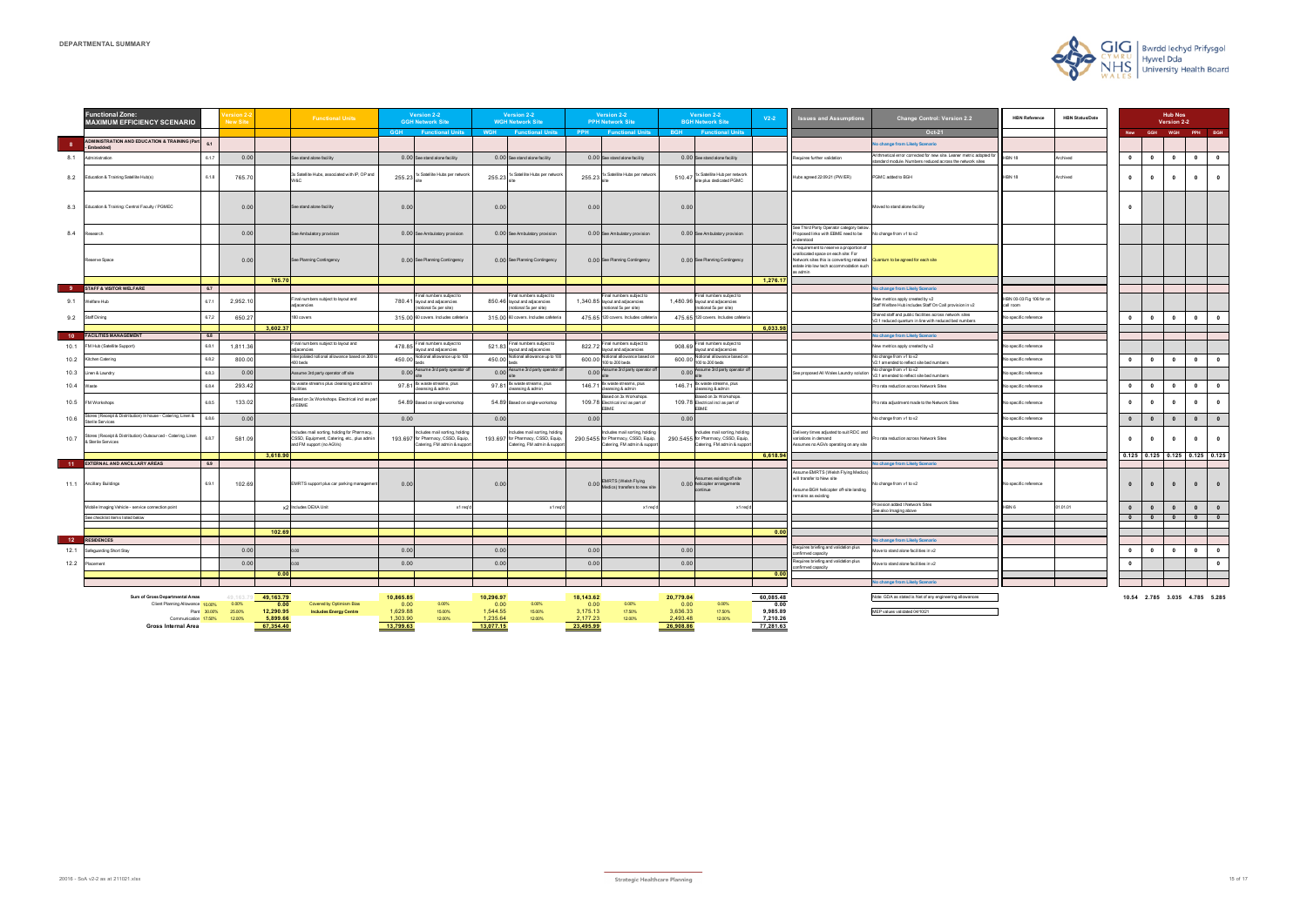| <b>Hub Nos</b><br>Version 2-2 |                                 |                         |                         |       |  |  |  |  |  |  |
|-------------------------------|---------------------------------|-------------------------|-------------------------|-------|--|--|--|--|--|--|
| New                           | <b>WGH</b><br>GGH<br>PPH<br>BGH |                         |                         |       |  |  |  |  |  |  |
|                               |                                 |                         |                         |       |  |  |  |  |  |  |
| 0                             | 0                               | 0                       | 0                       | 0     |  |  |  |  |  |  |
| 0                             | 0                               | 0                       | 0                       | 0     |  |  |  |  |  |  |
| 0                             |                                 |                         |                         |       |  |  |  |  |  |  |
|                               |                                 |                         |                         |       |  |  |  |  |  |  |
|                               |                                 |                         |                         |       |  |  |  |  |  |  |
|                               |                                 |                         |                         |       |  |  |  |  |  |  |
|                               |                                 |                         |                         |       |  |  |  |  |  |  |
| 0                             | 0                               | 0                       | 0                       | 0     |  |  |  |  |  |  |
|                               |                                 |                         |                         |       |  |  |  |  |  |  |
|                               |                                 |                         |                         |       |  |  |  |  |  |  |
| 0                             | 0                               | 0                       | 0                       | 0     |  |  |  |  |  |  |
|                               |                                 |                         |                         |       |  |  |  |  |  |  |
| 0                             | 0                               | 0                       | 0                       | 0     |  |  |  |  |  |  |
| 0                             | 0                               | 0                       | 0                       | 0     |  |  |  |  |  |  |
| 0                             | $\mathbf{0}$                    | 0                       | 0                       | 0     |  |  |  |  |  |  |
| 0                             | 0                               | 0                       | 0                       | 0     |  |  |  |  |  |  |
| 0.125                         | 0.125                           | 0.125                   | 0.125                   | 0.125 |  |  |  |  |  |  |
| 0                             | $\mathbf{0}$                    | 0                       | 0                       | 0     |  |  |  |  |  |  |
| 0                             | $\mathbf{0}$                    | 0                       | 0                       | 0     |  |  |  |  |  |  |
| $\overline{\mathbf{0}}$       | 0                               | $\overline{\mathbf{0}}$ | $\overline{\mathbf{0}}$ | 0     |  |  |  |  |  |  |
|                               |                                 |                         |                         |       |  |  |  |  |  |  |
|                               |                                 |                         |                         |       |  |  |  |  |  |  |
| 0                             | 0                               | 0                       | 0                       | 0     |  |  |  |  |  |  |
| 0                             |                                 |                         |                         | 0     |  |  |  |  |  |  |
|                               |                                 |                         |                         |       |  |  |  |  |  |  |
|                               |                                 |                         |                         |       |  |  |  |  |  |  |

|                         | <b>Functional Zone:</b><br><b>MAXIMUM EFFICIENCY SCENARIO</b>                             | New Si           | <b>Functional Units</b>                                                                                               |                                   | Version 2-2<br><b>GGH Network Site</b>                                                          |                                   | Version 2-2<br><b>WGH Network Site</b>                                                           |                                   | Version 2-2<br><b>PPH Network Site</b>                                                            |                                   | Version 2-2<br><b>BGH Network Site</b>                                                             | $V2-2$                            | <b>Issues and Assumptions</b>                                                                                                                                                       | <b>Change Control: Version 2.2</b>                                                                                           | <b>HBN Reference</b>                 | <b>HBN Status/Date</b> |              |                         | <b>Hub Nos</b><br>Version 2-2   |              |              |
|-------------------------|-------------------------------------------------------------------------------------------|------------------|-----------------------------------------------------------------------------------------------------------------------|-----------------------------------|-------------------------------------------------------------------------------------------------|-----------------------------------|--------------------------------------------------------------------------------------------------|-----------------------------------|---------------------------------------------------------------------------------------------------|-----------------------------------|----------------------------------------------------------------------------------------------------|-----------------------------------|-------------------------------------------------------------------------------------------------------------------------------------------------------------------------------------|------------------------------------------------------------------------------------------------------------------------------|--------------------------------------|------------------------|--------------|-------------------------|---------------------------------|--------------|--------------|
|                         |                                                                                           |                  |                                                                                                                       |                                   | GGH Functional Units                                                                            |                                   | WGH Functional Units                                                                             | <b>PPH</b>                        | <b>Eunctional Units</b>                                                                           | <b>RGH</b>                        | <b>Eunctional Units</b>                                                                            |                                   |                                                                                                                                                                                     | Oct-21                                                                                                                       |                                      |                        | <b>New</b>   | <b>GGH</b>              | WGH                             | PPH BGH      |              |
| $\overline{\mathbf{8}}$ | <b>ADMINISTRATION AND EDUCATION &amp; TRAINING (Part</b>                                  |                  |                                                                                                                       |                                   |                                                                                                 |                                   |                                                                                                  |                                   |                                                                                                   |                                   |                                                                                                    |                                   |                                                                                                                                                                                     | o change from Likely Scenario                                                                                                |                                      |                        |              |                         |                                 |              |              |
| 8.1                     | Administration<br>6.1.7                                                                   | 0.00             | ee stand alone facility                                                                                               |                                   | 0.00 See stand alone facility                                                                   |                                   | 0.00 See stand alone facility                                                                    |                                   | 0.00 See stand alone facility                                                                     |                                   | 0.00 See stand alone facility                                                                      |                                   | Requires further validation                                                                                                                                                         | rithmetical error corrected for new site. Leaner metric adopted f<br>andard module. Numbers reduced across the network sites | HBN 18                               | Archived               | $\mathbf{0}$ | $\bf{0}$                | $\mathbf{0}$                    | $\mathbf 0$  |              |
| 8.2                     | Education & Training Satellite Hub(s)<br>618                                              | 765.7            | 3x Satellite Hubs, associated with IP, OP and<br>W&C                                                                  | 255.23                            | x Satellite Hubs per networ                                                                     |                                   | 255.23 1x Satellite Hubs per network                                                             |                                   | 255.23 <sup>1x</sup> Satellite Hubs per network                                                   |                                   | 510.47 <sup>1x</sup> Satellite Hub per network<br>site plus dedicated PGMC                         |                                   | Hubs agreed 22:09:21 (PW/ER)                                                                                                                                                        | PGMC added to BGH                                                                                                            | <b>HBN 18</b>                        | Archived               | $\mathbf{0}$ | $\bf{0}$                | $\mathbf{0}$                    | $\mathbf{0}$ | $\mathbf{0}$ |
| 8.3                     | Education & Training: Central Faculty / PGMEC                                             | 0.00             | See stand alone facility                                                                                              | 0.00                              |                                                                                                 | 0.00                              |                                                                                                  | 0.00                              |                                                                                                   | 0.00                              |                                                                                                    |                                   |                                                                                                                                                                                     | oved to stand alone facility                                                                                                 |                                      |                        | $\mathbf{0}$ |                         |                                 |              |              |
| 8.4                     | Research                                                                                  | 0.00             | See Ambulatory provision                                                                                              |                                   | 0.00 See Ambulatory provision                                                                   |                                   | 0.00 See Ambulatory provision                                                                    |                                   | 0.00 See Ambulatory provision                                                                     |                                   | 0.00 See Ambulatory provision                                                                      |                                   | See Third Party Operator category below<br>Proposed links with EBME need to be<br>inderstood                                                                                        | Vo change from v1 to v2                                                                                                      |                                      |                        |              |                         |                                 |              |              |
|                         | Reserve Space                                                                             | 0.00             | See Planning Contingency                                                                                              |                                   | 0.00 See Planning Contingency                                                                   |                                   | 0.00 See Planning Contingency                                                                    |                                   | 0.00 See Planning Contingency                                                                     |                                   | 0.00 See Planning Contingency                                                                      |                                   | A requirement to reserve a proportion of<br>unallocated space on each site: For<br>Network sites this is converting retained<br>estate into low tech accommodation such<br>as admin | Quantum to be agreed for each site                                                                                           |                                      |                        |              |                         |                                 |              |              |
|                         |                                                                                           |                  | 765.70                                                                                                                |                                   |                                                                                                 |                                   |                                                                                                  |                                   |                                                                                                   |                                   |                                                                                                    | 1,276.17                          |                                                                                                                                                                                     |                                                                                                                              |                                      |                        |              |                         |                                 |              |              |
|                         | STAFF & VISITOR WELFARE<br>6.7                                                            |                  |                                                                                                                       |                                   | nal numbers subject to                                                                          |                                   | nal numbers subject to                                                                           |                                   | al numbers subject to                                                                             |                                   | inal numbers subject to                                                                            |                                   |                                                                                                                                                                                     | lo change from Likely Scenario                                                                                               |                                      |                        |              |                         |                                 |              |              |
| 9.1                     | Welfare Hub<br>6.7.1                                                                      | 2,952.           | inal numbers subject to lavout and<br>djacencies                                                                      | 780.41                            | layout and adjacencies<br>notional 5x per site)                                                 |                                   | 850.46 layout and adjacencies<br>(notional 5x per site)                                          |                                   | 1,340.85 layout and adjacencies<br>notional 5x per site)                                          | 1,480.96                          | layout and adjacencies<br>notional 5x per site)                                                    |                                   |                                                                                                                                                                                     | ew metrics annly created by y2<br>Staff Welfare Hub includes Staff On Call provision in v2                                   | HBN 00-03 Fig 106 for on<br>all room |                        |              |                         |                                 |              |              |
| 9.2                     | Staff Dining<br>6.7,2                                                                     | 650.2            | 180 covers                                                                                                            |                                   | 315.00 60 covers. Includes cafeteria                                                            |                                   | 315.00 60 covers. Includes cafeteria                                                             |                                   | 475.65 120 covers. Includes cafeteri                                                              |                                   | 475.65 120 covers. Includes cafeteria                                                              |                                   |                                                                                                                                                                                     | Shared staff and public facilities across network sites<br>/2.1 reduced quantum in line with reduced bed numbers             | No specific reference                |                        | $\mathbf{0}$ | $\mathbf{0}$            | $\mathbf{0}$                    | $\mathbf{0}$ | $\mathbf{0}$ |
|                         |                                                                                           |                  | 3,602.37                                                                                                              |                                   |                                                                                                 |                                   |                                                                                                  |                                   |                                                                                                   |                                   |                                                                                                    | 6,033.98                          |                                                                                                                                                                                     |                                                                                                                              |                                      |                        |              |                         |                                 |              |              |
| 10                      | <b>FACILITIES MANAGEMENT</b><br>6.8                                                       |                  |                                                                                                                       |                                   |                                                                                                 |                                   |                                                                                                  |                                   |                                                                                                   |                                   |                                                                                                    |                                   |                                                                                                                                                                                     | <b>No change from Likely Scenario</b>                                                                                        |                                      |                        |              |                         |                                 |              |              |
| 10.1                    | 6.8.1<br>FM Hub (Satellite Support)                                                       | 1,811.3          | nal numbers subject to layout and<br>diacencies                                                                       | 478.85                            | nal numbers subject to<br>vout and adjacencies                                                  | 521.83                            | inal numbers subject to<br>lavout and adiacencies                                                | 822.72                            | inal numbers subject to<br>wout and adiacencies                                                   | 908.69                            | inal numbers subject to<br>avout and adiacencies                                                   |                                   |                                                                                                                                                                                     | Vew metrics apply created by v2                                                                                              | No specific reference                |                        |              |                         |                                 |              |              |
| 10.2                    | 6.8.2<br>Kitchen Catering                                                                 | 800.00           | Interpolated notional allowance based on 300 t<br>400 beds                                                            | 450.00                            | otional allowance up to 100                                                                     | 450.00                            | Notional allowance up to 100                                                                     | 600.00                            | <b>Votional allowance based on</b><br>00 to 200 beds                                              |                                   | Votional allowance based o<br>600.00 100 to 200 beds                                               |                                   |                                                                                                                                                                                     | No change from v1 to v2<br>2.1 amended to reflect site bed numbers                                                           | No specific reference                |                        | $\mathbf{0}$ | $\bf{0}$                | $\mathbf{0}$                    | $\mathbf{0}$ | $\mathbf{0}$ |
| 10.3                    | 6.8.3<br>Linen & Laundry                                                                  | 0.00             | ssume 3rd party operator off site                                                                                     | 0.00                              | sume 3rd party operator o                                                                       |                                   | 0.00 Assume 3rd party operator of                                                                | 0.00                              | sume 3rd party operator o                                                                         | 0.00                              | Assume 3rd party operator of                                                                       |                                   | See proposed All Wales Laundry solution                                                                                                                                             | Vo change from v1 to v2<br>V2.1 amended to reflect site bed numbers                                                          | No specific reference                |                        |              |                         |                                 |              |              |
| 10.4                    | 6.8.4<br>Waste                                                                            | 293.42           | Bx waste streams plus cleansing and admir<br>cilities                                                                 | 97.81                             | waste streams, plus<br>eansing & admin                                                          | 97.81                             | 3x waste streams, plus<br>cleansing & admin                                                      | 146.71                            | x waste streams, plus<br>ansing & admin                                                           | 146.71                            | 8x waste streams, plus<br>ansing & admin                                                           |                                   |                                                                                                                                                                                     | ro rata reduction across Network Sites                                                                                       | No specific reference                |                        | $\mathbf{0}$ | $\bf{0}$                | $\mathbf{0}$                    | $\mathbf{0}$ | $\mathbf{a}$ |
| 10.5                    | 685<br>FM Workshops                                                                       | 133.0            | Based on 3x Workshops. Electrical incl as pa<br>of EBME                                                               |                                   | 54.89 Based on single workshop                                                                  |                                   | 54.89 Based on single workshop                                                                   |                                   | ed on 3x Workshops.<br>109.78 Electrical incl as part of<br><b>BMF</b>                            |                                   | sed on 3x Workshops.<br>109.78 Electrical incl as part of<br>FRMF                                  |                                   |                                                                                                                                                                                     | Pro rata adjustment made to the Network Sites                                                                                | No specific reference                |                        | $\mathbf{0}$ | $\mathbf{0}$            | $\Omega$                        | $\mathbf{0}$ | $\mathbf{a}$ |
| 10.6                    | Stores (Receipt & Distribution) In house - Catering, Linen &<br>6.8.6<br>Sterile Services | 0.00             |                                                                                                                       | 0.00                              |                                                                                                 | 0.00                              |                                                                                                  | 0.00                              |                                                                                                   | 0.00                              |                                                                                                    |                                   |                                                                                                                                                                                     | lo change from v1 to v2                                                                                                      | No specific reference                |                        | $\mathbf{0}$ | $\bullet$               | $\mathbf{0}$                    | $\mathbf{0}$ | $\mathbf{0}$ |
| 10.7                    | Stores (Receipt & Distribution) Outsourced - Catering, Linen<br>6.8.7<br>Sterile Services | 581.09           | cludes mail sorting, holding for Pharmacy,<br>CSSD, Equipment, Catering, etc., plus admin<br>and FM support (no AGVs) |                                   | cludes mail sorting, holding<br>193.697 for Pharmacy, CSSD, Equip,<br>atering, FM admin & suppo |                                   | cludes mail sorting, holding<br>193.697 for Pharmacy, CSSD, Equip,<br>atering, FM admin & suppor |                                   | cludes mail sorting, holding<br>290.5455 for Pharmacy, CSSD, Equip,<br>Catering, FM admin & suppo |                                   | cludes mail sorting, holding<br>290,5455 for Pharmacy, CSSD, Equip,<br>Catering, FM admin & suppor |                                   | Delivery times adjusted to suit RDC and<br>variations in demand<br>Assumes no AGVs operating on any site                                                                            | Pro rata reduction across Network Sites                                                                                      | No specific reference                |                        | $\mathbf{0}$ | $\mathbf{0}$            | $\mathbf{0}$                    | $\mathbf{0}$ | $\mathbf{0}$ |
|                         |                                                                                           |                  | 3,618.90                                                                                                              |                                   |                                                                                                 |                                   |                                                                                                  |                                   |                                                                                                   |                                   |                                                                                                    | 6,618.94                          |                                                                                                                                                                                     |                                                                                                                              |                                      |                        |              |                         | $0.125$ 0.125 0.125 0.125 0.125 |              |              |
| $-11$                   | <b>EXTERNAL AND ANCILLARY AREAS</b><br>6.9<br>11.1 Ancillary Buildings<br>6.9.1           | 102.6            | EMRTS support plus car parking managemen                                                                              | 0.00                              |                                                                                                 | 0.00                              |                                                                                                  |                                   | 0.00 EMRTS (Welsh Flying<br>Medics) transfers to new site                                         |                                   | Assumes existing off site<br>0.00 helicopter arrangements<br>continue                              |                                   | Assume EMRTS (Welsh Flying Medics)<br>will transfer to New site<br>Assume BGH helicopter off-site landing<br>emains as existing                                                     | o change from Likely Scenario<br>o change from v1 to v2                                                                      | No specific reference                |                        | $\mathbf{0}$ | $\mathbf{0}$            | $\mathbf{0}$                    | $\mathbf{0}$ |              |
|                         | Mobile Imaging Vehicle - service connection point                                         |                  | x2 Includes DEXA Unit                                                                                                 |                                   | x1 req'd                                                                                        |                                   | x1 reg'd                                                                                         |                                   | x1 ren'                                                                                           |                                   | x1 ren'                                                                                            |                                   |                                                                                                                                                                                     | Provision added t Network Sites<br>See also Imaging above                                                                    | HBN 6                                | 01.01.01               | $\Omega$     | $\mathbf{0}$            | $\mathbf{0}$                    | $\mathbf{0}$ | $\mathbf{0}$ |
|                         | See checklist items listed below                                                          |                  |                                                                                                                       |                                   |                                                                                                 |                                   |                                                                                                  |                                   |                                                                                                   |                                   |                                                                                                    |                                   |                                                                                                                                                                                     |                                                                                                                              |                                      |                        | $\mathbf{0}$ | $\overline{\mathbf{0}}$ | $\mathbf{a}$                    | $\mathbf{0}$ | $\bullet$    |
|                         |                                                                                           |                  | 102.69                                                                                                                |                                   |                                                                                                 |                                   |                                                                                                  |                                   |                                                                                                   |                                   |                                                                                                    | 0.00                              |                                                                                                                                                                                     |                                                                                                                              |                                      |                        |              |                         |                                 |              |              |
|                         | 12 RESIDENCES                                                                             |                  |                                                                                                                       |                                   |                                                                                                 |                                   |                                                                                                  |                                   |                                                                                                   |                                   |                                                                                                    |                                   |                                                                                                                                                                                     | o change from Likely Scenario                                                                                                |                                      |                        |              |                         |                                 |              |              |
| 12.1                    | Safeguarding Short Stay                                                                   | 0.00             |                                                                                                                       | 0.00                              |                                                                                                 | 0.00                              |                                                                                                  | 0.00                              |                                                                                                   | 0.00                              |                                                                                                    |                                   | Requires briefing and validation plus<br>infirmed capacity                                                                                                                          | fove to stand alone facilities in v2                                                                                         |                                      |                        | $\mathbf{0}$ | $\bf{0}$                | $\mathbf{0}$                    | $\mathbf 0$  | $\mathbf{0}$ |
| 12.2                    | Placement                                                                                 | 0.00             | 00                                                                                                                    | 0.00                              |                                                                                                 | 0.00                              |                                                                                                  | 0.00                              |                                                                                                   | 0.00                              |                                                                                                    |                                   | Requires briefing and validation plus<br>onfirmed canacity                                                                                                                          | fove to stand alone facilities in v2                                                                                         |                                      |                        | $\mathbf{0}$ |                         |                                 |              | $\mathbf{0}$ |
|                         |                                                                                           |                  | 0.00                                                                                                                  |                                   |                                                                                                 |                                   |                                                                                                  |                                   |                                                                                                   |                                   |                                                                                                    | 0.00                              |                                                                                                                                                                                     |                                                                                                                              |                                      |                        |              |                         |                                 |              |              |
|                         |                                                                                           |                  |                                                                                                                       |                                   |                                                                                                 |                                   |                                                                                                  |                                   |                                                                                                   |                                   |                                                                                                    |                                   |                                                                                                                                                                                     | <b>No change from Likely Scenario</b>                                                                                        |                                      |                        |              |                         |                                 |              |              |
|                         | Sum of Gross Departmental Areas<br>Client Planning Allowance 10.00%                       | 49.163<br>0.00%  | 49,163.79<br>0.00<br><b>Covered by Optimism Bias</b>                                                                  | 10,865.85<br>0.00                 | 0.00%                                                                                           | 10,296.97<br>0.00                 | 0.00%                                                                                            | 18,143.62<br>0.00                 | 0.00%                                                                                             | 20,779.04<br>0.00                 | 0.00%                                                                                              | 60,085.48<br>0.00                 |                                                                                                                                                                                     | Note: GDA as stated is Net of any engineering allowances                                                                     |                                      |                        |              |                         | 10.54 2.785 3.035 4.785 5.285   |              |              |
|                         | Plant 30.00%<br>Communication 17.50%<br>Gross Internal Area                               | 25.00%<br>12.00% | 12,290.95<br><b>Includes Energy Centre</b><br>5,899.66<br>67,354.40                                                   | 1,629.88<br>1.303.90<br>13,799.63 | 15.00%<br>12.00%                                                                                | 1,544.55<br>1,235.64<br>13,077.15 | 15.00%<br>12.00%                                                                                 | 3,175.13<br>2.177.23<br>23,495.99 | 17.50%<br>12.00%                                                                                  | 3,636.33<br>2,493.48<br>26,908.86 | 17.50%<br>12.00%                                                                                   | 9,985.89<br>7,210.26<br>77,281.63 |                                                                                                                                                                                     | MEP values validated 04/10/21                                                                                                |                                      |                        |              |                         |                                 |              |              |

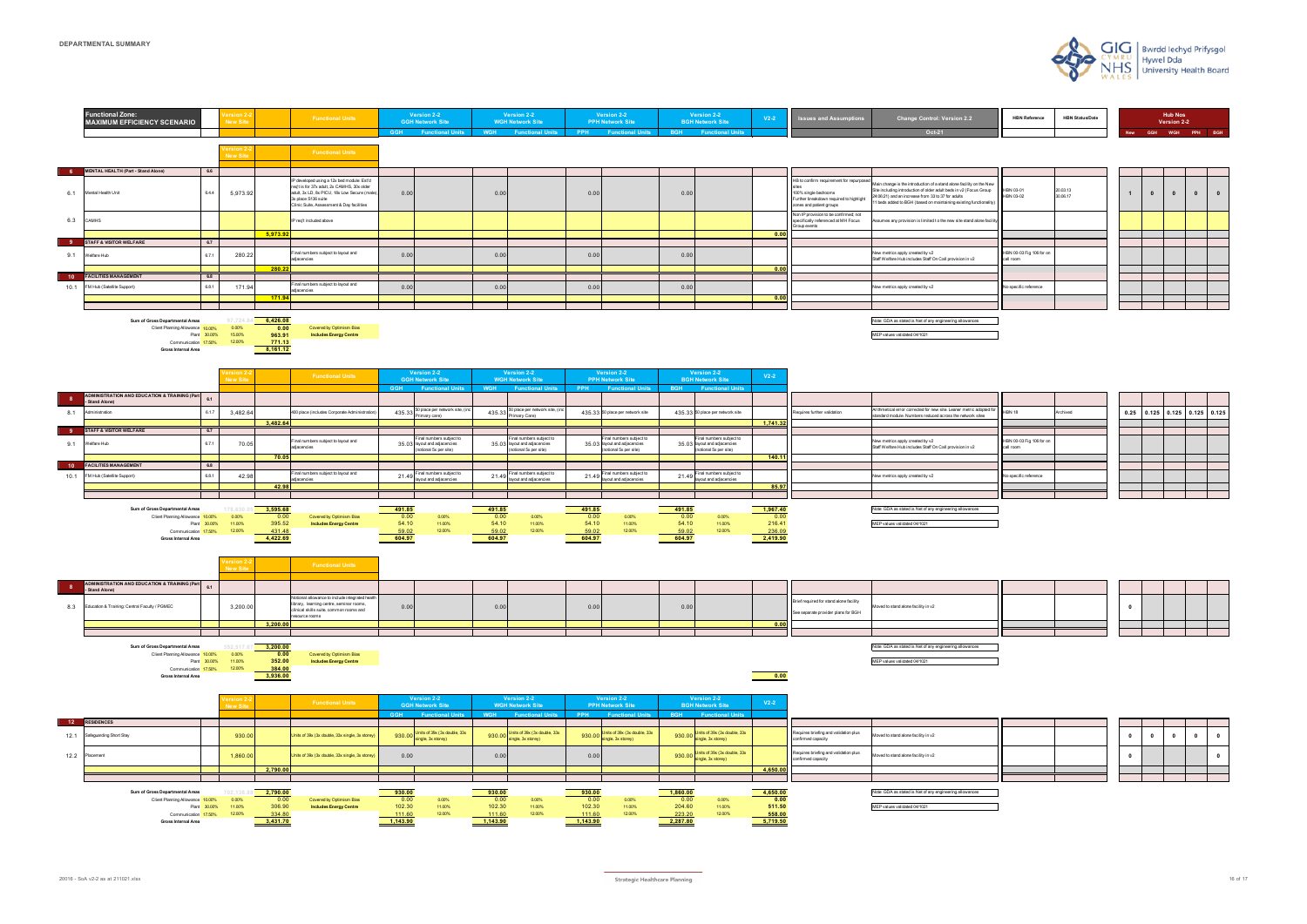|            |                                                      | <b>Hub Nos.</b><br>Version 2-2 |  |  |  |  |  |  |  |  |
|------------|------------------------------------------------------|--------------------------------|--|--|--|--|--|--|--|--|
| <b>New</b> | <b>WGH</b><br><b>BGH</b><br><b>GGH</b><br><b>PPH</b> |                                |  |  |  |  |  |  |  |  |

| 20.03.13<br>30.06.17 | 1 | $\mathbf{0}$ | $\pmb{0}$ | $\pmb{0}$ | $\pmb{0}$ |
|----------------------|---|--------------|-----------|-----------|-----------|
|                      |   |              |           |           |           |
|                      |   |              |           |           |           |
|                      |   |              |           |           |           |
|                      |   |              |           |           |           |
|                      |   |              |           |           |           |
|                      |   |              |           |           |           |
|                      |   |              |           |           |           |
|                      |   |              |           |           |           |
|                      |   |              |           |           |           |

| ew<br>p<br>lity) | HBN 03-01<br>HBN 03-02                | 20.03.13<br>30.06.17 |
|------------------|---------------------------------------|----------------------|
| cility           |                                       |                      |
|                  |                                       |                      |
|                  |                                       |                      |
|                  | HBN 00-03 Fig 106 for on<br>call room |                      |
|                  |                                       |                      |
|                  | No specific reference                 |                      |
|                  |                                       |                      |
|                  |                                       |                      |
|                  |                                       |                      |



| d for | <b>HBN 18</b>                         | Archived |
|-------|---------------------------------------|----------|
|       |                                       |          |
|       |                                       |          |
|       | HBN 00-03 Fig 106 for on<br>call room |          |
|       |                                       |          |
|       |                                       |          |
|       | No specific reference                 |          |
|       |                                       |          |
|       |                                       |          |
|       |                                       |          |

| 0.25 | 0.125 | 0.125 | 0.125 | 0.125 |
|------|-------|-------|-------|-------|
|      |       |       |       |       |
|      |       |       |       |       |
|      |       |       |       |       |
|      |       |       |       |       |
|      |       |       |       |       |
|      |       |       |       |       |
|      |       |       |       |       |
|      |       |       |       |       |
|      |       |       |       |       |



| 0 |  |  |
|---|--|--|
|   |  |  |
|   |  |  |

| <b>HBN Reference</b> | <b>HBN Status/Date</b> |
|----------------------|------------------------|
|                      |                        |

| 0 | 0 | 0 | 0 | 0 |
|---|---|---|---|---|
| 0 |   |   |   | 0 |
|   |   |   |   |   |
|   |   |   |   |   |